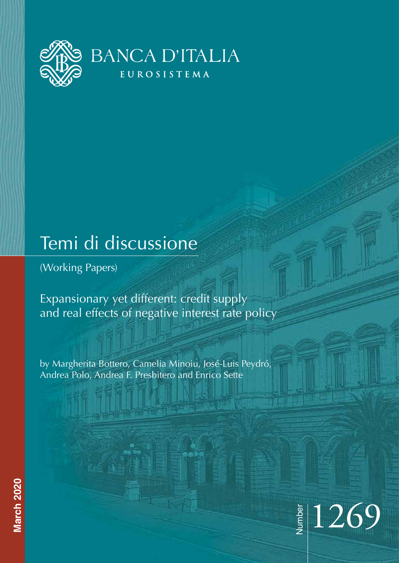

# Temi di discussione

(Working Papers)

Expansionary yet different: credit supply and real effects of negative interest rate policy

by Margherita Bottero, Camelia Minoiu, José-Luis Peydró, Andrea Polo, Andrea F. Presbitero and Enrico Sette

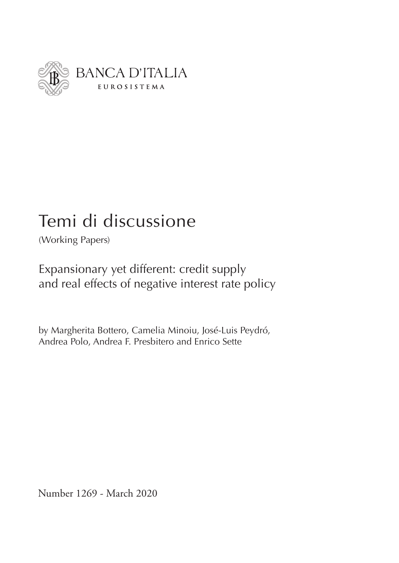

# Temi di discussione

(Working Papers)

Expansionary yet different: credit supply and real effects of negative interest rate policy

by Margherita Bottero, Camelia Minoiu, José-Luis Peydró, Andrea Polo, Andrea F. Presbitero and Enrico Sette

Number 1269 - March 2020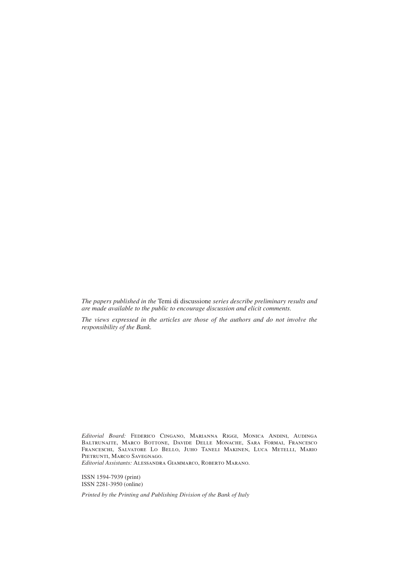*The papers published in the* Temi di discussione *series describe preliminary results and are made available to the public to encourage discussion and elicit comments.*

*The views expressed in the articles are those of the authors and do not involve the responsibility of the Bank.*

*Editorial Board:* Federico Cingano, Marianna Riggi, Monica Andini, Audinga Baltrunaite, Marco Bottone, Davide Delle Monache, Sara Formai, Francesco Franceschi, Salvatore Lo Bello, Juho Taneli Makinen, Luca Metelli, Mario PIETRUNTI, MARCO SAVEGNAGO.

*Editorial Assistants:* Alessandra Giammarco, Roberto Marano.

ISSN 1594-7939 (print) ISSN 2281-3950 (online)

*Printed by the Printing and Publishing Division of the Bank of Italy*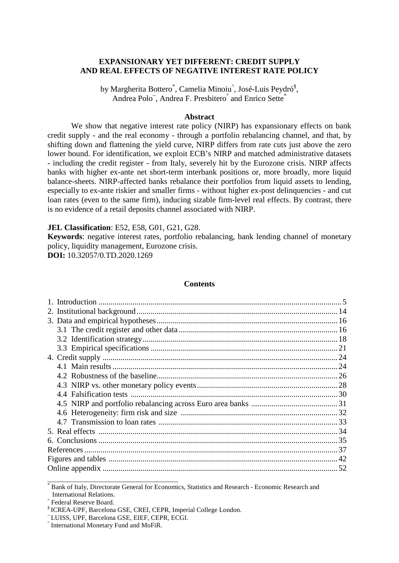# **EXPANSIONARY YET DIFFERENT: CREDIT SUPPLY AND REAL EFFECTS OF NEGATIVE INTEREST RATE POLICY**

by Margherita Bottero<sup>\*</sup>, Camelia Minoiu<sup>^</sup>, José-Luis Peydró<sup>§</sup>, Andrea Polo<sup>~</sup>, Andrea F. Presbitero<sup>°</sup> and Enrico Sette<sup>\*</sup>

## **Abstract**

We show that negative interest rate policy (NIRP) has expansionary effects on bank credit supply - and the real economy - through a portfolio rebalancing channel, and that, by shifting down and flattening the yield curve, NIRP differs from rate cuts just above the zero lower bound. For identification, we exploit ECB's NIRP and matched administrative datasets - including the credit register - from Italy, severely hit by the Eurozone crisis. NIRP affects banks with higher ex-ante net short-term interbank positions or, more broadly, more liquid balance-sheets. NIRP-affected banks rebalance their portfolios from liquid assets to lending, especially to ex-ante riskier and smaller firms - without higher ex-post delinquencies - and cut loan rates (even to the same firm), inducing sizable firm-level real effects. By contrast, there is no evidence of a retail deposits channel associated with NIRP.

## **JEL Classification**: E52, E58, G01, G21, G28.

**Keywords**: negative interest rates, portfolio rebalancing, bank lending channel of monetary policy, liquidity management, Eurozone crisis. **DOI:** [10.32057/0.TD.2020.1269](https://doi.org/10.32057/0.TD.2020.1269) 

## **Contents**

\_\_\_\_\_\_\_\_\_\_\_\_\_\_\_\_\_\_\_\_\_\_\_\_\_\_\_\_\_\_\_\_\_\_\_\_\_\_\_

Bank of Italy, Directorate General for Economics, Statistics and Research - Economic Research and International Relations.

Prederal Reserve Board. § ICREA-UPF, Barcelona GSE, CREI, CEPR, Imperial College London. ~ LUISS, UPF, Barcelona GSE, EIEF, CEPR, ECGI. ° International Monetary Fund and MoFiR.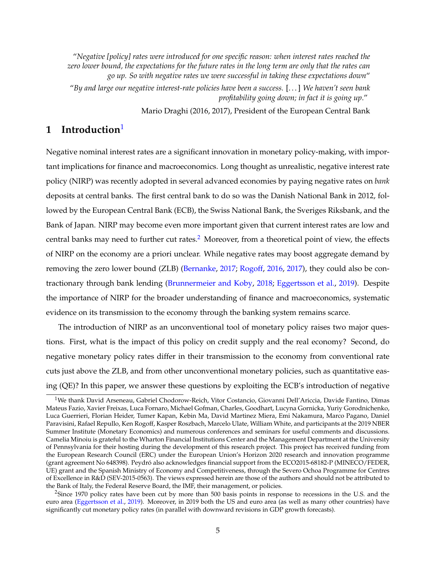"*Negative [policy] rates were introduced for one specific reason: when interest rates reached the zero lower bound, the expectations for the future rates in the long term are only that the rates can go up. So with negative rates we were successful in taking these expectations down*" "*By and large our negative interest-rate policies have been a success.* [. . . ] *We haven't seen bank profitability going down; in fact it is going up*."

Mario Draghi (2016, 2017), President of the European Central Bank

# <span id="page-6-0"></span>**1 Introduction**[1](#page--1-0)

Negative nominal interest rates are a significant innovation in monetary policy-making, with important implications for finance and macroeconomics. Long thought as unrealistic, negative interest rate policy (NIRP) was recently adopted in several advanced economies by paying negative rates on *bank* deposits at central banks. The first central bank to do so was the Danish National Bank in 2012, followed by the European Central Bank (ECB), the Swiss National Bank, the Sveriges Riksbank, and the Bank of Japan. NIRP may become even more important given that current interest rates are low and central banks may need to further cut rates.<sup>[2](#page--1-0)</sup> Moreover, from a theoretical point of view, the effects of NIRP on the economy are a priori unclear. While negative rates may boost aggregate demand by removing the zero lower bound (ZLB) [\(Bernanke,](#page-39-0) [2017;](#page-39-0) [Rogoff,](#page-42-0) [2016,](#page-42-0) [2017\)](#page-41-0), they could also be contractionary through bank lending [\(Brunnermeier and Koby,](#page-39-1) [2018;](#page-39-1) [Eggertsson et al.,](#page-40-0) [2019\)](#page-40-0). Despite the importance of NIRP for the broader understanding of finance and macroeconomics, systematic evidence on its transmission to the economy through the banking system remains scarce.

The introduction of NIRP as an unconventional tool of monetary policy raises two major questions. First, what is the impact of this policy on credit supply and the real economy? Second, do negative monetary policy rates differ in their transmission to the economy from conventional rate cuts just above the ZLB, and from other unconventional monetary policies, such as quantitative easing (QE)? In this paper, we answer these questions by exploiting the ECB's introduction of negative

<sup>1</sup>We thank David Arseneau, Gabriel Chodorow-Reich, Vitor Costancio, Giovanni Dell'Ariccia, Davide Fantino, Dimas Mateus Fazio, Xavier Freixas, Luca Fornaro, Michael Gofman, Charles, Goodhart, Lucyna Gornicka, Yuriy Gorodnichenko, Luca Guerrieri, Florian Heider, Tumer Kapan, Kebin Ma, David Martinez Miera, Emi Nakamura, Marco Pagano, Daniel Paravisini, Rafael Repullo, Ken Rogoff, Kasper Roszbach, Marcelo Ulate, William White, and participants at the 2019 NBER Summer Institute (Monetary Economics) and numerous conferences and seminars for useful comments and discussions. Camelia Minoiu is grateful to the Wharton Financial Institutions Center and the Management Department at the University of Pennsylvania for their hosting during the development of this research project. This project has received funding from the European Research Council (ERC) under the European Union's Horizon 2020 research and innovation programme (grant agreement No 648398). Peydró also acknowledges financial support from the ECO2015-68182-P (MINECO/FEDER, UE) grant and the Spanish Ministry of Economy and Competitiveness, through the Severo Ochoa Programme for Centres of Excellence in R&D (SEV-2015-0563). The views expressed herein are those of the authors and should not be attributed to the Bank of Italy, the Federal Reserve Board, the IMF, their management, or policies.

 $<sup>2</sup>$ Since 1970 policy rates have been cut by more than 500 basis points in response to recessions in the U.S. and the</sup> euro area [\(Eggertsson et al.,](#page-40-0) [2019\)](#page-40-0). Moreover, in 2019 both the US and euro area (as well as many other countries) have significantly cut monetary policy rates (in parallel with downward revisions in GDP growth forecasts).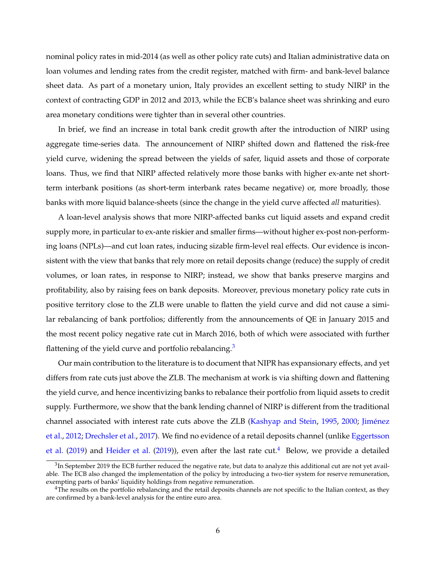nominal policy rates in mid-2014 (as well as other policy rate cuts) and Italian administrative data on loan volumes and lending rates from the credit register, matched with firm- and bank-level balance sheet data. As part of a monetary union, Italy provides an excellent setting to study NIRP in the context of contracting GDP in 2012 and 2013, while the ECB's balance sheet was shrinking and euro area monetary conditions were tighter than in several other countries.

In brief, we find an increase in total bank credit growth after the introduction of NIRP using aggregate time-series data. The announcement of NIRP shifted down and flattened the risk-free yield curve, widening the spread between the yields of safer, liquid assets and those of corporate loans. Thus, we find that NIRP affected relatively more those banks with higher ex-ante net shortterm interbank positions (as short-term interbank rates became negative) or, more broadly, those banks with more liquid balance-sheets (since the change in the yield curve affected *all* maturities).

A loan-level analysis shows that more NIRP-affected banks cut liquid assets and expand credit supply more, in particular to ex-ante riskier and smaller firms—without higher ex-post non-performing loans (NPLs)—and cut loan rates, inducing sizable firm-level real effects. Our evidence is inconsistent with the view that banks that rely more on retail deposits change (reduce) the supply of credit volumes, or loan rates, in response to NIRP; instead, we show that banks preserve margins and profitability, also by raising fees on bank deposits. Moreover, previous monetary policy rate cuts in positive territory close to the ZLB were unable to flatten the yield curve and did not cause a similar rebalancing of bank portfolios; differently from the announcements of QE in January 2015 and the most recent policy negative rate cut in March 2016, both of which were associated with further flattening of the yield curve and portfolio rebalancing. $3$ 

Our main contribution to the literature is to document that NIPR has expansionary effects, and yet differs from rate cuts just above the ZLB. The mechanism at work is via shifting down and flattening the yield curve, and hence incentivizing banks to rebalance their portfolio from liquid assets to credit supply. Furthermore, we show that the bank lending channel of NIRP is different from the traditional channel associated with interest rate cuts above the ZLB [\(Kashyap and Stein,](#page-41-1) [1995,](#page-41-1) [2000;](#page-41-2) [Jiménez](#page-41-3) [et al.,](#page-41-3) [2012;](#page-41-3) [Drechsler et al.,](#page-40-1) [2017\)](#page-40-1). We find no evidence of a retail deposits channel (unlike [Eggertsson](#page-40-0) [et al.](#page-40-0) [\(2019\)](#page-40-2) and [Heider et al.](#page-40-2) (2019)), even after the last rate cut.<sup>[4](#page--1-0)</sup> Below, we provide a detailed

 $^3$ In September 2019 the ECB further reduced the negative rate, but data to analyze this additional cut are not yet available. The ECB also changed the implementation of the policy by introducing a two-tier system for reserve remuneration, exempting parts of banks' liquidity holdings from negative remuneration.

<sup>&</sup>lt;sup>4</sup>The results on the portfolio rebalancing and the retail deposits channels are not specific to the Italian context, as they are confirmed by a bank-level analysis for the entire euro area.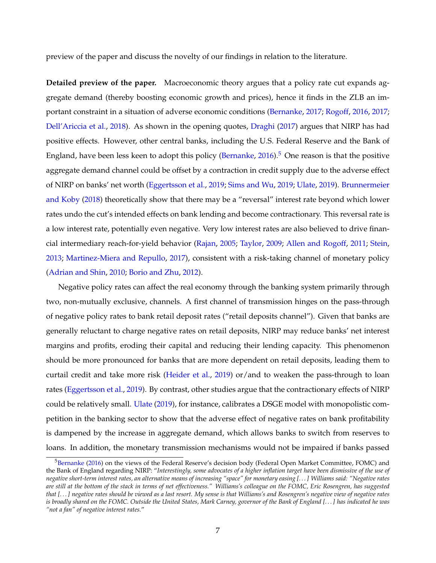preview of the paper and discuss the novelty of our findings in relation to the literature.

**Detailed preview of the paper.** Macroeconomic theory argues that a policy rate cut expands aggregate demand (thereby boosting economic growth and prices), hence it finds in the ZLB an important constraint in a situation of adverse economic conditions [\(Bernanke,](#page-39-0) [2017;](#page-39-0) [Rogoff,](#page-42-0) [2016,](#page-42-0) [2017;](#page-41-0) [Dell'Ariccia et al.,](#page-39-2) [2018\)](#page-39-2). As shown in the opening quotes, [Draghi](#page-40-3) [\(2017\)](#page-40-3) argues that NIRP has had positive effects. However, other central banks, including the U.S. Federal Reserve and the Bank of England, have been less keen to adopt this policy [\(Bernanke,](#page-39-3)  $2016$ ).<sup>[5](#page--1-0)</sup> One reason is that the positive aggregate demand channel could be offset by a contraction in credit supply due to the adverse effect of NIRP on banks' net worth [\(Eggertsson et al.,](#page-40-0) [2019;](#page-40-0) [Sims and Wu,](#page-42-1) [2019;](#page-42-1) [Ulate,](#page-42-2) [2019\)](#page-42-2). [Brunnermeier](#page-39-1) [and Koby](#page-39-1) [\(2018\)](#page-39-1) theoretically show that there may be a "reversal" interest rate beyond which lower rates undo the cut's intended effects on bank lending and become contractionary. This reversal rate is a low interest rate, potentially even negative. Very low interest rates are also believed to drive financial intermediary reach-for-yield behavior [\(Rajan,](#page-41-4) [2005;](#page-41-4) [Taylor,](#page-42-3) [2009;](#page-42-3) [Allen and Rogoff,](#page-38-0) [2011;](#page-38-0) [Stein,](#page-42-4) [2013;](#page-42-4) [Martinez-Miera and Repullo,](#page-41-5) [2017\)](#page-41-5), consistent with a risk-taking channel of monetary policy [\(Adrian and Shin,](#page-38-1) [2010;](#page-38-1) [Borio and Zhu,](#page-39-4) [2012\)](#page-39-4).

Negative policy rates can affect the real economy through the banking system primarily through two, non-mutually exclusive, channels. A first channel of transmission hinges on the pass-through of negative policy rates to bank retail deposit rates ("retail deposits channel"). Given that banks are generally reluctant to charge negative rates on retail deposits, NIRP may reduce banks' net interest margins and profits, eroding their capital and reducing their lending capacity. This phenomenon should be more pronounced for banks that are more dependent on retail deposits, leading them to curtail credit and take more risk [\(Heider et al.,](#page-40-2) [2019\)](#page-40-2) or/and to weaken the pass-through to loan rates [\(Eggertsson et al.,](#page-40-0) [2019\)](#page-40-0). By contrast, other studies argue that the contractionary effects of NIRP could be relatively small. [Ulate](#page-42-2) [\(2019\)](#page-42-2), for instance, calibrates a DSGE model with monopolistic competition in the banking sector to show that the adverse effect of negative rates on bank profitability is dampened by the increase in aggregate demand, which allows banks to switch from reserves to loans. In addition, the monetary transmission mechanisms would not be impaired if banks passed

<sup>&</sup>lt;sup>5</sup>[Bernanke](#page-39-3) [\(2016\)](#page-39-3) on the views of the Federal Reserve's decision body (Federal Open Market Committee, FOMC) and the Bank of England regarding NIRP: "*Interestingly, some advocates of a higher inflation target have been dismissive of the use of negative short-term interest rates, an alternative means of increasing "space" for monetary easing [. . . ] Williams said: "Negative rates are still at the bottom of the stack in terms of net effectiveness." Williams's colleague on the FOMC, Eric Rosengren, has suggested that [. . . ] negative rates should be viewed as a last resort. My sense is that Williams's and Rosengren's negative view of negative rates is broadly shared on the FOMC. Outside the United States, Mark Carney, governor of the Bank of England [. . . ] has indicated he was "not a fan" of negative interest rates.*"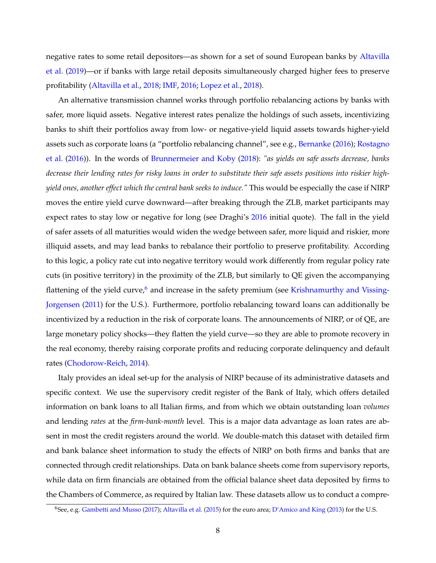negative rates to some retail depositors—as shown for a set of sound European banks by [Altavilla](#page-38-2) [et al.](#page-38-2) [\(2019\)](#page-38-2)—or if banks with large retail deposits simultaneously charged higher fees to preserve profitability [\(Altavilla et al.,](#page-38-3) [2018;](#page-38-3) [IMF,](#page-40-4) [2016;](#page-40-4) [Lopez et al.,](#page-41-6) [2018\)](#page-41-6).

An alternative transmission channel works through portfolio rebalancing actions by banks with safer, more liquid assets. Negative interest rates penalize the holdings of such assets, incentivizing banks to shift their portfolios away from low- or negative-yield liquid assets towards higher-yield assets such as corporate loans (a "portfolio rebalancing channel", see e.g., [Bernanke](#page-39-3) [\(2016\)](#page-39-3); [Rostagno](#page-42-5) [et al.](#page-42-5) [\(2016\)](#page-42-5)). In the words of [Brunnermeier and Koby](#page-39-1) [\(2018\)](#page-39-1): "*as yields on safe assets decrease, banks decrease their lending rates for risky loans in order to substitute their safe assets positions into riskier highyield ones, another effect which the central bank seeks to induce."* This would be especially the case if NIRP moves the entire yield curve downward—after breaking through the ZLB, market participants may expect rates to stay low or negative for long (see Draghi's [2016](#page-40-5) initial quote). The fall in the yield of safer assets of all maturities would widen the wedge between safer, more liquid and riskier, more illiquid assets, and may lead banks to rebalance their portfolio to preserve profitability. According to this logic, a policy rate cut into negative territory would work differently from regular policy rate cuts (in positive territory) in the proximity of the ZLB, but similarly to QE given the accompanying flattening of the yield curve, $6$  and increase in the safety premium (see [Krishnamurthy and Vissing-](#page-41-7)[Jorgensen](#page-41-7) [\(2011\)](#page-41-7) for the U.S.). Furthermore, portfolio rebalancing toward loans can additionally be incentivized by a reduction in the risk of corporate loans. The announcements of NIRP, or of QE, are large monetary policy shocks—they flatten the yield curve—so they are able to promote recovery in the real economy, thereby raising corporate profits and reducing corporate delinquency and default rates [\(Chodorow-Reich,](#page-39-5) [2014\)](#page-39-5).

Italy provides an ideal set-up for the analysis of NIRP because of its administrative datasets and specific context. We use the supervisory credit register of the Bank of Italy, which offers detailed information on bank loans to all Italian firms, and from which we obtain outstanding loan *volumes* and lending *rates* at the *firm-bank-month* level. This is a major data advantage as loan rates are absent in most the credit registers around the world. We double-match this dataset with detailed firm and bank balance sheet information to study the effects of NIRP on both firms and banks that are connected through credit relationships. Data on bank balance sheets come from supervisory reports, while data on firm financials are obtained from the official balance sheet data deposited by firms to the Chambers of Commerce, as required by Italian law. These datasets allow us to conduct a compre-

<sup>6</sup>See, e.g. [Gambetti and Musso](#page-40-6) [\(2017\)](#page-40-6); [Altavilla et al.](#page-38-4) [\(2015\)](#page-38-4) for the euro area; [D'Amico and King](#page-39-6) [\(2013\)](#page-39-6) for the U.S.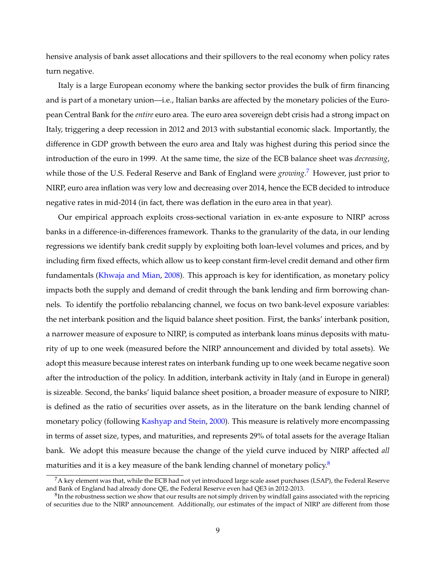hensive analysis of bank asset allocations and their spillovers to the real economy when policy rates turn negative.

Italy is a large European economy where the banking sector provides the bulk of firm financing and is part of a monetary union—i.e., Italian banks are affected by the monetary policies of the European Central Bank for the *entire* euro area. The euro area sovereign debt crisis had a strong impact on Italy, triggering a deep recession in 2012 and 2013 with substantial economic slack. Importantly, the difference in GDP growth between the euro area and Italy was highest during this period since the introduction of the euro in 1999. At the same time, the size of the ECB balance sheet was *decreasing*, while those of the U.S. Federal Reserve and Bank of England were *growing*. [7](#page--1-0) However, just prior to NIRP, euro area inflation was very low and decreasing over 2014, hence the ECB decided to introduce negative rates in mid-2014 (in fact, there was deflation in the euro area in that year).

Our empirical approach exploits cross-sectional variation in ex-ante exposure to NIRP across banks in a difference-in-differences framework. Thanks to the granularity of the data, in our lending regressions we identify bank credit supply by exploiting both loan-level volumes and prices, and by including firm fixed effects, which allow us to keep constant firm-level credit demand and other firm fundamentals [\(Khwaja and Mian,](#page-41-8) [2008\)](#page-41-8). This approach is key for identification, as monetary policy impacts both the supply and demand of credit through the bank lending and firm borrowing channels. To identify the portfolio rebalancing channel, we focus on two bank-level exposure variables: the net interbank position and the liquid balance sheet position. First, the banks' interbank position, a narrower measure of exposure to NIRP, is computed as interbank loans minus deposits with maturity of up to one week (measured before the NIRP announcement and divided by total assets). We adopt this measure because interest rates on interbank funding up to one week became negative soon after the introduction of the policy. In addition, interbank activity in Italy (and in Europe in general) is sizeable. Second, the banks' liquid balance sheet position, a broader measure of exposure to NIRP, is defined as the ratio of securities over assets, as in the literature on the bank lending channel of monetary policy (following [Kashyap and Stein,](#page-41-2) [2000\)](#page-41-2). This measure is relatively more encompassing in terms of asset size, types, and maturities, and represents 29% of total assets for the average Italian bank. We adopt this measure because the change of the yield curve induced by NIRP affected *all* maturities and it is a key measure of the bank lending channel of monetary policy. $8$ 

 $7A$  key element was that, while the ECB had not yet introduced large scale asset purchases (LSAP), the Federal Reserve and Bank of England had already done QE, the Federal Reserve even had QE3 in 2012-2013.

 ${}^8{\rm In}$  the robustness section we show that our results are not simply driven by windfall gains associated with the repricing of securities due to the NIRP announcement. Additionally, our estimates of the impact of NIRP are different from those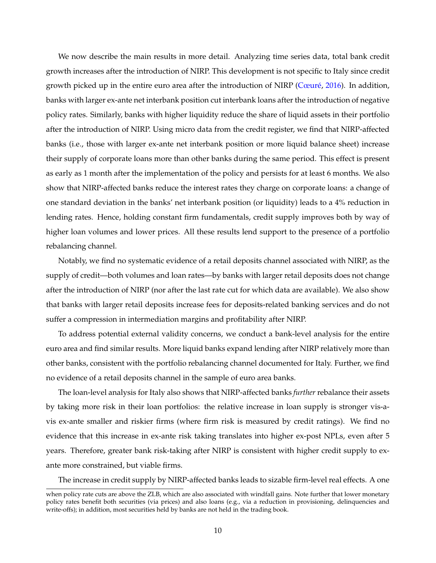We now describe the main results in more detail. Analyzing time series data, total bank credit growth increases after the introduction of NIRP. This development is not specific to Italy since credit growth picked up in the entire euro area after the introduction of NIRP [\(Cœuré,](#page-39-7) [2016\)](#page-39-7). In addition, banks with larger ex-ante net interbank position cut interbank loans after the introduction of negative policy rates. Similarly, banks with higher liquidity reduce the share of liquid assets in their portfolio after the introduction of NIRP. Using micro data from the credit register, we find that NIRP-affected banks (i.e., those with larger ex-ante net interbank position or more liquid balance sheet) increase their supply of corporate loans more than other banks during the same period. This effect is present as early as 1 month after the implementation of the policy and persists for at least 6 months. We also show that NIRP-affected banks reduce the interest rates they charge on corporate loans: a change of one standard deviation in the banks' net interbank position (or liquidity) leads to a 4% reduction in lending rates. Hence, holding constant firm fundamentals, credit supply improves both by way of higher loan volumes and lower prices. All these results lend support to the presence of a portfolio rebalancing channel.

Notably, we find no systematic evidence of a retail deposits channel associated with NIRP, as the supply of credit—both volumes and loan rates—by banks with larger retail deposits does not change after the introduction of NIRP (nor after the last rate cut for which data are available). We also show that banks with larger retail deposits increase fees for deposits-related banking services and do not suffer a compression in intermediation margins and profitability after NIRP.

To address potential external validity concerns, we conduct a bank-level analysis for the entire euro area and find similar results. More liquid banks expand lending after NIRP relatively more than other banks, consistent with the portfolio rebalancing channel documented for Italy. Further, we find no evidence of a retail deposits channel in the sample of euro area banks.

The loan-level analysis for Italy also shows that NIRP-affected banks *further* rebalance their assets by taking more risk in their loan portfolios: the relative increase in loan supply is stronger vis-avis ex-ante smaller and riskier firms (where firm risk is measured by credit ratings). We find no evidence that this increase in ex-ante risk taking translates into higher ex-post NPLs, even after 5 years. Therefore, greater bank risk-taking after NIRP is consistent with higher credit supply to exante more constrained, but viable firms.

The increase in credit supply by NIRP-affected banks leads to sizable firm-level real effects. A one

when policy rate cuts are above the ZLB, which are also associated with windfall gains. Note further that lower monetary policy rates benefit both securities (via prices) and also loans (e.g., via a reduction in provisioning, delinquencies and write-offs); in addition, most securities held by banks are not held in the trading book.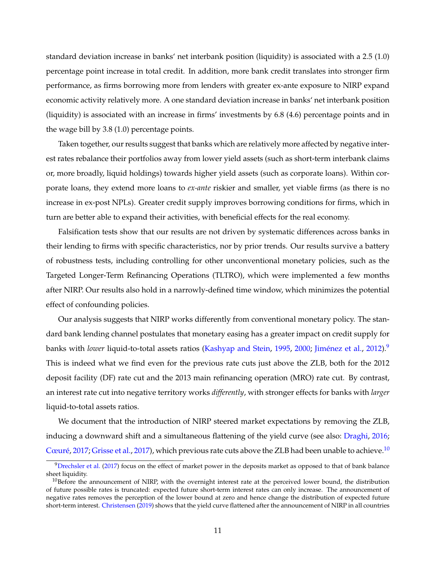standard deviation increase in banks' net interbank position (liquidity) is associated with a 2.5 (1.0) percentage point increase in total credit. In addition, more bank credit translates into stronger firm performance, as firms borrowing more from lenders with greater ex-ante exposure to NIRP expand economic activity relatively more. A one standard deviation increase in banks' net interbank position (liquidity) is associated with an increase in firms' investments by 6.8 (4.6) percentage points and in the wage bill by 3.8 (1.0) percentage points.

Taken together, our results suggest that banks which are relatively more affected by negative interest rates rebalance their portfolios away from lower yield assets (such as short-term interbank claims or, more broadly, liquid holdings) towards higher yield assets (such as corporate loans). Within corporate loans, they extend more loans to *ex-ante* riskier and smaller, yet viable firms (as there is no increase in ex-post NPLs). Greater credit supply improves borrowing conditions for firms, which in turn are better able to expand their activities, with beneficial effects for the real economy.

Falsification tests show that our results are not driven by systematic differences across banks in their lending to firms with specific characteristics, nor by prior trends. Our results survive a battery of robustness tests, including controlling for other unconventional monetary policies, such as the Targeted Longer-Term Refinancing Operations (TLTRO), which were implemented a few months after NIRP. Our results also hold in a narrowly-defined time window, which minimizes the potential effect of confounding policies.

Our analysis suggests that NIRP works differently from conventional monetary policy. The standard bank lending channel postulates that monetary easing has a greater impact on credit supply for banks with *lower* liquid-to-total assets ratios [\(Kashyap and Stein,](#page-41-1) [1995,](#page-41-1) [2000;](#page-41-2) [Jiménez et al.,](#page-41-3) [2012\)](#page-41-3).[9](#page--1-0) This is indeed what we find even for the previous rate cuts just above the ZLB, both for the 2012 deposit facility (DF) rate cut and the 2013 main refinancing operation (MRO) rate cut. By contrast, an interest rate cut into negative territory works *differently*, with stronger effects for banks with *larger* liquid-to-total assets ratios.

We document that the introduction of NIRP steered market expectations by removing the ZLB, inducing a downward shift and a simultaneous flattening of the yield curve (see also: [Draghi,](#page-40-5) [2016;](#page-40-5) [Cœuré,](#page-39-8) [2017;](#page-39-8) [Grisse et al.,](#page-40-7) [2017\)](#page-40-7), which previous rate cuts above the ZLB had been unable to achieve.<sup>[10](#page--1-0)</sup>

 $9$ [Drechsler et al.](#page-40-1) [\(2017\)](#page-40-1) focus on the effect of market power in the deposits market as opposed to that of bank balance sheet liquidity.

 $10B$  Before the announcement of NIRP, with the overnight interest rate at the perceived lower bound, the distribution of future possible rates is truncated: expected future short-term interest rates can only increase. The announcement of negative rates removes the perception of the lower bound at zero and hence change the distribution of expected future short-term interest. [Christensen](#page-39-9) [\(2019\)](#page-39-9) shows that the yield curve flattened after the announcement of NIRP in all countries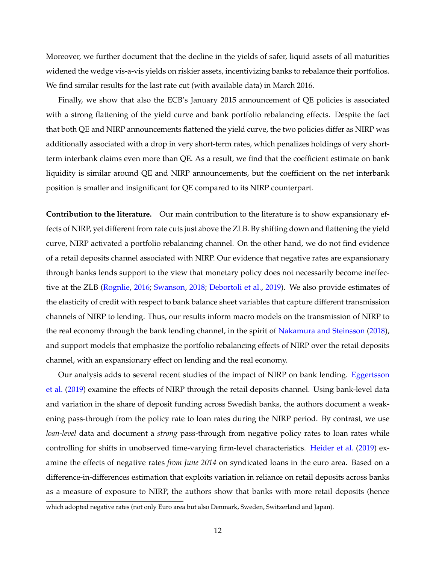Moreover, we further document that the decline in the yields of safer, liquid assets of all maturities widened the wedge vis-a-vis yields on riskier assets, incentivizing banks to rebalance their portfolios. We find similar results for the last rate cut (with available data) in March 2016.

Finally, we show that also the ECB's January 2015 announcement of QE policies is associated with a strong flattening of the yield curve and bank portfolio rebalancing effects. Despite the fact that both QE and NIRP announcements flattened the yield curve, the two policies differ as NIRP was additionally associated with a drop in very short-term rates, which penalizes holdings of very shortterm interbank claims even more than QE. As a result, we find that the coefficient estimate on bank liquidity is similar around QE and NIRP announcements, but the coefficient on the net interbank position is smaller and insignificant for QE compared to its NIRP counterpart.

**Contribution to the literature.** Our main contribution to the literature is to show expansionary effects of NIRP, yet different from rate cuts just above the ZLB. By shifting down and flattening the yield curve, NIRP activated a portfolio rebalancing channel. On the other hand, we do not find evidence of a retail deposits channel associated with NIRP. Our evidence that negative rates are expansionary through banks lends support to the view that monetary policy does not necessarily become ineffective at the ZLB [\(Rognlie,](#page-41-9) [2016;](#page-41-9) [Swanson,](#page-42-6) [2018;](#page-42-6) [Debortoli et al.,](#page-39-10) [2019\)](#page-39-10). We also provide estimates of the elasticity of credit with respect to bank balance sheet variables that capture different transmission channels of NIRP to lending. Thus, our results inform macro models on the transmission of NIRP to the real economy through the bank lending channel, in the spirit of [Nakamura and Steinsson](#page-41-10) [\(2018\)](#page-41-10), and support models that emphasize the portfolio rebalancing effects of NIRP over the retail deposits channel, with an expansionary effect on lending and the real economy.

Our analysis adds to several recent studies of the impact of NIRP on bank lending. [Eggertsson](#page-40-0) [et al.](#page-40-0) [\(2019\)](#page-40-0) examine the effects of NIRP through the retail deposits channel. Using bank-level data and variation in the share of deposit funding across Swedish banks, the authors document a weakening pass-through from the policy rate to loan rates during the NIRP period. By contrast, we use *loan-level* data and document a *strong* pass-through from negative policy rates to loan rates while controlling for shifts in unobserved time-varying firm-level characteristics. [Heider et al.](#page-40-2) [\(2019\)](#page-40-2) examine the effects of negative rates *from June 2014* on syndicated loans in the euro area. Based on a difference-in-differences estimation that exploits variation in reliance on retail deposits across banks as a measure of exposure to NIRP, the authors show that banks with more retail deposits (hence

which adopted negative rates (not only Euro area but also Denmark, Sweden, Switzerland and Japan).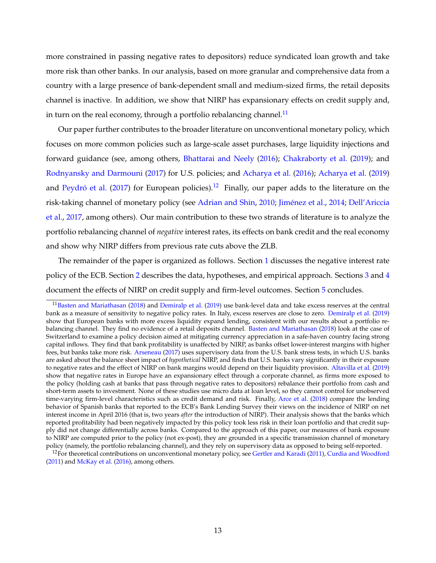more constrained in passing negative rates to depositors) reduce syndicated loan growth and take more risk than other banks. In our analysis, based on more granular and comprehensive data from a country with a large presence of bank-dependent small and medium-sized firms, the retail deposits channel is inactive. In addition, we show that NIRP has expansionary effects on credit supply and, in turn on the real economy, through a portfolio rebalancing channel.<sup>[11](#page--1-0)</sup>

Our paper further contributes to the broader literature on unconventional monetary policy, which focuses on more common policies such as large-scale asset purchases, large liquidity injections and forward guidance (see, among others, [Bhattarai and Neely](#page-39-11) [\(2016\)](#page-39-11); [Chakraborty et al.](#page-39-12) [\(2019\)](#page-39-12); and [Rodnyansky and Darmouni](#page-41-11) [\(2017\)](#page-41-11) for U.S. policies; and [Acharya et al.](#page-38-5) [\(2016\)](#page-38-5); [Acharya et al.](#page-38-6) [\(2019\)](#page-38-6) and [Peydró et al.](#page-41-12) [\(2017\)](#page-41-12) for European policies).<sup>[12](#page--1-0)</sup> Finally, our paper adds to the literature on the risk-taking channel of monetary policy (see [Adrian and Shin,](#page-38-1) [2010;](#page-38-1) [Jiménez et al.,](#page-41-13) [2014;](#page-41-13) [Dell'Ariccia](#page-39-13) [et al.,](#page-39-13) [2017,](#page-39-13) among others). Our main contribution to these two strands of literature is to analyze the portfolio rebalancing channel of *negative* interest rates, its effects on bank credit and the real economy and show why NIRP differs from previous rate cuts above the ZLB.

The remainder of the paper is organized as follows. Section [1](#page-6-0) discusses the negative interest rate policy of the ECB. Section [2](#page-15-0) describes the data, hypotheses, and empirical approach. Sections [3](#page-17-0) and [4](#page-25-0) document the effects of NIRP on credit supply and firm-level outcomes. Section [5](#page-35-0) concludes.

<sup>&</sup>lt;sup>11</sup>[Basten and Mariathasan](#page-38-7) [\(2018\)](#page-38-7) and [Demiralp et al.](#page-40-8) [\(2019\)](#page-40-8) use bank-level data and take excess reserves at the central bank as a measure of sensitivity to negative policy rates. In Italy, excess reserves are close to zero. [Demiralp et al.](#page-40-8) [\(2019\)](#page-40-8) show that European banks with more excess liquidity expand lending, consistent with our results about a portfolio rebalancing channel. They find no evidence of a retail deposits channel. [Basten and Mariathasan](#page-38-7) [\(2018\)](#page-38-7) look at the case of Switzerland to examine a policy decision aimed at mitigating currency appreciation in a safe-haven country facing strong capital inflows. They find that bank profitability is unaffected by NIRP, as banks offset lower-interest margins with higher fees, but banks take more risk. [Arseneau](#page-38-8) [\(2017\)](#page-38-8) uses supervisory data from the U.S. bank stress tests, in which U.S. banks are asked about the balance sheet impact of *hypothetical* NIRP, and finds that U.S. banks vary significantly in their exposure to negative rates and the effect of NIRP on bank margins would depend on their liquidity provision. [Altavilla et al.](#page-38-2) [\(2019\)](#page-38-2) show that negative rates in Europe have an expansionary effect through a corporate channel, as firms more exposed to the policy (holding cash at banks that pass through negative rates to depositors) rebalance their portfolio from cash and short-term assets to investment. None of these studies use micro data at loan level, so they cannot control for unobserved time-varying firm-level characteristics such as credit demand and risk. Finally, [Arce et al.](#page-38-9) [\(2018\)](#page-38-9) compare the lending behavior of Spanish banks that reported to the ECB's Bank Lending Survey their views on the incidence of NIRP on net interest income in April 2016 (that is, two years *after* the introduction of NIRP). Their analysis shows that the banks which reported profitability had been negatively impacted by this policy took less risk in their loan portfolio and that credit supply did not change differentially across banks. Compared to the approach of this paper, our measures of bank exposure to NIRP are computed prior to the policy (not ex-post), they are grounded in a specific transmission channel of monetary policy (namely, the portfolio rebalancing channel), and they rely on supervisory data as opposed to being self-reported.

 $12$ For theoretical contributions on unconventional monetary policy, see [Gertler and Karadi](#page-40-9) [\(2011\)](#page-40-9), [Curdia and Woodford](#page-39-14) [\(2011\)](#page-39-14) and [McKay et al.](#page-41-14) [\(2016\)](#page-41-14), among others.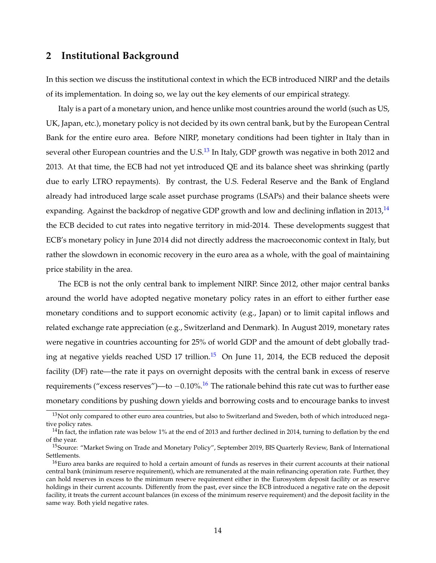# <span id="page-15-0"></span>**2 Institutional Background**

In this section we discuss the institutional context in which the ECB introduced NIRP and the details of its implementation. In doing so, we lay out the key elements of our empirical strategy.

Italy is a part of a monetary union, and hence unlike most countries around the world (such as US, UK, Japan, etc.), monetary policy is not decided by its own central bank, but by the European Central Bank for the entire euro area. Before NIRP, monetary conditions had been tighter in Italy than in several other European countries and the U.S.<sup>[13](#page--1-0)</sup> In Italy, GDP growth was negative in both 2012 and 2013. At that time, the ECB had not yet introduced QE and its balance sheet was shrinking (partly due to early LTRO repayments). By contrast, the U.S. Federal Reserve and the Bank of England already had introduced large scale asset purchase programs (LSAPs) and their balance sheets were expanding. Against the backdrop of negative GDP growth and low and declining inflation in  $2013<sup>14</sup>$  $2013<sup>14</sup>$  $2013<sup>14</sup>$ the ECB decided to cut rates into negative territory in mid-2014. These developments suggest that ECB's monetary policy in June 2014 did not directly address the macroeconomic context in Italy, but rather the slowdown in economic recovery in the euro area as a whole, with the goal of maintaining price stability in the area.

The ECB is not the only central bank to implement NIRP. Since 2012, other major central banks around the world have adopted negative monetary policy rates in an effort to either further ease monetary conditions and to support economic activity (e.g., Japan) or to limit capital inflows and related exchange rate appreciation (e.g., Switzerland and Denmark). In August 2019, monetary rates were negative in countries accounting for 25% of world GDP and the amount of debt globally trad-ing at negative yields reached USD 17 trillion.<sup>[15](#page--1-0)</sup> On June 11, 2014, the ECB reduced the deposit facility (DF) rate—the rate it pays on overnight deposits with the central bank in excess of reserve requirements ("excess reserves")—to  $-0.10\%$ .<sup>[16](#page--1-0)</sup> The rationale behind this rate cut was to further ease monetary conditions by pushing down yields and borrowing costs and to encourage banks to invest

<sup>&</sup>lt;sup>13</sup>Not only compared to other euro area countries, but also to Switzerland and Sweden, both of which introduced negative policy rates.

 $14$ In fact, the inflation rate was below 1% at the end of 2013 and further declined in 2014, turning to deflation by the end of the year.

<sup>&</sup>lt;sup>15</sup>Source: "Market Swing on Trade and Monetary Policy", September 2019, BIS Quarterly Review, Bank of International Settlements.

<sup>&</sup>lt;sup>16</sup>Euro area banks are required to hold a certain amount of funds as reserves in their current accounts at their national central bank (minimum reserve requirement), which are remunerated at the main refinancing operation rate. Further, they can hold reserves in excess to the minimum reserve requirement either in the Eurosystem deposit facility or as reserve holdings in their current accounts. Differently from the past, ever since the ECB introduced a negative rate on the deposit facility, it treats the current account balances (in excess of the minimum reserve requirement) and the deposit facility in the same way. Both yield negative rates.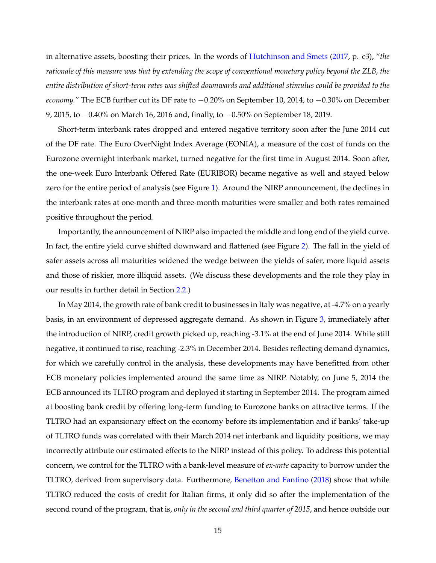in alternative assets, boosting their prices. In the words of [Hutchinson and Smets](#page-40-10) [\(2017,](#page-40-10) p. c3), "*the rationale of this measure was that by extending the scope of conventional monetary policy beyond the ZLB, the entire distribution of short-term rates was shifted downwards and additional stimulus could be provided to the economy.*" The ECB further cut its DF rate to  $-0.20\%$  on September 10, 2014, to  $-0.30\%$  on December 9, 2015, to −0.40% on March 16, 2016 and, finally, to −0.50% on September 18, 2019.

Short-term interbank rates dropped and entered negative territory soon after the June 2014 cut of the DF rate. The Euro OverNight Index Average (EONIA), a measure of the cost of funds on the Eurozone overnight interbank market, turned negative for the first time in August 2014. Soon after, the one-week Euro Interbank Offered Rate (EURIBOR) became negative as well and stayed below zero for the entire period of analysis (see Figure [1\)](#page-43-0). Around the NIRP announcement, the declines in the interbank rates at one-month and three-month maturities were smaller and both rates remained positive throughout the period.

Importantly, the announcement of NIRP also impacted the middle and long end of the yield curve. In fact, the entire yield curve shifted downward and flattened (see Figure [2\)](#page-44-0). The fall in the yield of safer assets across all maturities widened the wedge between the yields of safer, more liquid assets and those of riskier, more illiquid assets. (We discuss these developments and the role they play in our results in further detail in Section [2.2.](#page--1-0))

In May 2014, the growth rate of bank credit to businesses in Italy was negative, at -4.7% on a yearly basis, in an environment of depressed aggregate demand. As shown in Figure [3,](#page-44-1) immediately after the introduction of NIRP, credit growth picked up, reaching -3.1% at the end of June 2014. While still negative, it continued to rise, reaching -2.3% in December 2014. Besides reflecting demand dynamics, for which we carefully control in the analysis, these developments may have benefitted from other ECB monetary policies implemented around the same time as NIRP. Notably, on June 5, 2014 the ECB announced its TLTRO program and deployed it starting in September 2014. The program aimed at boosting bank credit by offering long-term funding to Eurozone banks on attractive terms. If the TLTRO had an expansionary effect on the economy before its implementation and if banks' take-up of TLTRO funds was correlated with their March 2014 net interbank and liquidity positions, we may incorrectly attribute our estimated effects to the NIRP instead of this policy. To address this potential concern, we control for the TLTRO with a bank-level measure of *ex-ante* capacity to borrow under the TLTRO, derived from supervisory data. Furthermore, [Benetton and Fantino](#page-39-15) [\(2018\)](#page-39-15) show that while TLTRO reduced the costs of credit for Italian firms, it only did so after the implementation of the second round of the program, that is, *only in the second and third quarter of 2015*, and hence outside our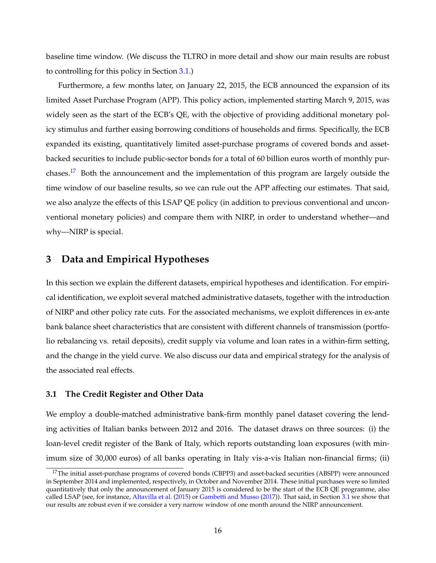baseline time window. (We discuss the TLTRO in more detail and show our main results are robust to controlling for this policy in Section [3.1.](#page-17-1))

Furthermore, a few months later, on January 22, 2015, the ECB announced the expansion of its limited Asset Purchase Program (APP). This policy action, implemented starting March 9, 2015, was widely seen as the start of the ECB's QE, with the objective of providing additional monetary policy stimulus and further easing borrowing conditions of households and firms. Specifically, the ECB expanded its existing, quantitatively limited asset-purchase programs of covered bonds and assetbacked securities to include public-sector bonds for a total of 60 billion euros worth of monthly purchases.[17](#page--1-0) Both the announcement and the implementation of this program are largely outside the time window of our baseline results, so we can rule out the APP affecting our estimates. That said, we also analyze the effects of this LSAP QE policy (in addition to previous conventional and unconventional monetary policies) and compare them with NIRP, in order to understand whether—and why—NIRP is special.

# <span id="page-17-0"></span>**3 Data and Empirical Hypotheses**

In this section we explain the different datasets, empirical hypotheses and identification. For empirical identification, we exploit several matched administrative datasets, together with the introduction of NIRP and other policy rate cuts. For the associated mechanisms, we exploit differences in ex-ante bank balance sheet characteristics that are consistent with different channels of transmission (portfolio rebalancing vs. retail deposits), credit supply via volume and loan rates in a within-firm setting, and the change in the yield curve. We also discuss our data and empirical strategy for the analysis of the associated real effects.

## <span id="page-17-1"></span>**3.1 The Credit Register and Other Data**

We employ a double-matched administrative bank-firm monthly panel dataset covering the lending activities of Italian banks between 2012 and 2016. The dataset draws on three sources: (i) the loan-level credit register of the Bank of Italy, which reports outstanding loan exposures (with minimum size of 30,000 euros) of all banks operating in Italy vis-a-vis Italian non-financial firms; (ii)

<sup>&</sup>lt;sup>17</sup>The initial asset-purchase programs of covered bonds (CBPP3) and asset-backed securities (ABSPP) were announced in September 2014 and implemented, respectively, in October and November 2014. These initial purchases were so limited quantitatively that only the announcement of January 2015 is considered to be the start of the ECB QE programme, also called LSAP (see, for instance, [Altavilla et al.](#page-38-4) [\(2015\)](#page-38-4) or [Gambetti and Musso](#page-40-6) [\(2017\)](#page-40-6)). That said, in Section [3.1](#page-17-1) we show that our results are robust even if we consider a very narrow window of one month around the NIRP announcement.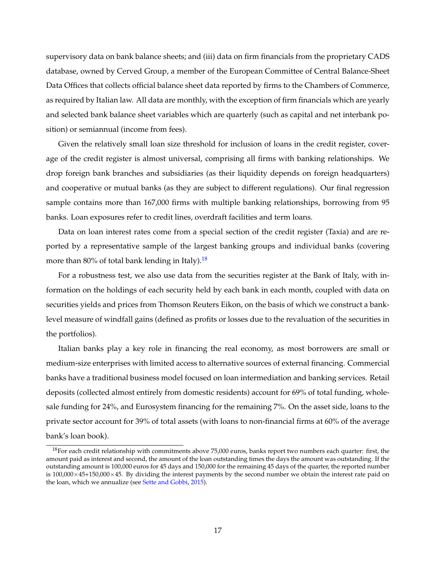supervisory data on bank balance sheets; and (iii) data on firm financials from the proprietary CADS database, owned by Cerved Group, a member of the European Committee of Central Balance-Sheet Data Offices that collects official balance sheet data reported by firms to the Chambers of Commerce, as required by Italian law. All data are monthly, with the exception of firm financials which are yearly and selected bank balance sheet variables which are quarterly (such as capital and net interbank position) or semiannual (income from fees).

Given the relatively small loan size threshold for inclusion of loans in the credit register, coverage of the credit register is almost universal, comprising all firms with banking relationships. We drop foreign bank branches and subsidiaries (as their liquidity depends on foreign headquarters) and cooperative or mutual banks (as they are subject to different regulations). Our final regression sample contains more than 167,000 firms with multiple banking relationships, borrowing from 95 banks. Loan exposures refer to credit lines, overdraft facilities and term loans.

Data on loan interest rates come from a special section of the credit register (Taxia) and are reported by a representative sample of the largest banking groups and individual banks (covering more than 80% of total bank lending in Italy).<sup>[18](#page--1-0)</sup>

For a robustness test, we also use data from the securities register at the Bank of Italy, with information on the holdings of each security held by each bank in each month, coupled with data on securities yields and prices from Thomson Reuters Eikon, on the basis of which we construct a banklevel measure of windfall gains (defined as profits or losses due to the revaluation of the securities in the portfolios).

Italian banks play a key role in financing the real economy, as most borrowers are small or medium-size enterprises with limited access to alternative sources of external financing. Commercial banks have a traditional business model focused on loan intermediation and banking services. Retail deposits (collected almost entirely from domestic residents) account for 69% of total funding, wholesale funding for 24%, and Eurosystem financing for the remaining 7%. On the asset side, loans to the private sector account for 39% of total assets (with loans to non-financial firms at 60% of the average bank's loan book).

 $18$ For each credit relationship with commitments above 75,000 euros, banks report two numbers each quarter: first, the amount paid as interest and second, the amount of the loan outstanding times the days the amount was outstanding. If the outstanding amount is 100,000 euros for 45 days and 150,000 for the remaining 45 days of the quarter, the reported number is 100,000×45+150,000×45. By dividing the interest payments by the second number we obtain the interest rate paid on the loan, which we annualize (see [Sette and Gobbi,](#page-42-7) [2015\)](#page-42-7).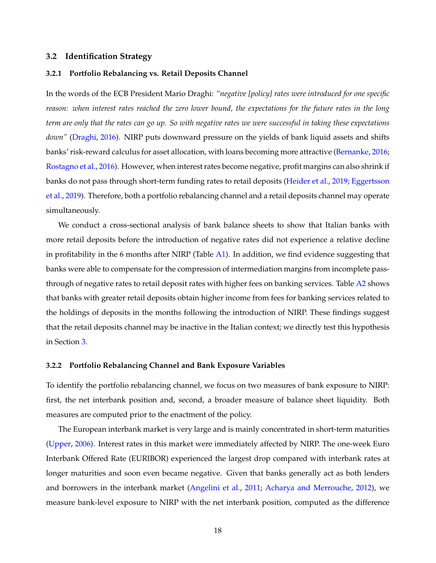## <span id="page-19-0"></span>**3.2 Identification Strategy**

## **3.2.1 Portfolio Rebalancing vs. Retail Deposits Channel**

In the words of the ECB President Mario Draghi: *"negative [policy] rates were introduced for one specific reason: when interest rates reached the zero lower bound, the expectations for the future rates in the long term are only that the rates can go up. So with negative rates we were successful in taking these expectations down"* [\(Draghi,](#page-40-5) [2016\)](#page-40-5). NIRP puts downward pressure on the yields of bank liquid assets and shifts banks' risk-reward calculus for asset allocation, with loans becoming more attractive [\(Bernanke,](#page-39-3) [2016;](#page-39-3) [Rostagno et al.,](#page-42-5) [2016\)](#page-42-5). However, when interest rates become negative, profit margins can also shrink if banks do not pass through short-term funding rates to retail deposits [\(Heider et al.,](#page-40-2) [2019;](#page-40-2) [Eggertsson](#page-40-0) [et al.,](#page-40-0) [2019\)](#page-40-0). Therefore, both a portfolio rebalancing channel and a retail deposits channel may operate simultaneously.

We conduct a cross-sectional analysis of bank balance sheets to show that Italian banks with more retail deposits before the introduction of negative rates did not experience a relative decline in profitability in the 6 months after NIRP (Table  $A1$ ). In addition, we find evidence suggesting that banks were able to compensate for the compression of intermediation margins from incomplete passthrough of negative rates to retail deposit rates with higher fees on banking services. Table [A2](#page-48-0) shows that banks with greater retail deposits obtain higher income from fees for banking services related to the holdings of deposits in the months following the introduction of NIRP. These findings suggest that the retail deposits channel may be inactive in the Italian context; we directly test this hypothesis in Section [3.](#page-17-0)

#### **3.2.2 Portfolio Rebalancing Channel and Bank Exposure Variables**

To identify the portfolio rebalancing channel, we focus on two measures of bank exposure to NIRP: first, the net interbank position and, second, a broader measure of balance sheet liquidity. Both measures are computed prior to the enactment of the policy.

The European interbank market is very large and is mainly concentrated in short-term maturities [\(Upper,](#page-42-8) [2006\)](#page-42-8). Interest rates in this market were immediately affected by NIRP. The one-week Euro Interbank Offered Rate (EURIBOR) experienced the largest drop compared with interbank rates at longer maturities and soon even became negative. Given that banks generally act as both lenders and borrowers in the interbank market [\(Angelini et al.,](#page-38-10) [2011;](#page-38-10) [Acharya and Merrouche,](#page-38-11) [2012\)](#page-38-11), we measure bank-level exposure to NIRP with the net interbank position, computed as the difference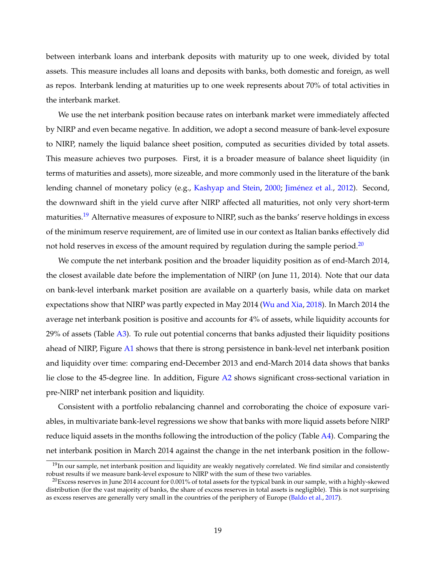between interbank loans and interbank deposits with maturity up to one week, divided by total assets. This measure includes all loans and deposits with banks, both domestic and foreign, as well as repos. Interbank lending at maturities up to one week represents about 70% of total activities in the interbank market.

We use the net interbank position because rates on interbank market were immediately affected by NIRP and even became negative. In addition, we adopt a second measure of bank-level exposure to NIRP, namely the liquid balance sheet position, computed as securities divided by total assets. This measure achieves two purposes. First, it is a broader measure of balance sheet liquidity (in terms of maturities and assets), more sizeable, and more commonly used in the literature of the bank lending channel of monetary policy (e.g., [Kashyap and Stein,](#page-41-2) [2000;](#page-41-2) [Jiménez et al.,](#page-41-3) [2012\)](#page-41-3). Second, the downward shift in the yield curve after NIRP affected all maturities, not only very short-term maturities.<sup>[19](#page--1-0)</sup> Alternative measures of exposure to NIRP, such as the banks' reserve holdings in excess of the minimum reserve requirement, are of limited use in our context as Italian banks effectively did not hold reserves in excess of the amount required by regulation during the sample period.<sup>[20](#page--1-0)</sup>

We compute the net interbank position and the broader liquidity position as of end-March 2014, the closest available date before the implementation of NIRP (on June 11, 2014). Note that our data on bank-level interbank market position are available on a quarterly basis, while data on market expectations show that NIRP was partly expected in May 2014 [\(Wu and Xia,](#page-42-9) [2018\)](#page-42-9). In March 2014 the average net interbank position is positive and accounts for 4% of assets, while liquidity accounts for  $29\%$  of assets (Table  $\overline{A3}$ ). To rule out potential concerns that banks adjusted their liquidity positions ahead of NIRP, Figure [A1](#page-43-0) shows that there is strong persistence in bank-level net interbank position and liquidity over time: comparing end-December 2013 and end-March 2014 data shows that banks lie close to the 45-degree line. In addition, Figure [A2](#page-44-0) shows significant cross-sectional variation in pre-NIRP net interbank position and liquidity.

Consistent with a portfolio rebalancing channel and corroborating the choice of exposure variables, in multivariate bank-level regressions we show that banks with more liquid assets before NIRP reduce liquid assets in the months following the introduction of the policy (Table [A4\)](#page-50-0). Comparing the net interbank position in March 2014 against the change in the net interbank position in the follow-

 $19$ In our sample, net interbank position and liquidity are weakly negatively correlated. We find similar and consistently robust results if we measure bank-level exposure to NIRP with the sum of these two variables.

<sup>&</sup>lt;sup>20</sup>Excess reserves in June 2014 account for 0.001% of total assets for the typical bank in our sample, with a highly-skewed distribution (for the vast majority of banks, the share of excess reserves in total assets is negligible). This is not surprising as excess reserves are generally very small in the countries of the periphery of Europe [\(Baldo et al.,](#page-38-12) [2017\)](#page-38-12).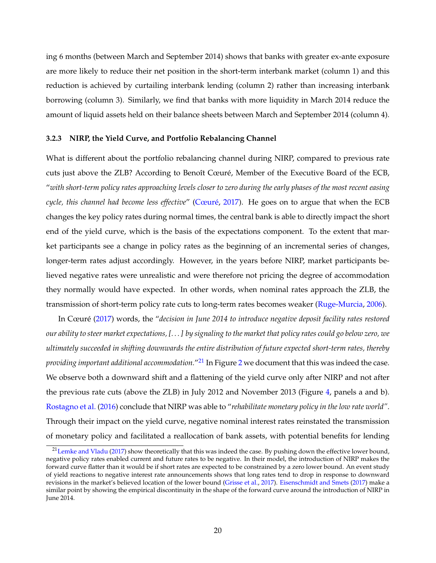ing 6 months (between March and September 2014) shows that banks with greater ex-ante exposure are more likely to reduce their net position in the short-term interbank market (column 1) and this reduction is achieved by curtailing interbank lending (column 2) rather than increasing interbank borrowing (column 3). Similarly, we find that banks with more liquidity in March 2014 reduce the amount of liquid assets held on their balance sheets between March and September 2014 (column 4).

## **3.2.3 NIRP, the Yield Curve, and Portfolio Rebalancing Channel**

What is different about the portfolio rebalancing channel during NIRP, compared to previous rate cuts just above the ZLB? According to Benoît Cœuré, Member of the Executive Board of the ECB, "*with short-term policy rates approaching levels closer to zero during the early phases of the most recent easing cycle, this channel had become less effective*" [\(Cœuré,](#page-39-8) [2017\)](#page-39-8). He goes on to argue that when the ECB changes the key policy rates during normal times, the central bank is able to directly impact the short end of the yield curve, which is the basis of the expectations component. To the extent that market participants see a change in policy rates as the beginning of an incremental series of changes, longer-term rates adjust accordingly. However, in the years before NIRP, market participants believed negative rates were unrealistic and were therefore not pricing the degree of accommodation they normally would have expected. In other words, when nominal rates approach the ZLB, the transmission of short-term policy rate cuts to long-term rates becomes weaker [\(Ruge-Murcia,](#page-42-10) [2006\)](#page-42-10).

In Cœuré [\(2017\)](#page-39-8) words, the "*decision in June 2014 to introduce negative deposit facility rates restored our ability to steer market expectations, [. . . ] by signaling to the market that policy rates could go below zero, we ultimately succeeded in shifting downwards the entire distribution of future expected short-term rates, thereby providing important additional accommodation.*" [21](#page--1-0) In Figure [2](#page-44-0) we document that this was indeed the case. We observe both a downward shift and a flattening of the yield curve only after NIRP and not after the previous rate cuts (above the ZLB) in July 2012 and November 2013 (Figure [4,](#page-45-0) panels a and b). [Rostagno et al.](#page-42-5) [\(2016\)](#page-42-5) conclude that NIRP was able to "*rehabilitate monetary policy in the low rate world"*. Through their impact on the yield curve, negative nominal interest rates reinstated the transmission of monetary policy and facilitated a reallocation of bank assets, with potential benefits for lending

<sup>&</sup>lt;sup>21</sup> [Lemke and Vladu](#page-41-15) [\(2017\)](#page-41-15) show theoretically that this was indeed the case. By pushing down the effective lower bound, negative policy rates enabled current and future rates to be negative. In their model, the introduction of NIRP makes the forward curve flatter than it would be if short rates are expected to be constrained by a zero lower bound. An event study of yield reactions to negative interest rate announcements shows that long rates tend to drop in response to downward revisions in the market's believed location of the lower bound [\(Grisse et al.,](#page-40-7) [2017\)](#page-40-7). [Eisenschmidt and Smets](#page-40-11) [\(2017\)](#page-40-11) make a similar point by showing the empirical discontinuity in the shape of the forward curve around the introduction of NIRP in June 2014.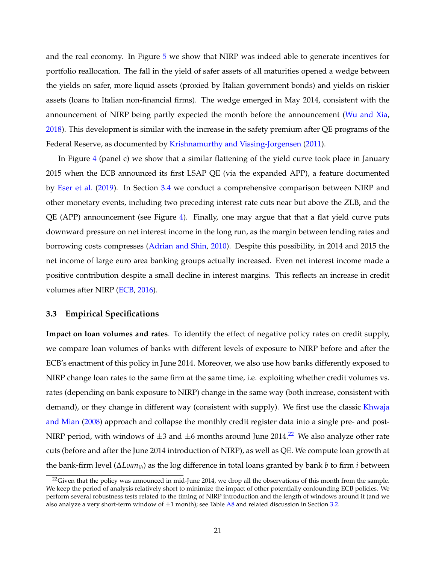and the real economy. In Figure [5](#page-46-0) we show that NIRP was indeed able to generate incentives for portfolio reallocation. The fall in the yield of safer assets of all maturities opened a wedge between the yields on safer, more liquid assets (proxied by Italian government bonds) and yields on riskier assets (loans to Italian non-financial firms). The wedge emerged in May 2014, consistent with the announcement of NIRP being partly expected the month before the announcement [\(Wu and Xia,](#page-42-9) [2018\)](#page-42-9). This development is similar with the increase in the safety premium after QE programs of the Federal Reserve, as documented by [Krishnamurthy and Vissing-Jorgensen](#page-41-7) [\(2011\)](#page-41-7).

In Figure [4](#page-45-0) (panel c) we show that a similar flattening of the yield curve took place in January 2015 when the ECB announced its first LSAP QE (via the expanded APP), a feature documented by [Eser et al.](#page-40-12) [\(2019\)](#page-40-12). In Section [3.4](#page--1-0) we conduct a comprehensive comparison between NIRP and other monetary events, including two preceding interest rate cuts near but above the ZLB, and the QE (APP) announcement (see Figure [4\)](#page-45-0). Finally, one may argue that that a flat yield curve puts downward pressure on net interest income in the long run, as the margin between lending rates and borrowing costs compresses [\(Adrian and Shin,](#page-38-1) [2010\)](#page-38-1). Despite this possibility, in 2014 and 2015 the net income of large euro area banking groups actually increased. Even net interest income made a positive contribution despite a small decline in interest margins. This reflects an increase in credit volumes after NIRP [\(ECB,](#page-40-13) [2016\)](#page-40-13).

## <span id="page-22-0"></span>**3.3 Empirical Specifications**

**Impact on loan volumes and rates**. To identify the effect of negative policy rates on credit supply, we compare loan volumes of banks with different levels of exposure to NIRP before and after the ECB's enactment of this policy in June 2014. Moreover, we also use how banks differently exposed to NIRP change loan rates to the same firm at the same time, i.e. exploiting whether credit volumes vs. rates (depending on bank exposure to NIRP) change in the same way (both increase, consistent with demand), or they change in different way (consistent with supply). We first use the classic [Khwaja](#page-41-8) [and Mian](#page-41-8) [\(2008\)](#page-41-8) approach and collapse the monthly credit register data into a single pre- and post-NIRP period, with windows of  $\pm 3$  and  $\pm 6$  months around June 2014.<sup>[22](#page--1-0)</sup> We also analyze other rate cuts (before and after the June 2014 introduction of NIRP), as well as QE. We compute loan growth at the bank-firm level (∆*Loanib*) as the log difference in total loans granted by bank *b* to firm *i* between

 $^{22}$ Given that the policy was announced in mid-June 2014, we drop all the observations of this month from the sample. We keep the period of analysis relatively short to minimize the impact of other potentially confounding ECB policies. We perform several robustness tests related to the timing of NIRP introduction and the length of windows around it (and we also analyze a very short-term window of  $\pm 1$  month); see Table [A8](#page-61-0) and related discussion in Section [3.2.](#page-19-0)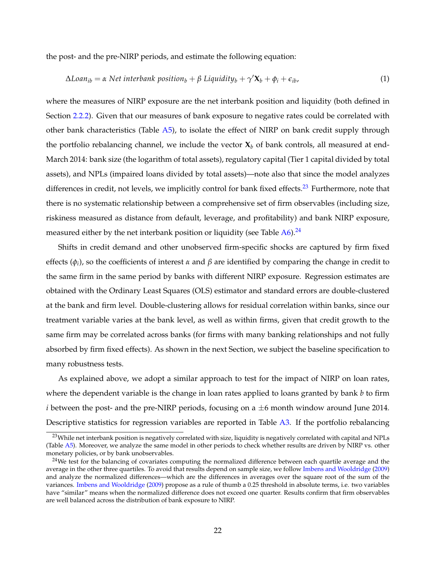the post- and the pre-NIRP periods, and estimate the following equation:

$$
\Delta Loan_{ib} = \alpha Net interbank position_b + \beta Liquidity_b + \gamma' \mathbf{X}_b + \phi_i + \epsilon_{ib}, \qquad (1)
$$

where the measures of NIRP exposure are the net interbank position and liquidity (both defined in Section [2.2.2\)](#page--1-0). Given that our measures of bank exposure to negative rates could be correlated with other bank characteristics (Table  $\overline{A5}$ ), to isolate the effect of NIRP on bank credit supply through the portfolio rebalancing channel, we include the vector  $X<sub>b</sub>$  of bank controls, all measured at end-March 2014: bank size (the logarithm of total assets), regulatory capital (Tier 1 capital divided by total assets), and NPLs (impaired loans divided by total assets)—note also that since the model analyzes differences in credit, not levels, we implicitly control for bank fixed effects.<sup>[23](#page--1-0)</sup> Furthermore, note that there is no systematic relationship between a comprehensive set of firm observables (including size, riskiness measured as distance from default, leverage, and profitability) and bank NIRP exposure, measured either by the net interbank position or liquidity (see Table [A6\)](#page-52-0).<sup>[24](#page--1-0)</sup>

Shifts in credit demand and other unobserved firm-specific shocks are captured by firm fixed effects (*φ<sup>i</sup>* ), so the coefficients of interest *α* and *β* are identified by comparing the change in credit to the same firm in the same period by banks with different NIRP exposure. Regression estimates are obtained with the Ordinary Least Squares (OLS) estimator and standard errors are double-clustered at the bank and firm level. Double-clustering allows for residual correlation within banks, since our treatment variable varies at the bank level, as well as within firms, given that credit growth to the same firm may be correlated across banks (for firms with many banking relationships and not fully absorbed by firm fixed effects). As shown in the next Section, we subject the baseline specification to many robustness tests.

As explained above, we adopt a similar approach to test for the impact of NIRP on loan rates, where the dependent variable is the change in loan rates applied to loans granted by bank *b* to firm *i* between the post- and the pre-NIRP periods, focusing on a  $\pm 6$  month window around June 2014. Descriptive statistics for regression variables are reported in Table [A3.](#page-49-0) If the portfolio rebalancing

 $^{23}$ While net interbank position is negatively correlated with size, liquidity is negatively correlated with capital and NPLs (Table [A5\)](#page-51-0). Moreover, we analyze the same model in other periods to check whether results are driven by NIRP vs. other monetary policies, or by bank unobservables.

<sup>&</sup>lt;sup>24</sup>We test for the balancing of covariates computing the normalized difference between each quartile average and the average in the other three quartiles. To avoid that results depend on sample size, we follow [Imbens and Wooldridge](#page-40-14) [\(2009\)](#page-40-14) and analyze the normalized differences—which are the differences in averages over the square root of the sum of the variances. [Imbens and Wooldridge](#page-40-14) [\(2009\)](#page-40-14) propose as a rule of thumb a 0.25 threshold in absolute terms, i.e. two variables have "similar" means when the normalized difference does not exceed one quarter. Results confirm that firm observables are well balanced across the distribution of bank exposure to NIRP.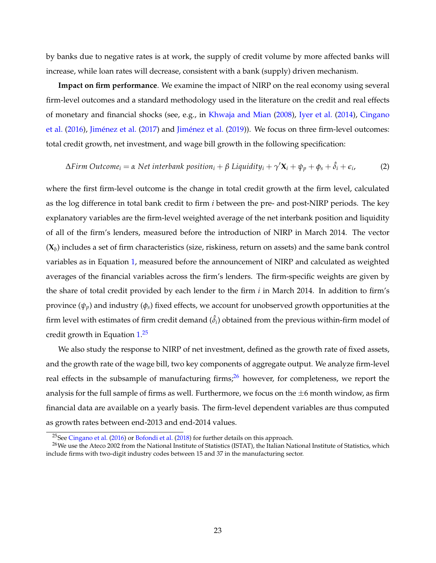by banks due to negative rates is at work, the supply of credit volume by more affected banks will increase, while loan rates will decrease, consistent with a bank (supply) driven mechanism.

**Impact on firm performance**. We examine the impact of NIRP on the real economy using several firm-level outcomes and a standard methodology used in the literature on the credit and real effects of monetary and financial shocks (see, e.g., in [Khwaja and Mian](#page-41-8) [\(2008\)](#page-41-8), [Iyer et al.](#page-40-15) [\(2014\)](#page-40-15), [Cingano](#page-39-16) [et al.](#page-39-16) [\(2016\)](#page-39-16), [Jiménez et al.](#page-41-16) [\(2017\)](#page-41-16) and [Jiménez et al.](#page-40-16) [\(2019\)](#page-40-16)). We focus on three firm-level outcomes: total credit growth, net investment, and wage bill growth in the following specification:

$$
\Delta \text{Firm Outcome}_i = \alpha \text{ Net interbank position}_i + \beta \text{ Liquidity}_i + \gamma' \mathbf{X}_i + \psi_p + \phi_s + \hat{\delta}_i + \epsilon_i,
$$
 (2)

where the first firm-level outcome is the change in total credit growth at the firm level, calculated as the log difference in total bank credit to firm *i* between the pre- and post-NIRP periods. The key explanatory variables are the firm-level weighted average of the net interbank position and liquidity of all of the firm's lenders, measured before the introduction of NIRP in March 2014. The vector (**X***<sup>b</sup>* ) includes a set of firm characteristics (size, riskiness, return on assets) and the same bank control variables as in Equation [1,](#page--1-0) measured before the announcement of NIRP and calculated as weighted averages of the financial variables across the firm's lenders. The firm-specific weights are given by the share of total credit provided by each lender to the firm *i* in March 2014. In addition to firm's province  $(\psi_p)$  and industry  $(\phi_s)$  fixed effects, we account for unobserved growth opportunities at the firm level with estimates of firm credit demand  $(\hat{\delta_i})$  obtained from the previous within-firm model of credit growth in Equation [1.](#page--1-0) [25](#page--1-0)

We also study the response to NIRP of net investment, defined as the growth rate of fixed assets, and the growth rate of the wage bill, two key components of aggregate output. We analyze firm-level real effects in the subsample of manufacturing firms; $^{26}$  $^{26}$  $^{26}$  however, for completeness, we report the analysis for the full sample of firms as well. Furthermore, we focus on the  $\pm 6$  month window, as firm financial data are available on a yearly basis. The firm-level dependent variables are thus computed as growth rates between end-2013 and end-2014 values.

<sup>25</sup>See [Cingano et al.](#page-39-16) [\(2016\)](#page-39-16) or [Bofondi et al.](#page-39-17) [\(2018\)](#page-39-17) for further details on this approach.

<sup>&</sup>lt;sup>26</sup>We use the Ateco 2002 from the National Institute of Statistics (ISTAT), the Italian National Institute of Statistics, which include firms with two-digit industry codes between 15 and 37 in the manufacturing sector.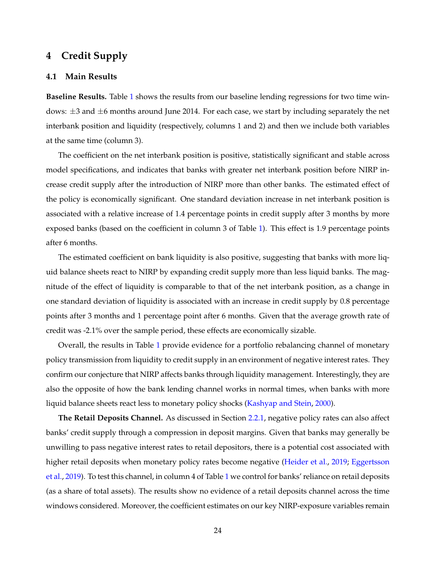# <span id="page-25-0"></span>**4 Credit Supply**

## **4.1 Main Results**

**Baseline Results.** Table [1](#page-47-0) shows the results from our baseline lending regressions for two time windows:  $\pm$ 3 and  $\pm$ 6 months around June 2014. For each case, we start by including separately the net interbank position and liquidity (respectively, columns 1 and 2) and then we include both variables at the same time (column 3).

The coefficient on the net interbank position is positive, statistically significant and stable across model specifications, and indicates that banks with greater net interbank position before NIRP increase credit supply after the introduction of NIRP more than other banks. The estimated effect of the policy is economically significant. One standard deviation increase in net interbank position is associated with a relative increase of 1.4 percentage points in credit supply after 3 months by more exposed banks (based on the coefficient in column 3 of Table [1\)](#page-47-0). This effect is 1.9 percentage points after 6 months.

The estimated coefficient on bank liquidity is also positive, suggesting that banks with more liquid balance sheets react to NIRP by expanding credit supply more than less liquid banks. The magnitude of the effect of liquidity is comparable to that of the net interbank position, as a change in one standard deviation of liquidity is associated with an increase in credit supply by 0.8 percentage points after 3 months and 1 percentage point after 6 months. Given that the average growth rate of credit was -2.1% over the sample period, these effects are economically sizable.

Overall, the results in Table [1](#page-47-0) provide evidence for a portfolio rebalancing channel of monetary policy transmission from liquidity to credit supply in an environment of negative interest rates. They confirm our conjecture that NIRP affects banks through liquidity management. Interestingly, they are also the opposite of how the bank lending channel works in normal times, when banks with more liquid balance sheets react less to monetary policy shocks [\(Kashyap and Stein,](#page-41-2) [2000\)](#page-41-2).

**The Retail Deposits Channel.** As discussed in Section [2.2.1,](#page--1-0) negative policy rates can also affect banks' credit supply through a compression in deposit margins. Given that banks may generally be unwilling to pass negative interest rates to retail depositors, there is a potential cost associated with higher retail deposits when monetary policy rates become negative [\(Heider et al.,](#page-40-2) [2019;](#page-40-2) [Eggertsson](#page-40-0) [et al.,](#page-40-0) [2019\)](#page-40-0). To test this channel, in column 4 of Table [1](#page-47-0) we control for banks' reliance on retail deposits (as a share of total assets). The results show no evidence of a retail deposits channel across the time windows considered. Moreover, the coefficient estimates on our key NIRP-exposure variables remain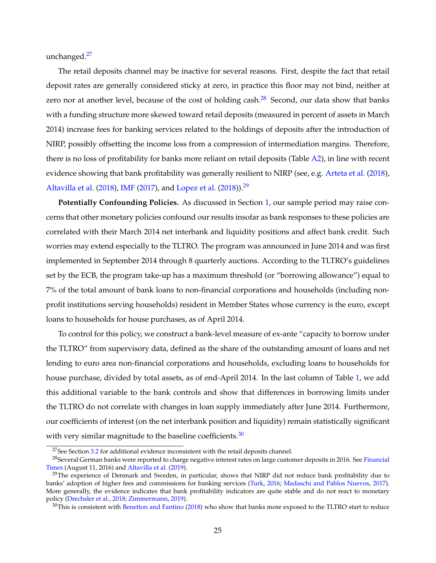unchanged.<sup>[27](#page--1-0)</sup>

The retail deposits channel may be inactive for several reasons. First, despite the fact that retail deposit rates are generally considered sticky at zero, in practice this floor may not bind, neither at zero nor at another level, because of the cost of holding cash. $28$  Second, our data show that banks with a funding structure more skewed toward retail deposits (measured in percent of assets in March 2014) increase fees for banking services related to the holdings of deposits after the introduction of NIRP, possibly offsetting the income loss from a compression of intermediation margins. Therefore, there is no loss of profitability for banks more reliant on retail deposits (Table [A2\)](#page-48-0), in line with recent evidence showing that bank profitability was generally resilient to NIRP (see, e.g. [Arteta et al.](#page-38-13) [\(2018\)](#page-38-13), [Altavilla et al.](#page-38-3) [\(2018\)](#page-41-6), [IMF](#page-40-17) [\(2017\)](#page-40-17), and [Lopez et al.](#page-41-6) (2018)).<sup>[29](#page--1-0)</sup>

**Potentially Confounding Policies.** As discussed in Section [1,](#page-6-0) our sample period may raise concerns that other monetary policies confound our results insofar as bank responses to these policies are correlated with their March 2014 net interbank and liquidity positions and affect bank credit. Such worries may extend especially to the TLTRO. The program was announced in June 2014 and was first implemented in September 2014 through 8 quarterly auctions. According to the TLTRO's guidelines set by the ECB, the program take-up has a maximum threshold (or "borrowing allowance") equal to 7% of the total amount of bank loans to non-financial corporations and households (including nonprofit institutions serving households) resident in Member States whose currency is the euro, except loans to households for house purchases, as of April 2014.

To control for this policy, we construct a bank-level measure of ex-ante "capacity to borrow under the TLTRO" from supervisory data, defined as the share of the outstanding amount of loans and net lending to euro area non-financial corporations and households, excluding loans to households for house purchase, divided by total assets, as of end-April 2014. In the last column of Table [1,](#page-47-0) we add this additional variable to the bank controls and show that differences in borrowing limits under the TLTRO do not correlate with changes in loan supply immediately after June 2014. Furthermore, our coefficients of interest (on the net interbank position and liquidity) remain statistically significant with very similar magnitude to the baseline coefficients. $30$ 

 $27$ See Section  $3.2$  for additional evidence inconsistent with the retail deposits channel.

<sup>&</sup>lt;sup>28</sup>Several German banks were reported to charge negative interest rates on large customer deposits in 2016. See [Financial](https://www.ft.com/content/39b009c6-5fc2-11e6-b38c-7b39cbb1138a) [Times](https://www.ft.com/content/39b009c6-5fc2-11e6-b38c-7b39cbb1138a) (August 11, 2016) and [Altavilla et al.](#page-38-2) [\(2019\)](#page-38-2).

<sup>&</sup>lt;sup>29</sup>The experience of Denmark and Sweden, in particular, shows that NIRP did not reduce bank profitability due to banks' adoption of higher fees and commissions for banking services [\(Turk,](#page-42-11) [2016;](#page-42-11) [Madaschi and Pablos Nuevos,](#page-41-17) [2017\)](#page-41-17). More generally, the evidence indicates that bank profitability indicators are quite stable and do not react to monetary policy [\(Drechsler et al.,](#page-40-18) [2018;](#page-40-18) [Zimmermann,](#page-42-12) [2019\)](#page-42-12).

 $30$ This is consistent with [Benetton and Fantino](#page-39-15) [\(2018\)](#page-39-15) who show that banks more exposed to the TLTRO start to reduce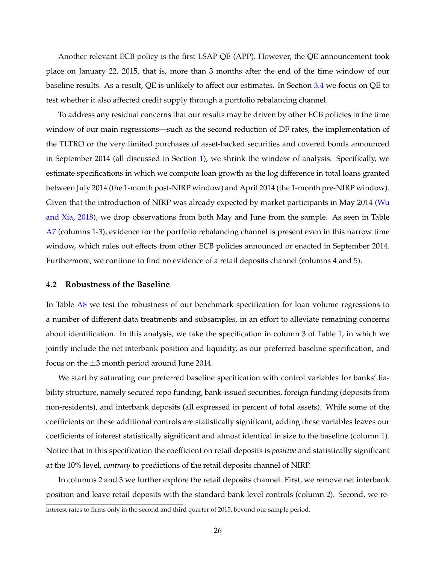Another relevant ECB policy is the first LSAP QE (APP). However, the QE announcement took place on January 22, 2015, that is, more than 3 months after the end of the time window of our baseline results. As a result, QE is unlikely to affect our estimates. In Section [3.4](#page--1-0) we focus on QE to test whether it also affected credit supply through a portfolio rebalancing channel.

To address any residual concerns that our results may be driven by other ECB policies in the time window of our main regressions—such as the second reduction of DF rates, the implementation of the TLTRO or the very limited purchases of asset-backed securities and covered bonds announced in September 2014 (all discussed in Section [1\)](#page-6-0), we shrink the window of analysis. Specifically, we estimate specifications in which we compute loan growth as the log difference in total loans granted between July 2014 (the 1-month post-NIRP window) and April 2014 (the 1-month pre-NIRP window). Given that the introduction of NIRP was already expected by market participants in May 2014 [\(Wu](#page-42-9) [and Xia,](#page-42-9) [2018\)](#page-42-9), we drop observations from both May and June from the sample. As seen in Table [A7](#page-60-0) (columns 1-3), evidence for the portfolio rebalancing channel is present even in this narrow time window, which rules out effects from other ECB policies announced or enacted in September 2014. Furthermore, we continue to find no evidence of a retail deposits channel (columns 4 and 5).

### **4.2 Robustness of the Baseline**

In Table [A8](#page-61-0) we test the robustness of our benchmark specification for loan volume regressions to a number of different data treatments and subsamples, in an effort to alleviate remaining concerns about identification. In this analysis, we take the specification in column 3 of Table [1,](#page-47-0) in which we jointly include the net interbank position and liquidity, as our preferred baseline specification, and focus on the  $\pm 3$  month period around June 2014.

We start by saturating our preferred baseline specification with control variables for banks' liability structure, namely secured repo funding, bank-issued securities, foreign funding (deposits from non-residents), and interbank deposits (all expressed in percent of total assets). While some of the coefficients on these additional controls are statistically significant, adding these variables leaves our coefficients of interest statistically significant and almost identical in size to the baseline (column 1). Notice that in this specification the coefficient on retail deposits is *positive* and statistically significant at the 10% level, *contrary* to predictions of the retail deposits channel of NIRP.

In columns 2 and 3 we further explore the retail deposits channel. First, we remove net interbank position and leave retail deposits with the standard bank level controls (column 2). Second, we re-

interest rates to firms only in the second and third quarter of 2015, beyond our sample period.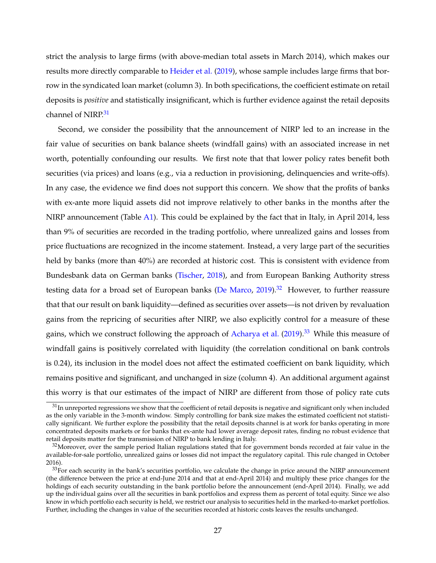strict the analysis to large firms (with above-median total assets in March 2014), which makes our results more directly comparable to [Heider et al.](#page-40-2) [\(2019\)](#page-40-2), whose sample includes large firms that borrow in the syndicated loan market (column 3). In both specifications, the coefficient estimate on retail deposits is *positive* and statistically insignificant, which is further evidence against the retail deposits channel of NIRP.<sup>[31](#page--1-0)</sup>

Second, we consider the possibility that the announcement of NIRP led to an increase in the fair value of securities on bank balance sheets (windfall gains) with an associated increase in net worth, potentially confounding our results. We first note that that lower policy rates benefit both securities (via prices) and loans (e.g., via a reduction in provisioning, delinquencies and write-offs). In any case, the evidence we find does not support this concern. We show that the profits of banks with ex-ante more liquid assets did not improve relatively to other banks in the months after the NIRP announcement (Table [A1\)](#page-47-0). This could be explained by the fact that in Italy, in April 2014, less than 9% of securities are recorded in the trading portfolio, where unrealized gains and losses from price fluctuations are recognized in the income statement. Instead, a very large part of the securities held by banks (more than  $40\%$ ) are recorded at historic cost. This is consistent with evidence from Bundesbank data on German banks [\(Tischer,](#page-42-13) [2018\)](#page-42-13), and from European Banking Authority stress testing data for a broad set of European banks [\(De Marco,](#page-39-18) [2019\)](#page-39-18).<sup>[32](#page--1-0)</sup> However, to further reassure that that our result on bank liquidity—defined as securities over assets—is not driven by revaluation gains from the repricing of securities after NIRP, we also explicitly control for a measure of these gains, which we construct following the approach of [Acharya et al.](#page-38-6) [\(2019\)](#page-38-6).<sup>[33](#page--1-0)</sup> While this measure of windfall gains is positively correlated with liquidity (the correlation conditional on bank controls is 0.24), its inclusion in the model does not affect the estimated coefficient on bank liquidity, which remains positive and significant, and unchanged in size (column 4). An additional argument against this worry is that our estimates of the impact of NIRP are different from those of policy rate cuts

 $31$ In unreported regressions we show that the coefficient of retail deposits is negative and significant only when included as the only variable in the 3-month window. Simply controlling for bank size makes the estimated coefficient not statistically significant. We further explore the possibility that the retail deposits channel is at work for banks operating in more concentrated deposits markets or for banks that ex-ante had lower average deposit rates, finding no robust evidence that retail deposits matter for the transmission of NIRP to bank lending in Italy.

 $32$ Moreover, over the sample period Italian regulations stated that for government bonds recorded at fair value in the available-for-sale portfolio, unrealized gains or losses did not impact the regulatory capital. This rule changed in October 2016).

 $33$ For each security in the bank's securities portfolio, we calculate the change in price around the NIRP announcement (the difference between the price at end-June 2014 and that at end-April 2014) and multiply these price changes for the holdings of each security outstanding in the bank portfolio before the announcement (end-April 2014). Finally, we add up the individual gains over all the securities in bank portfolios and express them as percent of total equity. Since we also know in which portfolio each security is held, we restrict our analysis to securities held in the marked-to-market portfolios. Further, including the changes in value of the securities recorded at historic costs leaves the results unchanged.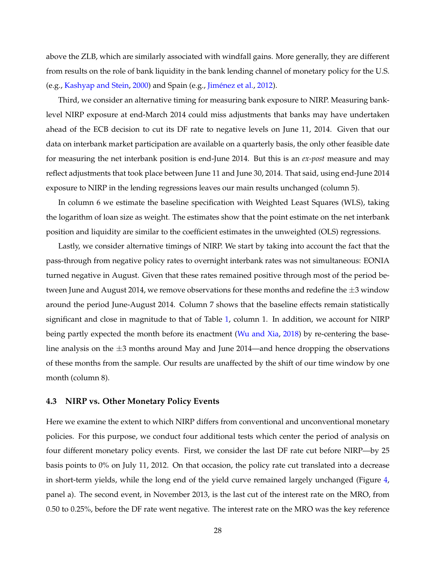above the ZLB, which are similarly associated with windfall gains. More generally, they are different from results on the role of bank liquidity in the bank lending channel of monetary policy for the U.S. (e.g., [Kashyap and Stein,](#page-41-2) [2000\)](#page-41-2) and Spain (e.g., [Jiménez et al.,](#page-41-3) [2012\)](#page-41-3).

Third, we consider an alternative timing for measuring bank exposure to NIRP. Measuring banklevel NIRP exposure at end-March 2014 could miss adjustments that banks may have undertaken ahead of the ECB decision to cut its DF rate to negative levels on June 11, 2014. Given that our data on interbank market participation are available on a quarterly basis, the only other feasible date for measuring the net interbank position is end-June 2014. But this is an *ex-post* measure and may reflect adjustments that took place between June 11 and June 30, 2014. That said, using end-June 2014 exposure to NIRP in the lending regressions leaves our main results unchanged (column 5).

In column 6 we estimate the baseline specification with Weighted Least Squares (WLS), taking the logarithm of loan size as weight. The estimates show that the point estimate on the net interbank position and liquidity are similar to the coefficient estimates in the unweighted (OLS) regressions.

Lastly, we consider alternative timings of NIRP. We start by taking into account the fact that the pass-through from negative policy rates to overnight interbank rates was not simultaneous: EONIA turned negative in August. Given that these rates remained positive through most of the period between June and August 2014, we remove observations for these months and redefine the  $\pm 3$  window around the period June-August 2014. Column 7 shows that the baseline effects remain statistically significant and close in magnitude to that of Table [1,](#page-47-0) column 1. In addition, we account for NIRP being partly expected the month before its enactment [\(Wu and Xia,](#page-42-9) [2018\)](#page-42-9) by re-centering the baseline analysis on the  $\pm 3$  months around May and June 2014—and hence dropping the observations of these months from the sample. Our results are unaffected by the shift of our time window by one month (column 8).

## **4.3 NIRP vs. Other Monetary Policy Events**

Here we examine the extent to which NIRP differs from conventional and unconventional monetary policies. For this purpose, we conduct four additional tests which center the period of analysis on four different monetary policy events. First, we consider the last DF rate cut before NIRP—by 25 basis points to 0% on July 11, 2012. On that occasion, the policy rate cut translated into a decrease in short-term yields, while the long end of the yield curve remained largely unchanged (Figure [4,](#page-45-0) panel a). The second event, in November 2013, is the last cut of the interest rate on the MRO, from 0.50 to 0.25%, before the DF rate went negative. The interest rate on the MRO was the key reference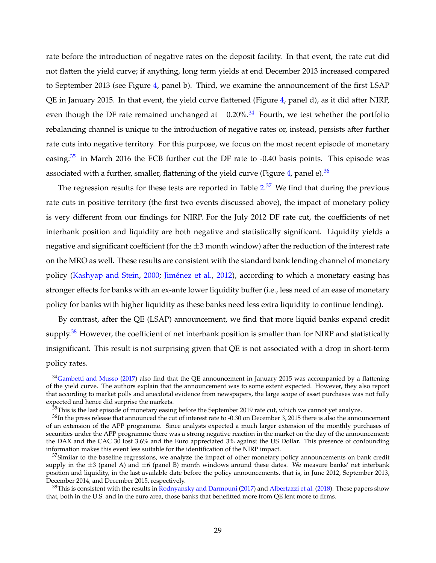rate before the introduction of negative rates on the deposit facility. In that event, the rate cut did not flatten the yield curve; if anything, long term yields at end December 2013 increased compared to September 2013 (see Figure [4,](#page-45-0) panel b). Third, we examine the announcement of the first LSAP QE in January 2015. In that event, the yield curve flattened (Figure [4,](#page-45-0) panel d), as it did after NIRP, even though the DF rate remained unchanged at  $-0.20\%$ .<sup>[34](#page--1-0)</sup> Fourth, we test whether the portfolio rebalancing channel is unique to the introduction of negative rates or, instead, persists after further rate cuts into negative territory. For this purpose, we focus on the most recent episode of monetary easing: $35$  in March 2016 the ECB further cut the DF rate to -0.40 basis points. This episode was associated with a further, smaller, flattening of the yield curve (Figure [4,](#page-45-0) panel e). $36$ 

The regression results for these tests are reported in Table [2.](#page-48-0)<sup>[37](#page--1-0)</sup> We find that during the previous rate cuts in positive territory (the first two events discussed above), the impact of monetary policy is very different from our findings for NIRP. For the July 2012 DF rate cut, the coefficients of net interbank position and liquidity are both negative and statistically significant. Liquidity yields a negative and significant coefficient (for the  $\pm 3$  month window) after the reduction of the interest rate on the MRO as well. These results are consistent with the standard bank lending channel of monetary policy [\(Kashyap and Stein,](#page-41-2) [2000;](#page-41-2) [Jiménez et al.,](#page-41-3) [2012\)](#page-41-3), according to which a monetary easing has stronger effects for banks with an ex-ante lower liquidity buffer (i.e., less need of an ease of monetary policy for banks with higher liquidity as these banks need less extra liquidity to continue lending).

By contrast, after the QE (LSAP) announcement, we find that more liquid banks expand credit supply.<sup>[38](#page--1-0)</sup> However, the coefficient of net interbank position is smaller than for NIRP and statistically insignificant. This result is not surprising given that QE is not associated with a drop in short-term policy rates.

<sup>&</sup>lt;sup>34</sup>[Gambetti and Musso](#page-40-6) [\(2017\)](#page-40-6) also find that the QE announcement in January 2015 was accompanied by a flattening of the yield curve. The authors explain that the announcement was to some extent expected. However, they also report that according to market polls and anecdotal evidence from newspapers, the large scope of asset purchases was not fully expected and hence did surprise the markets.

 $35$ This is the last episode of monetary easing before the September 2019 rate cut, which we cannot yet analyze.

<sup>36</sup>In the press release that announced the cut of interest rate to -0.30 on December 3, 2015 there is also the announcement of an extension of the APP programme. Since analysts expected a much larger extension of the monthly purchases of securities under the APP programme there was a strong negative reaction in the market on the day of the announcement: the DAX and the CAC 30 lost 3.6% and the Euro appreciated 3% against the US Dollar. This presence of confounding information makes this event less suitable for the identification of the NIRP impact.

 $37$ Similar to the baseline regressions, we analyze the impact of other monetary policy announcements on bank credit supply in the  $\pm 3$  (panel A) and  $\pm 6$  (panel B) month windows around these dates. We measure banks' net interbank position and liquidity, in the last available date before the policy announcements, that is, in June 2012, September 2013, December 2014, and December 2015, respectively.

<sup>&</sup>lt;sup>38</sup>This is consistent with the results in [Rodnyansky and Darmouni](#page-41-11) [\(2017\)](#page-41-11) and [Albertazzi et al.](#page-38-14) [\(2018\)](#page-38-14). These papers show that, both in the U.S. and in the euro area, those banks that benefitted more from QE lent more to firms.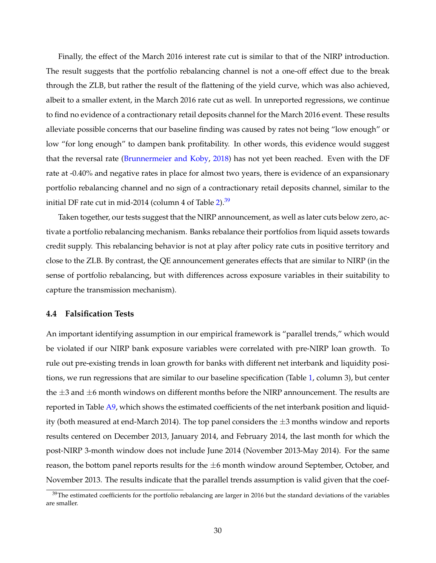Finally, the effect of the March 2016 interest rate cut is similar to that of the NIRP introduction. The result suggests that the portfolio rebalancing channel is not a one-off effect due to the break through the ZLB, but rather the result of the flattening of the yield curve, which was also achieved, albeit to a smaller extent, in the March 2016 rate cut as well. In unreported regressions, we continue to find no evidence of a contractionary retail deposits channel for the March 2016 event. These results alleviate possible concerns that our baseline finding was caused by rates not being "low enough" or low "for long enough" to dampen bank profitability. In other words, this evidence would suggest that the reversal rate [\(Brunnermeier and Koby,](#page-39-1) [2018\)](#page-39-1) has not yet been reached. Even with the DF rate at -0.40% and negative rates in place for almost two years, there is evidence of an expansionary portfolio rebalancing channel and no sign of a contractionary retail deposits channel, similar to the initial DF rate cut in mid-2014 (column 4 of Table  $2^{39}$  $2^{39}$  $2^{39}$ )

Taken together, our tests suggest that the NIRP announcement, as well as later cuts below zero, activate a portfolio rebalancing mechanism. Banks rebalance their portfolios from liquid assets towards credit supply. This rebalancing behavior is not at play after policy rate cuts in positive territory and close to the ZLB. By contrast, the QE announcement generates effects that are similar to NIRP (in the sense of portfolio rebalancing, but with differences across exposure variables in their suitability to capture the transmission mechanism).

## **4.4 Falsification Tests**

An important identifying assumption in our empirical framework is "parallel trends," which would be violated if our NIRP bank exposure variables were correlated with pre-NIRP loan growth. To rule out pre-existing trends in loan growth for banks with different net interbank and liquidity positions, we run regressions that are similar to our baseline specification (Table [1,](#page-47-0) column 3), but center the  $\pm 3$  and  $\pm 6$  month windows on different months before the NIRP announcement. The results are reported in Table [A9,](#page-62-0) which shows the estimated coefficients of the net interbank position and liquidity (both measured at end-March 2014). The top panel considers the  $\pm 3$  months window and reports results centered on December 2013, January 2014, and February 2014, the last month for which the post-NIRP 3-month window does not include June 2014 (November 2013-May 2014). For the same reason, the bottom panel reports results for the  $\pm 6$  month window around September, October, and November 2013. The results indicate that the parallel trends assumption is valid given that the coef-

<sup>&</sup>lt;sup>39</sup>The estimated coefficients for the portfolio rebalancing are larger in 2016 but the standard deviations of the variables are smaller.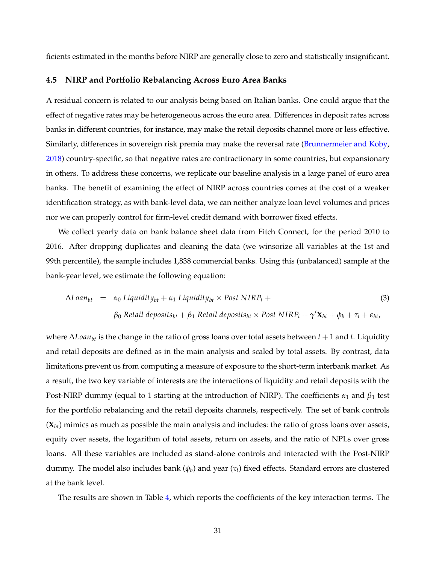ficients estimated in the months before NIRP are generally close to zero and statistically insignificant.

## **4.5 NIRP and Portfolio Rebalancing Across Euro Area Banks**

A residual concern is related to our analysis being based on Italian banks. One could argue that the effect of negative rates may be heterogeneous across the euro area. Differences in deposit rates across banks in different countries, for instance, may make the retail deposits channel more or less effective. Similarly, differences in sovereign risk premia may make the reversal rate [\(Brunnermeier and Koby,](#page-39-1) [2018\)](#page-39-1) country-specific, so that negative rates are contractionary in some countries, but expansionary in others. To address these concerns, we replicate our baseline analysis in a large panel of euro area banks. The benefit of examining the effect of NIRP across countries comes at the cost of a weaker identification strategy, as with bank-level data, we can neither analyze loan level volumes and prices nor we can properly control for firm-level credit demand with borrower fixed effects.

We collect yearly data on bank balance sheet data from Fitch Connect, for the period 2010 to 2016. After dropping duplicates and cleaning the data (we winsorize all variables at the 1st and 99th percentile), the sample includes 1,838 commercial banks. Using this (unbalanced) sample at the bank-year level, we estimate the following equation:

$$
\Delta Loan_{bt} = \alpha_0 \text{ Liquidity}_{bt} + \alpha_1 \text{ Liquidity}_{bt} \times \text{Post NIRP}_t +
$$
\n
$$
\beta_0 \text{ Retail deposits}_{bt} + \beta_1 \text{ Retail deposits}_{bt} \times \text{Post NIRP}_t + \gamma' \mathbf{X}_{bt} + \phi_b + \tau_t + \epsilon_{bt},
$$
\n(3)

where ∆*Loanbt* is the change in the ratio of gross loans over total assets between *t* + 1 and *t*. Liquidity and retail deposits are defined as in the main analysis and scaled by total assets. By contrast, data limitations prevent us from computing a measure of exposure to the short-term interbank market. As a result, the two key variable of interests are the interactions of liquidity and retail deposits with the Post-NIRP dummy (equal to 1 starting at the introduction of NIRP). The coefficients *α*<sub>1</sub> and *β*<sub>1</sub> test for the portfolio rebalancing and the retail deposits channels, respectively. The set of bank controls (**X***bt*) mimics as much as possible the main analysis and includes: the ratio of gross loans over assets, equity over assets, the logarithm of total assets, return on assets, and the ratio of NPLs over gross loans. All these variables are included as stand-alone controls and interacted with the Post-NIRP dummy. The model also includes bank (*φ<sup>b</sup>* ) and year (*τt*) fixed effects. Standard errors are clustered at the bank level.

The results are shown in Table [4,](#page-50-0) which reports the coefficients of the key interaction terms. The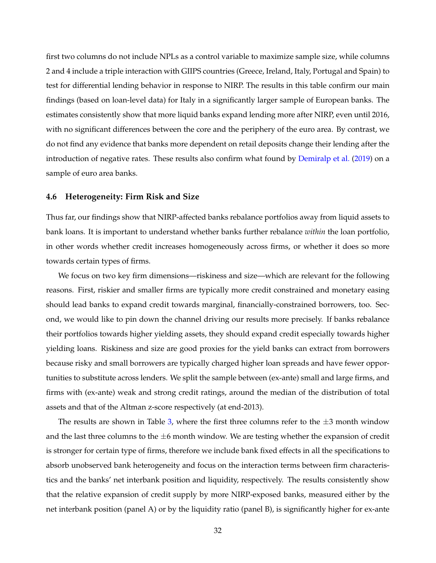first two columns do not include NPLs as a control variable to maximize sample size, while columns 2 and 4 include a triple interaction with GIIPS countries (Greece, Ireland, Italy, Portugal and Spain) to test for differential lending behavior in response to NIRP. The results in this table confirm our main findings (based on loan-level data) for Italy in a significantly larger sample of European banks. The estimates consistently show that more liquid banks expand lending more after NIRP, even until 2016, with no significant differences between the core and the periphery of the euro area. By contrast, we do not find any evidence that banks more dependent on retail deposits change their lending after the introduction of negative rates. These results also confirm what found by [Demiralp et al.](#page-40-8) [\(2019\)](#page-40-8) on a sample of euro area banks.

#### **4.6 Heterogeneity: Firm Risk and Size**

Thus far, our findings show that NIRP-affected banks rebalance portfolios away from liquid assets to bank loans. It is important to understand whether banks further rebalance *within* the loan portfolio, in other words whether credit increases homogeneously across firms, or whether it does so more towards certain types of firms.

We focus on two key firm dimensions—riskiness and size—which are relevant for the following reasons. First, riskier and smaller firms are typically more credit constrained and monetary easing should lead banks to expand credit towards marginal, financially-constrained borrowers, too. Second, we would like to pin down the channel driving our results more precisely. If banks rebalance their portfolios towards higher yielding assets, they should expand credit especially towards higher yielding loans. Riskiness and size are good proxies for the yield banks can extract from borrowers because risky and small borrowers are typically charged higher loan spreads and have fewer opportunities to substitute across lenders. We split the sample between (ex-ante) small and large firms, and firms with (ex-ante) weak and strong credit ratings, around the median of the distribution of total assets and that of the Altman z-score respectively (at end-2013).

The results are shown in Table [3,](#page-49-0) where the first three columns refer to the  $\pm 3$  month window and the last three columns to the  $\pm 6$  month window. We are testing whether the expansion of credit is stronger for certain type of firms, therefore we include bank fixed effects in all the specifications to absorb unobserved bank heterogeneity and focus on the interaction terms between firm characteristics and the banks' net interbank position and liquidity, respectively. The results consistently show that the relative expansion of credit supply by more NIRP-exposed banks, measured either by the net interbank position (panel A) or by the liquidity ratio (panel B), is significantly higher for ex-ante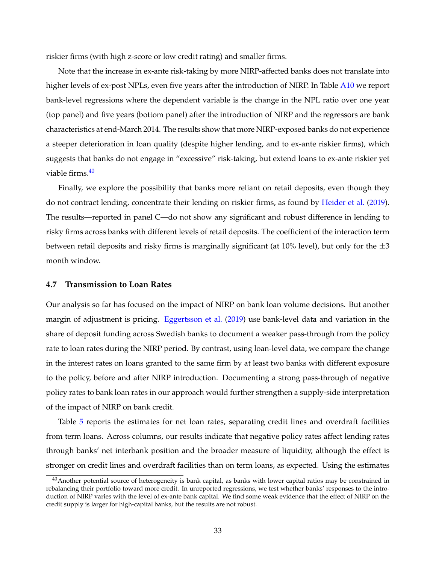riskier firms (with high z-score or low credit rating) and smaller firms.

Note that the increase in ex-ante risk-taking by more NIRP-affected banks does not translate into higher levels of ex-post NPLs, even five years after the introduction of NIRP. In Table [A10](#page-63-0) we report bank-level regressions where the dependent variable is the change in the NPL ratio over one year (top panel) and five years (bottom panel) after the introduction of NIRP and the regressors are bank characteristics at end-March 2014. The results show that more NIRP-exposed banks do not experience a steeper deterioration in loan quality (despite higher lending, and to ex-ante riskier firms), which suggests that banks do not engage in "excessive" risk-taking, but extend loans to ex-ante riskier yet viable firms.<sup>[40](#page--1-0)</sup>

Finally, we explore the possibility that banks more reliant on retail deposits, even though they do not contract lending, concentrate their lending on riskier firms, as found by [Heider et al.](#page-40-2) [\(2019\)](#page-40-2). The results—reported in panel C—do not show any significant and robust difference in lending to risky firms across banks with different levels of retail deposits. The coefficient of the interaction term between retail deposits and risky firms is marginally significant (at 10% level), but only for the  $\pm 3$ month window.

### **4.7 Transmission to Loan Rates**

Our analysis so far has focused on the impact of NIRP on bank loan volume decisions. But another margin of adjustment is pricing. [Eggertsson et al.](#page-40-0) [\(2019\)](#page-40-0) use bank-level data and variation in the share of deposit funding across Swedish banks to document a weaker pass-through from the policy rate to loan rates during the NIRP period. By contrast, using loan-level data, we compare the change in the interest rates on loans granted to the same firm by at least two banks with different exposure to the policy, before and after NIRP introduction. Documenting a strong pass-through of negative policy rates to bank loan rates in our approach would further strengthen a supply-side interpretation of the impact of NIRP on bank credit.

Table [5](#page-51-0) reports the estimates for net loan rates, separating credit lines and overdraft facilities from term loans. Across columns, our results indicate that negative policy rates affect lending rates through banks' net interbank position and the broader measure of liquidity, although the effect is stronger on credit lines and overdraft facilities than on term loans, as expected. Using the estimates

 $40$ Another potential source of heterogeneity is bank capital, as banks with lower capital ratios may be constrained in rebalancing their portfolio toward more credit. In unreported regressions, we test whether banks' responses to the introduction of NIRP varies with the level of ex-ante bank capital. We find some weak evidence that the effect of NIRP on the credit supply is larger for high-capital banks, but the results are not robust.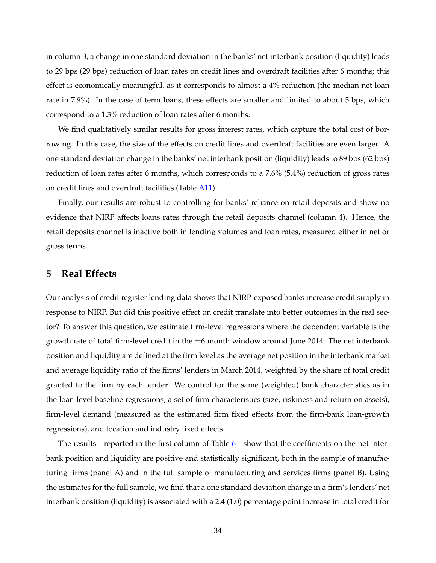in column 3, a change in one standard deviation in the banks' net interbank position (liquidity) leads to 29 bps (29 bps) reduction of loan rates on credit lines and overdraft facilities after 6 months; this effect is economically meaningful, as it corresponds to almost a 4% reduction (the median net loan rate in 7.9%). In the case of term loans, these effects are smaller and limited to about 5 bps, which correspond to a 1.3% reduction of loan rates after 6 months.

We find qualitatively similar results for gross interest rates, which capture the total cost of borrowing. In this case, the size of the effects on credit lines and overdraft facilities are even larger. A one standard deviation change in the banks' net interbank position (liquidity) leads to 89 bps (62 bps) reduction of loan rates after 6 months, which corresponds to a 7.6% (5.4%) reduction of gross rates on credit lines and overdraft facilities (Table [A11\)](#page-64-0).

Finally, our results are robust to controlling for banks' reliance on retail deposits and show no evidence that NIRP affects loans rates through the retail deposits channel (column 4). Hence, the retail deposits channel is inactive both in lending volumes and loan rates, measured either in net or gross terms.

# <span id="page-35-0"></span>**5 Real Effects**

Our analysis of credit register lending data shows that NIRP-exposed banks increase credit supply in response to NIRP. But did this positive effect on credit translate into better outcomes in the real sector? To answer this question, we estimate firm-level regressions where the dependent variable is the growth rate of total firm-level credit in the  $\pm 6$  month window around June 2014. The net interbank position and liquidity are defined at the firm level as the average net position in the interbank market and average liquidity ratio of the firms' lenders in March 2014, weighted by the share of total credit granted to the firm by each lender. We control for the same (weighted) bank characteristics as in the loan-level baseline regressions, a set of firm characteristics (size, riskiness and return on assets), firm-level demand (measured as the estimated firm fixed effects from the firm-bank loan-growth regressions), and location and industry fixed effects.

The results—reported in the first column of Table [6—](#page-52-0)show that the coefficients on the net interbank position and liquidity are positive and statistically significant, both in the sample of manufacturing firms (panel A) and in the full sample of manufacturing and services firms (panel B). Using the estimates for the full sample, we find that a one standard deviation change in a firm's lenders' net interbank position (liquidity) is associated with a 2.4 (1.0) percentage point increase in total credit for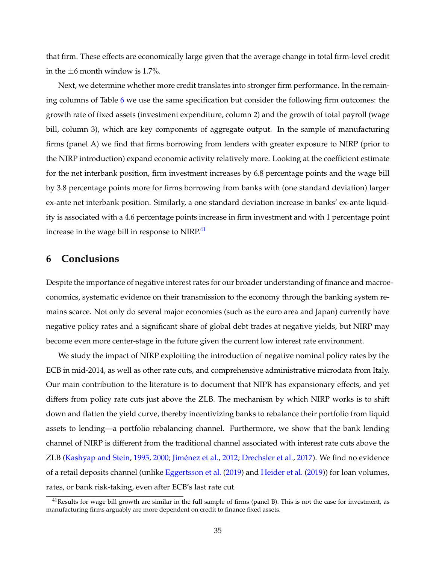that firm. These effects are economically large given that the average change in total firm-level credit in the  $\pm 6$  month window is 1.7%.

Next, we determine whether more credit translates into stronger firm performance. In the remaining columns of Table [6](#page-52-0) we use the same specification but consider the following firm outcomes: the growth rate of fixed assets (investment expenditure, column 2) and the growth of total payroll (wage bill, column 3), which are key components of aggregate output. In the sample of manufacturing firms (panel A) we find that firms borrowing from lenders with greater exposure to NIRP (prior to the NIRP introduction) expand economic activity relatively more. Looking at the coefficient estimate for the net interbank position, firm investment increases by 6.8 percentage points and the wage bill by 3.8 percentage points more for firms borrowing from banks with (one standard deviation) larger ex-ante net interbank position. Similarly, a one standard deviation increase in banks' ex-ante liquidity is associated with a 4.6 percentage points increase in firm investment and with 1 percentage point increase in the wage bill in response to NIRP.<sup>[41](#page--1-0)</sup>

# **6 Conclusions**

Despite the importance of negative interest rates for our broader understanding of finance and macroeconomics, systematic evidence on their transmission to the economy through the banking system remains scarce. Not only do several major economies (such as the euro area and Japan) currently have negative policy rates and a significant share of global debt trades at negative yields, but NIRP may become even more center-stage in the future given the current low interest rate environment.

We study the impact of NIRP exploiting the introduction of negative nominal policy rates by the ECB in mid-2014, as well as other rate cuts, and comprehensive administrative microdata from Italy. Our main contribution to the literature is to document that NIPR has expansionary effects, and yet differs from policy rate cuts just above the ZLB. The mechanism by which NIRP works is to shift down and flatten the yield curve, thereby incentivizing banks to rebalance their portfolio from liquid assets to lending—a portfolio rebalancing channel. Furthermore, we show that the bank lending channel of NIRP is different from the traditional channel associated with interest rate cuts above the ZLB [\(Kashyap and Stein,](#page-41-1) [1995,](#page-41-1) [2000;](#page-41-2) [Jiménez et al.,](#page-41-3) [2012;](#page-41-3) [Drechsler et al.,](#page-40-1) [2017\)](#page-40-1). We find no evidence of a retail deposits channel (unlike [Eggertsson et al.](#page-40-0) [\(2019\)](#page-40-0) and [Heider et al.](#page-40-2) [\(2019\)](#page-40-2)) for loan volumes, rates, or bank risk-taking, even after ECB's last rate cut.

 $41$ Results for wage bill growth are similar in the full sample of firms (panel B). This is not the case for investment, as manufacturing firms arguably are more dependent on credit to finance fixed assets.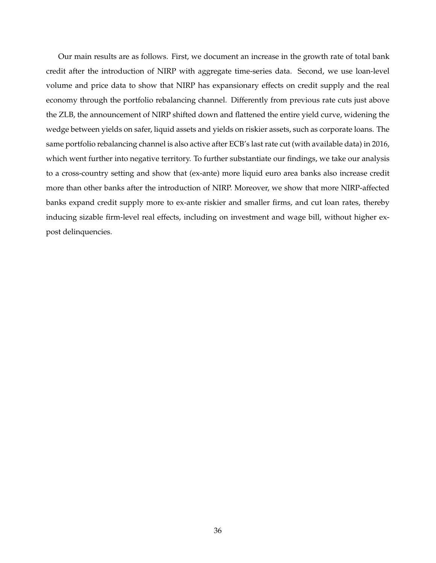Our main results are as follows. First, we document an increase in the growth rate of total bank credit after the introduction of NIRP with aggregate time-series data. Second, we use loan-level volume and price data to show that NIRP has expansionary effects on credit supply and the real economy through the portfolio rebalancing channel. Differently from previous rate cuts just above the ZLB, the announcement of NIRP shifted down and flattened the entire yield curve, widening the wedge between yields on safer, liquid assets and yields on riskier assets, such as corporate loans. The same portfolio rebalancing channel is also active after ECB's last rate cut (with available data) in 2016, which went further into negative territory. To further substantiate our findings, we take our analysis to a cross-country setting and show that (ex-ante) more liquid euro area banks also increase credit more than other banks after the introduction of NIRP. Moreover, we show that more NIRP-affected banks expand credit supply more to ex-ante riskier and smaller firms, and cut loan rates, thereby inducing sizable firm-level real effects, including on investment and wage bill, without higher expost delinquencies.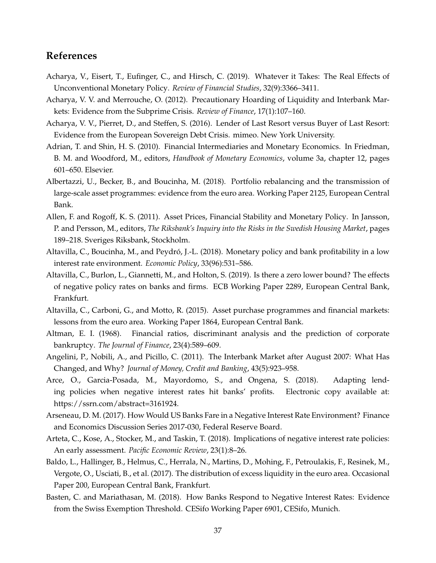# **References**

- <span id="page-38-6"></span>Acharya, V., Eisert, T., Eufinger, C., and Hirsch, C. (2019). Whatever it Takes: The Real Effects of Unconventional Monetary Policy. *Review of Financial Studies*, 32(9):3366–3411.
- <span id="page-38-11"></span>Acharya, V. V. and Merrouche, O. (2012). Precautionary Hoarding of Liquidity and Interbank Markets: Evidence from the Subprime Crisis. *Review of Finance*, 17(1):107–160.
- <span id="page-38-5"></span>Acharya, V. V., Pierret, D., and Steffen, S. (2016). Lender of Last Resort versus Buyer of Last Resort: Evidence from the European Sovereign Debt Crisis. mimeo. New York University.
- <span id="page-38-1"></span>Adrian, T. and Shin, H. S. (2010). Financial Intermediaries and Monetary Economics. In Friedman, B. M. and Woodford, M., editors, *Handbook of Monetary Economics*, volume 3a, chapter 12, pages 601–650. Elsevier.
- <span id="page-38-14"></span>Albertazzi, U., Becker, B., and Boucinha, M. (2018). Portfolio rebalancing and the transmission of large-scale asset programmes: evidence from the euro area. Working Paper 2125, European Central Bank.
- <span id="page-38-0"></span>Allen, F. and Rogoff, K. S. (2011). Asset Prices, Financial Stability and Monetary Policy. In Jansson, P. and Persson, M., editors, *The Riksbank's Inquiry into the Risks in the Swedish Housing Market*, pages 189–218. Sveriges Riksbank, Stockholm.
- <span id="page-38-3"></span>Altavilla, C., Boucinha, M., and Peydró, J.-L. (2018). Monetary policy and bank profitability in a low interest rate environment. *Economic Policy*, 33(96):531–586.
- <span id="page-38-2"></span>Altavilla, C., Burlon, L., Giannetti, M., and Holton, S. (2019). Is there a zero lower bound? The effects of negative policy rates on banks and firms. ECB Working Paper 2289, European Central Bank, Frankfurt.
- <span id="page-38-4"></span>Altavilla, C., Carboni, G., and Motto, R. (2015). Asset purchase programmes and financial markets: lessons from the euro area. Working Paper 1864, European Central Bank.
- <span id="page-38-15"></span>Altman, E. I. (1968). Financial ratios, discriminant analysis and the prediction of corporate bankruptcy. *The Journal of Finance*, 23(4):589–609.
- <span id="page-38-10"></span>Angelini, P., Nobili, A., and Picillo, C. (2011). The Interbank Market after August 2007: What Has Changed, and Why? *Journal of Money, Credit and Banking*, 43(5):923–958.
- <span id="page-38-9"></span>Arce, O., Garcia-Posada, M., Mayordomo, S., and Ongena, S. (2018). Adapting lending policies when negative interest rates hit banks' profits. Electronic copy available at: https://ssrn.com/abstract=3161924.
- <span id="page-38-8"></span>Arseneau, D. M. (2017). How Would US Banks Fare in a Negative Interest Rate Environment? Finance and Economics Discussion Series 2017-030, Federal Reserve Board.
- <span id="page-38-13"></span>Arteta, C., Kose, A., Stocker, M., and Taskin, T. (2018). Implications of negative interest rate policies: An early assessment. *Pacific Economic Review*, 23(1):8–26.
- <span id="page-38-12"></span>Baldo, L., Hallinger, B., Helmus, C., Herrala, N., Martins, D., Mohing, F., Petroulakis, F., Resinek, M., Vergote, O., Usciati, B., et al. (2017). The distribution of excess liquidity in the euro area. Occasional Paper 200, European Central Bank, Frankfurt.
- <span id="page-38-7"></span>Basten, C. and Mariathasan, M. (2018). How Banks Respond to Negative Interest Rates: Evidence from the Swiss Exemption Threshold. CESifo Working Paper 6901, CESifo, Munich.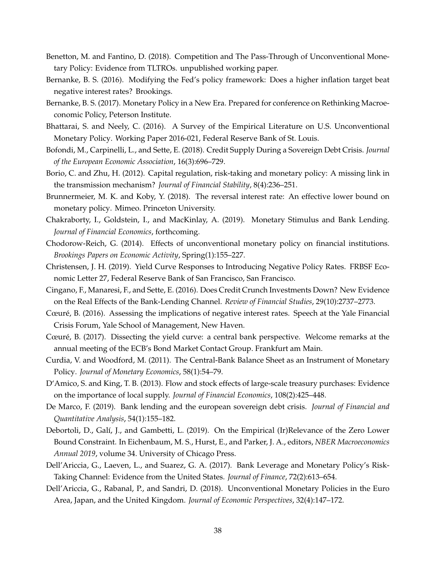- <span id="page-39-15"></span>Benetton, M. and Fantino, D. (2018). Competition and The Pass-Through of Unconventional Monetary Policy: Evidence from TLTROs. unpublished working paper.
- <span id="page-39-3"></span>Bernanke, B. S. (2016). Modifying the Fed's policy framework: Does a higher inflation target beat negative interest rates? Brookings.
- <span id="page-39-0"></span>Bernanke, B. S. (2017). Monetary Policy in a New Era. Prepared for conference on Rethinking Macroeconomic Policy, Peterson Institute.
- <span id="page-39-11"></span>Bhattarai, S. and Neely, C. (2016). A Survey of the Empirical Literature on U.S. Unconventional Monetary Policy. Working Paper 2016-021, Federal Reserve Bank of St. Louis.
- <span id="page-39-17"></span>Bofondi, M., Carpinelli, L., and Sette, E. (2018). Credit Supply During a Sovereign Debt Crisis. *Journal of the European Economic Association*, 16(3):696–729.
- <span id="page-39-4"></span>Borio, C. and Zhu, H. (2012). Capital regulation, risk-taking and monetary policy: A missing link in the transmission mechanism? *Journal of Financial Stability*, 8(4):236–251.
- <span id="page-39-1"></span>Brunnermeier, M. K. and Koby, Y. (2018). The reversal interest rate: An effective lower bound on monetary policy. Mimeo. Princeton University.
- <span id="page-39-12"></span>Chakraborty, I., Goldstein, I., and MacKinlay, A. (2019). Monetary Stimulus and Bank Lending. *Journal of Financial Economics*, forthcoming.
- <span id="page-39-5"></span>Chodorow-Reich, G. (2014). Effects of unconventional monetary policy on financial institutions. *Brookings Papers on Economic Activity*, Spring(1):155–227.
- <span id="page-39-9"></span>Christensen, J. H. (2019). Yield Curve Responses to Introducing Negative Policy Rates. FRBSF Economic Letter 27, Federal Reserve Bank of San Francisco, San Francisco.
- <span id="page-39-16"></span>Cingano, F., Manaresi, F., and Sette, E. (2016). Does Credit Crunch Investments Down? New Evidence on the Real Effects of the Bank-Lending Channel. *Review of Financial Studies*, 29(10):2737–2773.
- <span id="page-39-7"></span>Cœuré, B. (2016). Assessing the implications of negative interest rates. Speech at the Yale Financial Crisis Forum, Yale School of Management, New Haven.
- <span id="page-39-8"></span>Cœuré, B. (2017). Dissecting the yield curve: a central bank perspective. Welcome remarks at the annual meeting of the ECB's Bond Market Contact Group. Frankfurt am Main.
- <span id="page-39-14"></span>Curdia, V. and Woodford, M. (2011). The Central-Bank Balance Sheet as an Instrument of Monetary Policy. *Journal of Monetary Economics*, 58(1):54–79.
- <span id="page-39-6"></span>D'Amico, S. and King, T. B. (2013). Flow and stock effects of large-scale treasury purchases: Evidence on the importance of local supply. *Journal of Financial Economics*, 108(2):425–448.
- <span id="page-39-18"></span>De Marco, F. (2019). Bank lending and the european sovereign debt crisis. *Journal of Financial and Quantitative Analysis*, 54(1):155–182.
- <span id="page-39-10"></span>Debortoli, D., Galí, J., and Gambetti, L. (2019). On the Empirical (Ir)Relevance of the Zero Lower Bound Constraint. In Eichenbaum, M. S., Hurst, E., and Parker, J. A., editors, *NBER Macroeconomics Annual 2019*, volume 34. University of Chicago Press.
- <span id="page-39-13"></span>Dell'Ariccia, G., Laeven, L., and Suarez, G. A. (2017). Bank Leverage and Monetary Policy's Risk-Taking Channel: Evidence from the United States. *Journal of Finance*, 72(2):613–654.
- <span id="page-39-2"></span>Dell'Ariccia, G., Rabanal, P., and Sandri, D. (2018). Unconventional Monetary Policies in the Euro Area, Japan, and the United Kingdom. *Journal of Economic Perspectives*, 32(4):147–172.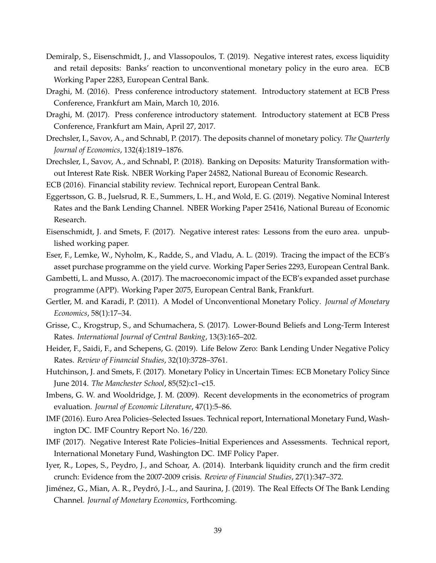- <span id="page-40-8"></span>Demiralp, S., Eisenschmidt, J., and Vlassopoulos, T. (2019). Negative interest rates, excess liquidity and retail deposits: Banks' reaction to unconventional monetary policy in the euro area. ECB Working Paper 2283, European Central Bank.
- <span id="page-40-5"></span>Draghi, M. (2016). Press conference introductory statement. Introductory statement at ECB Press Conference, Frankfurt am Main, March 10, 2016.
- <span id="page-40-3"></span>Draghi, M. (2017). Press conference introductory statement. Introductory statement at ECB Press Conference, Frankfurt am Main, April 27, 2017.
- <span id="page-40-1"></span>Drechsler, I., Savov, A., and Schnabl, P. (2017). The deposits channel of monetary policy. *The Quarterly Journal of Economics*, 132(4):1819–1876.
- <span id="page-40-18"></span>Drechsler, I., Savov, A., and Schnabl, P. (2018). Banking on Deposits: Maturity Transformation without Interest Rate Risk. NBER Working Paper 24582, National Bureau of Economic Research.
- <span id="page-40-13"></span><span id="page-40-0"></span>ECB (2016). Financial stability review. Technical report, European Central Bank.
- Eggertsson, G. B., Juelsrud, R. E., Summers, L. H., and Wold, E. G. (2019). Negative Nominal Interest Rates and the Bank Lending Channel. NBER Working Paper 25416, National Bureau of Economic Research.
- <span id="page-40-11"></span>Eisenschmidt, J. and Smets, F. (2017). Negative interest rates: Lessons from the euro area. unpublished working paper.
- <span id="page-40-12"></span>Eser, F., Lemke, W., Nyholm, K., Radde, S., and Vladu, A. L. (2019). Tracing the impact of the ECB's asset purchase programme on the yield curve. Working Paper Series 2293, European Central Bank.
- <span id="page-40-6"></span>Gambetti, L. and Musso, A. (2017). The macroeconomic impact of the ECB's expanded asset purchase programme (APP). Working Paper 2075, European Central Bank, Frankfurt.
- <span id="page-40-9"></span>Gertler, M. and Karadi, P. (2011). A Model of Unconventional Monetary Policy. *Journal of Monetary Economics*, 58(1):17–34.
- <span id="page-40-7"></span>Grisse, C., Krogstrup, S., and Schumachera, S. (2017). Lower-Bound Beliefs and Long-Term Interest Rates. *International Journal of Central Banking*, 13(3):165–202.
- <span id="page-40-2"></span>Heider, F., Saidi, F., and Schepens, G. (2019). Life Below Zero: Bank Lending Under Negative Policy Rates. *Review of Financial Studies*, 32(10):3728–3761.
- <span id="page-40-10"></span>Hutchinson, J. and Smets, F. (2017). Monetary Policy in Uncertain Times: ECB Monetary Policy Since June 2014. *The Manchester School*, 85(52):c1–c15.
- <span id="page-40-14"></span>Imbens, G. W. and Wooldridge, J. M. (2009). Recent developments in the econometrics of program evaluation. *Journal of Economic Literature*, 47(1):5–86.
- <span id="page-40-4"></span>IMF (2016). Euro Area Policies–Selected Issues. Technical report, International Monetary Fund, Washington DC. IMF Country Report No. 16/220.
- <span id="page-40-17"></span>IMF (2017). Negative Interest Rate Policies–Initial Experiences and Assessments. Technical report, International Monetary Fund, Washington DC. IMF Policy Paper.
- <span id="page-40-15"></span>Iyer, R., Lopes, S., Peydro, J., and Schoar, A. (2014). Interbank liquidity crunch and the firm credit crunch: Evidence from the 2007-2009 crisis. *Review of Financial Studies*, 27(1):347–372.
- <span id="page-40-16"></span>Jiménez, G., Mian, A. R., Peydró, J.-L., and Saurina, J. (2019). The Real Effects Of The Bank Lending Channel. *Journal of Monetary Economics*, Forthcoming.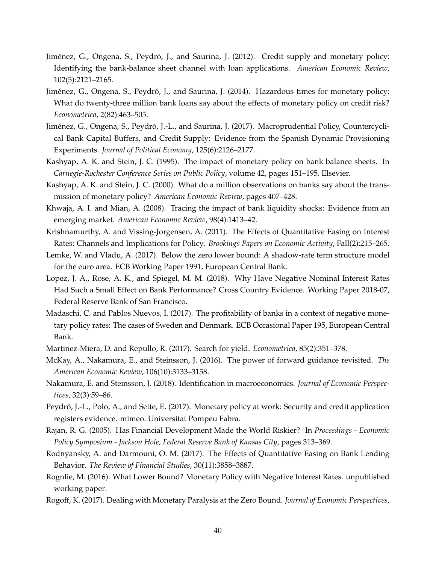- <span id="page-41-3"></span>Jiménez, G., Ongena, S., Peydró, J., and Saurina, J. (2012). Credit supply and monetary policy: Identifying the bank-balance sheet channel with loan applications. *American Economic Review*, 102(5):2121–2165.
- <span id="page-41-13"></span>Jiménez, G., Ongena, S., Peydró, J., and Saurina, J. (2014). Hazardous times for monetary policy: What do twenty-three million bank loans say about the effects of monetary policy on credit risk? *Econometrica*, 2(82):463–505.
- <span id="page-41-16"></span>Jiménez, G., Ongena, S., Peydró, J.-L., and Saurina, J. (2017). Macroprudential Policy, Countercyclical Bank Capital Buffers, and Credit Supply: Evidence from the Spanish Dynamic Provisioning Experiments. *Journal of Political Economy*, 125(6):2126–2177.
- <span id="page-41-1"></span>Kashyap, A. K. and Stein, J. C. (1995). The impact of monetary policy on bank balance sheets. In *Carnegie-Rochester Conference Series on Public Policy*, volume 42, pages 151–195. Elsevier.
- <span id="page-41-2"></span>Kashyap, A. K. and Stein, J. C. (2000). What do a million observations on banks say about the transmission of monetary policy? *American Economic Review*, pages 407–428.
- <span id="page-41-8"></span>Khwaja, A. I. and Mian, A. (2008). Tracing the impact of bank liquidity shocks: Evidence from an emerging market. *American Economic Review*, 98(4):1413–42.
- <span id="page-41-7"></span>Krishnamurthy, A. and Vissing-Jorgensen, A. (2011). The Effects of Quantitative Easing on Interest Rates: Channels and Implications for Policy. *Brookings Papers on Economic Activity*, Fall(2):215–265.
- <span id="page-41-15"></span>Lemke, W. and Vladu, A. (2017). Below the zero lower bound: A shadow-rate term structure model for the euro area. ECB Working Paper 1991, European Central Bank.
- <span id="page-41-6"></span>Lopez, J. A., Rose, A. K., and Spiegel, M. M. (2018). Why Have Negative Nominal Interest Rates Had Such a Small Effect on Bank Performance? Cross Country Evidence. Working Paper 2018-07, Federal Reserve Bank of San Francisco.
- <span id="page-41-17"></span>Madaschi, C. and Pablos Nuevos, I. (2017). The profitability of banks in a context of negative monetary policy rates: The cases of Sweden and Denmark. ECB Occasional Paper 195, European Central Bank.
- <span id="page-41-5"></span>Martinez-Miera, D. and Repullo, R. (2017). Search for yield. *Econometrica*, 85(2):351–378.
- <span id="page-41-14"></span>McKay, A., Nakamura, E., and Steinsson, J. (2016). The power of forward guidance revisited. *The American Economic Review*, 106(10):3133–3158.
- <span id="page-41-10"></span>Nakamura, E. and Steinsson, J. (2018). Identification in macroeconomics. *Journal of Economic Perspectives*, 32(3):59–86.
- <span id="page-41-12"></span>Peydró, J.-L., Polo, A., and Sette, E. (2017). Monetary policy at work: Security and credit application registers evidence. mimeo. Universitat Pompeu Fabra.
- <span id="page-41-4"></span>Rajan, R. G. (2005). Has Financial Development Made the World Riskier? In *Proceedings - Economic Policy Symposium - Jackson Hole, Federal Reserve Bank of Kansas City*, pages 313–369.
- <span id="page-41-11"></span>Rodnyansky, A. and Darmouni, O. M. (2017). The Effects of Quantitative Easing on Bank Lending Behavior. *The Review of Financial Studies*, 30(11):3858–3887.
- <span id="page-41-9"></span>Rognlie, M. (2016). What Lower Bound? Monetary Policy with Negative Interest Rates. unpublished working paper.
- <span id="page-41-0"></span>Rogoff, K. (2017). Dealing with Monetary Paralysis at the Zero Bound. *Journal of Economic Perspectives*,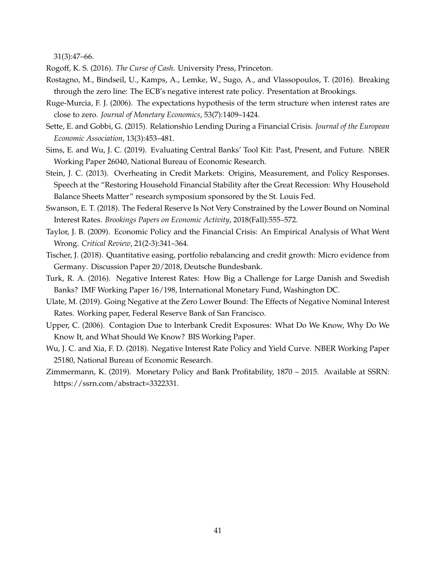31(3):47–66.

<span id="page-42-5"></span><span id="page-42-0"></span>Rogoff, K. S. (2016). *The Curse of Cash*. University Press, Princeton.

- Rostagno, M., Bindseil, U., Kamps, A., Lemke, W., Sugo, A., and Vlassopoulos, T. (2016). Breaking through the zero line: The ECB's negative interest rate policy. Presentation at Brookings.
- <span id="page-42-10"></span>Ruge-Murcia, F. J. (2006). The expectations hypothesis of the term structure when interest rates are close to zero. *Journal of Monetary Economics*, 53(7):1409–1424.
- <span id="page-42-7"></span>Sette, E. and Gobbi, G. (2015). Relationshio Lending During a Financial Crisis. *Journal of the European Economic Association*, 13(3):453–481.
- <span id="page-42-1"></span>Sims, E. and Wu, J. C. (2019). Evaluating Central Banks' Tool Kit: Past, Present, and Future. NBER Working Paper 26040, National Bureau of Economic Research.
- <span id="page-42-4"></span>Stein, J. C. (2013). Overheating in Credit Markets: Origins, Measurement, and Policy Responses. Speech at the "Restoring Household Financial Stability after the Great Recession: Why Household Balance Sheets Matter" research symposium sponsored by the St. Louis Fed.
- <span id="page-42-6"></span>Swanson, E. T. (2018). The Federal Reserve Is Not Very Constrained by the Lower Bound on Nominal Interest Rates. *Brookings Papers on Economic Activity*, 2018(Fall):555–572.
- <span id="page-42-3"></span>Taylor, J. B. (2009). Economic Policy and the Financial Crisis: An Empirical Analysis of What Went Wrong. *Critical Review*, 21(2-3):341–364.
- <span id="page-42-13"></span>Tischer, J. (2018). Quantitative easing, portfolio rebalancing and credit growth: Micro evidence from Germany. Discussion Paper 20/2018, Deutsche Bundesbank.
- <span id="page-42-11"></span>Turk, R. A. (2016). Negative Interest Rates: How Big a Challenge for Large Danish and Swedish Banks? IMF Working Paper 16/198, International Monetary Fund, Washington DC.
- <span id="page-42-2"></span>Ulate, M. (2019). Going Negative at the Zero Lower Bound: The Effects of Negative Nominal Interest Rates. Working paper, Federal Reserve Bank of San Francisco.
- <span id="page-42-8"></span>Upper, C. (2006). Contagion Due to Interbank Credit Exposures: What Do We Know, Why Do We Know It, and What Should We Know? BIS Working Paper.
- <span id="page-42-9"></span>Wu, J. C. and Xia, F. D. (2018). Negative Interest Rate Policy and Yield Curve. NBER Working Paper 25180, National Bureau of Economic Research.
- <span id="page-42-12"></span>Zimmermann, K. (2019). Monetary Policy and Bank Profitability, 1870 – 2015. Available at SSRN: https://ssrn.com/abstract=3322331.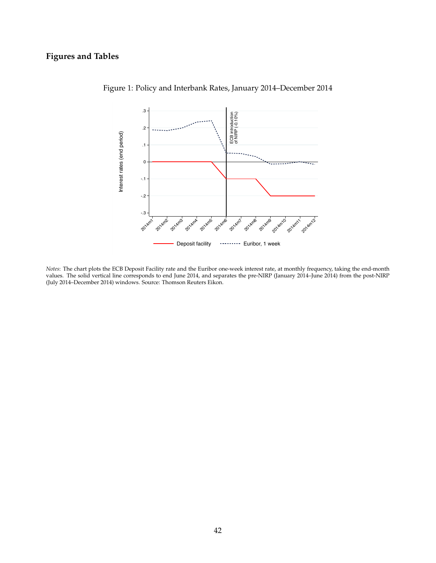# **Figures and Tables**



<span id="page-43-0"></span>Figure 1: Policy and Interbank Rates, January 2014–December 2014

*Notes*: The chart plots the ECB Deposit Facility rate and the Euribor one-week interest rate, at monthly frequency, taking the end-month values. The solid vertical line corresponds to end June 2014, and separates the pre-NIRP (January 2014–June 2014) from the post-NIRP (July 2014–December 2014) windows. Source: Thomson Reuters Eikon.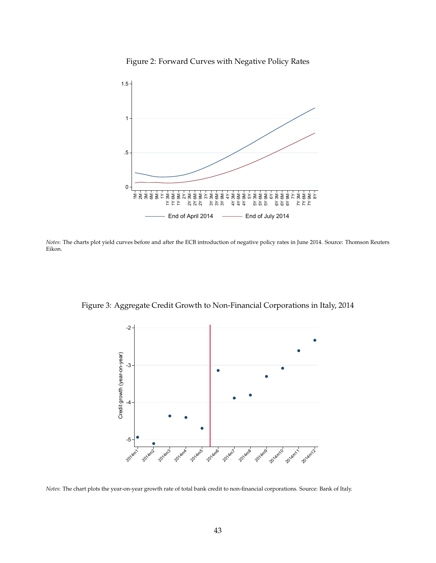

<span id="page-44-0"></span>Figure 2: Forward Curves with Negative Policy Rates

*Notes*: The charts plot yield curves before and after the ECB introduction of negative policy rates in June 2014. Source: Thomson Reuters Eikon.

Figure 3: Aggregate Credit Growth to Non-Financial Corporations in Italy, 2014

<span id="page-44-1"></span>

*Notes*: The chart plots the year-on-year growth rate of total bank credit to non-financial corporations. Source: Bank of Italy.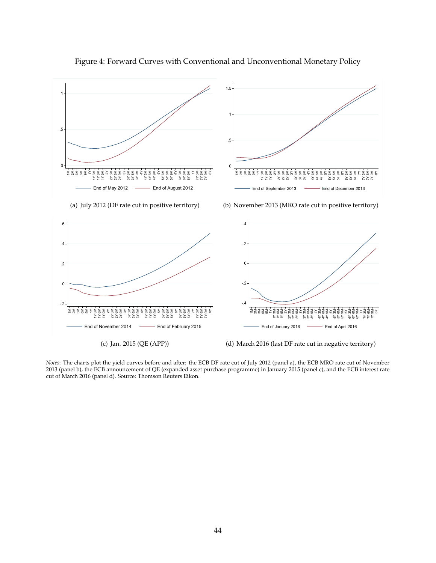

<span id="page-45-0"></span>Figure 4: Forward Curves with Conventional and Unconventional Monetary Policy

*Notes*: The charts plot the yield curves before and after: the ECB DF rate cut of July 2012 (panel a), the ECB MRO rate cut of November 2013 (panel b), the ECB announcement of QE (expanded asset purchase programme) in January 2015 (panel c), and the ECB interest rate cut of March 2016 (panel d). Source: Thomson Reuters Eikon.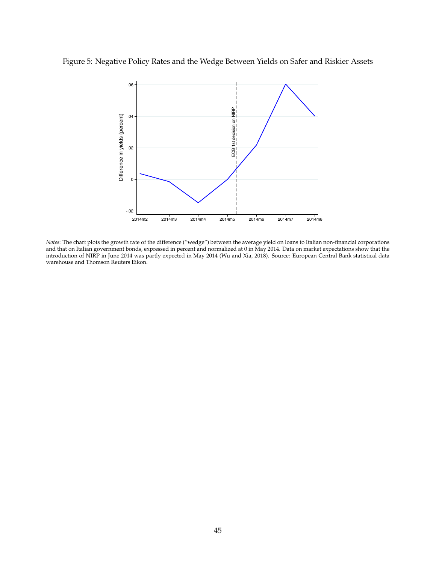# Figure 5: Negative Policy Rates and the Wedge Between Yields on Safer and Riskier Assets

<span id="page-46-0"></span>

*Notes*: The chart plots the growth rate of the difference ("wedge") between the average yield on loans to Italian non-financial corporations and that on Italian government bonds, expressed in percent and normalized at 0 in May 2014. Data on market expectations show that the introduction of NIRP in June 2014 was partly expected in May 2014 (Wu and Xia, 2018). Source: European Central Bank statistical data warehouse and Thomson Reuters Eikon.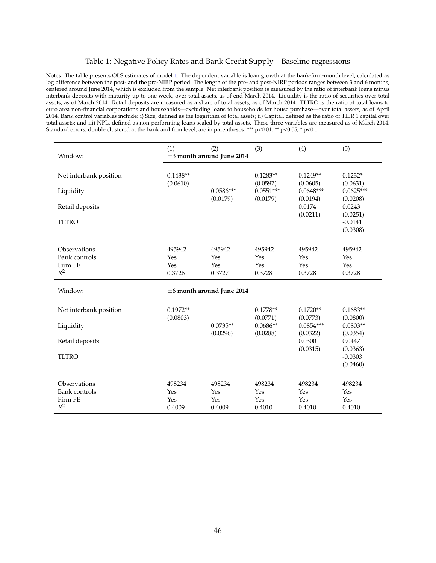## <span id="page-47-0"></span>Table 1: Negative Policy Rates and Bank Credit Supply—Baseline regressions

Notes: The table presents OLS estimates of model [1.](#page--1-0) The dependent variable is loan growth at the bank-firm-month level, calculated as log difference between the post- and the pre-NIRP period. The length of the pre- and post-NIRP periods ranges between 3 and 6 months, centered around June 2014, which is excluded from the sample. Net interbank position is measured by the ratio of interbank loans minus interbank deposits with maturity up to one week, over total assets, as of end-March 2014. Liquidity is the ratio of securities over total assets, as of March 2014. Retail deposits are measured as a share of total assets, as of March 2014. TLTRO is the ratio of total loans to euro area non-financial corporations and households—excluding loans to households for house purchase—over total assets, as of April 2014. Bank control variables include: i) Size, defined as the logarithm of total assets; ii) Capital, defined as the ratio of TIER 1 capital over total assets; and iii) NPL, defined as non-performing loans scaled by total assets. These three variables are measured as of March 2014. Standard errors, double clustered at the bank and firm level, are in parentheses. \*\*\* p<0.01, \*\* p<0.05, \* p<0.1.

| Window:                | (1)                    | (2)<br>$\pm 3$ month around June 2014 | (3)                     | (4)                     | (5)                     |
|------------------------|------------------------|---------------------------------------|-------------------------|-------------------------|-------------------------|
| Net interbank position | $0.1438**$<br>(0.0610) |                                       | $0.1283**$<br>(0.0597)  | $0.1249**$<br>(0.0605)  | $0.1232*$<br>(0.0631)   |
| Liquidity              |                        | $0.0586***$<br>(0.0179)               | $0.0551***$<br>(0.0179) | $0.0648***$<br>(0.0194) | $0.0625***$<br>(0.0208) |
| Retail deposits        |                        |                                       |                         | 0.0174<br>(0.0211)      | 0.0243<br>(0.0251)      |
| <b>TLTRO</b>           |                        |                                       |                         |                         | $-0.0141$<br>(0.0308)   |
| Observations           | 495942                 | 495942                                | 495942                  | 495942                  | 495942                  |
| <b>Bank</b> controls   | Yes                    | Yes                                   | Yes                     | Yes                     | Yes                     |
| Firm FE<br>$R^2$       | Yes<br>0.3726          | Yes<br>0.3727                         | Yes<br>0.3728           | Yes<br>0.3728           | Yes<br>0.3728           |
|                        |                        |                                       |                         |                         |                         |
|                        |                        |                                       |                         |                         |                         |
| Window:                |                        | $\pm$ 6 month around June 2014        |                         |                         |                         |
| Net interbank position | $0.1972**$             |                                       | $0.1778**$              | $0.1720**$              | $0.1683**$              |
|                        | (0.0803)               | $0.0735**$                            | (0.0771)<br>$0.0686**$  | (0.0773)<br>$0.0854***$ | (0.0800)<br>$0.0803**$  |
| Liquidity              |                        | (0.0296)                              | (0.0288)                | (0.0322)                | (0.0354)                |
| Retail deposits        |                        |                                       |                         | 0.0300<br>(0.0315)      | 0.0447<br>(0.0363)      |
| <b>TLTRO</b>           |                        |                                       |                         |                         | $-0.0303$<br>(0.0460)   |
|                        |                        |                                       |                         |                         |                         |
| Observations           | 498234                 | 498234                                | 498234                  | 498234                  | 498234                  |
| <b>Bank</b> controls   | Yes                    | Yes                                   | Yes                     | Yes                     | Yes                     |
| Firm FE<br>$R^2$       | Yes<br>0.4009          | Yes<br>0.4009                         | Yes<br>0.4010           | Yes<br>0.4010           | Yes<br>0.4010           |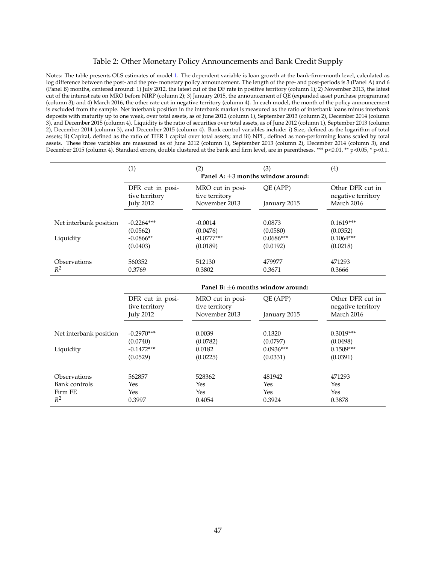#### <span id="page-48-0"></span>Table 2: Other Monetary Policy Announcements and Bank Credit Supply

Notes: The table presents OLS estimates of model [1.](#page--1-0) The dependent variable is loan growth at the bank-firm-month level, calculated as log difference between the post- and the pre- monetary policy announcement. The length of the pre- and post-periods is 3 (Panel A) and 6 (Panel B) months, centered around: 1) July 2012, the latest cut of the DF rate in positive territory (column 1); 2) November 2013, the latest cut of the interest rate on MRO before NIRP (column 2); 3) January 2015, the announcement of QE (expanded asset purchase programme) (column 3); and 4) March 2016, the other rate cut in negative territory (column 4). In each model, the month of the policy announcement is excluded from the sample. Net interbank position in the interbank market is measured as the ratio of interbank loans minus interbank deposits with maturity up to one week, over total assets, as of June 2012 (column 1), September 2013 (column 2), December 2014 (column 3), and December 2015 (column 4). Liquidity is the ratio of securities over total assets, as of June 2012 (column 1), September 2013 (column 2), December 2014 (column 3), and December 2015 (column 4). Bank control variables include: i) Size, defined as the logarithm of total assets; ii) Capital, defined as the ratio of TIER 1 capital over total assets; and iii) NPL, defined as non-performing loans scaled by total assets. These three variables are measured as of June 2012 (column 1), September 2013 (column 2), December 2014 (column 3), and December 2015 (column 4). Standard errors, double clustered at the bank and firm level, are in parentheses. \*\*\* p<0.01, \*\* p<0.05, \* p<0.1.

|                        | (1)                                    | (2)                                    | (3)          | (4)                                    |  |  |
|------------------------|----------------------------------------|----------------------------------------|--------------|----------------------------------------|--|--|
|                        | Panel A: $\pm 3$ months window around: |                                        |              |                                        |  |  |
|                        | DFR cut in posi-<br>tive territory     | MRO cut in posi-<br>tive territory     | QE (APP)     | Other DFR cut in<br>negative territory |  |  |
|                        | <b>July 2012</b>                       | November 2013                          | January 2015 | March 2016                             |  |  |
| Net interbank position | $-0.2264***$                           | $-0.0014$                              | 0.0873       | $0.1619***$                            |  |  |
|                        | (0.0562)                               | (0.0476)                               | (0.0580)     | (0.0352)                               |  |  |
| Liquidity              | $-0.0866**$                            | $-0.0777***$                           | $0.0686***$  | $0.1064***$                            |  |  |
|                        | (0.0403)                               | (0.0189)                               | (0.0192)     | (0.0218)                               |  |  |
| Observations           | 560352                                 | 512130                                 | 479977       | 471293                                 |  |  |
| $R^2$                  | 0.3769                                 | 0.3802                                 | 0.3671       | 0.3666                                 |  |  |
|                        |                                        | Panel B: $\pm 6$ months window around: |              |                                        |  |  |
|                        | DFR cut in posi-                       | MRO cut in posi-                       | QE (APP)     | Other DFR cut in                       |  |  |
|                        | tive territory<br><b>July 2012</b>     | tive territory<br>November 2013        | January 2015 | negative territory<br>March 2016       |  |  |
|                        | $-0.2970***$                           | 0.0039                                 | 0.1320       | $0.3019***$                            |  |  |
| Net interbank position | (0.0740)                               | (0.0782)                               | (0.0797)     | (0.0498)                               |  |  |
| Liquidity              | $-0.1472***$                           | 0.0182                                 | $0.0936***$  | $0.1509***$                            |  |  |
|                        | (0.0529)                               | (0.0225)                               | (0.0331)     | (0.0391)                               |  |  |
|                        |                                        |                                        |              |                                        |  |  |
| Observations           | 562857                                 | 528362                                 | 481942       | 471293                                 |  |  |
| <b>Bank</b> controls   | Yes                                    | Yes                                    | Yes          | Yes                                    |  |  |
| Firm FE                | Yes                                    | Yes                                    | Yes          | Yes                                    |  |  |
| $R^2$                  | 0.3997                                 | 0.4054                                 | 0.3924       | 0.3878                                 |  |  |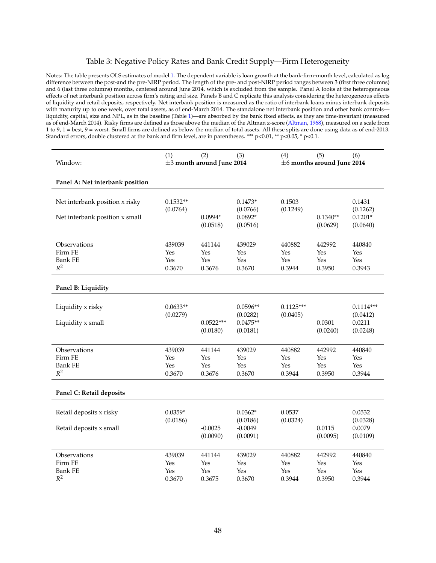## <span id="page-49-0"></span>Table 3: Negative Policy Rates and Bank Credit Supply—Firm Heterogeneity

Notes: The table presents OLS estimates of model [1.](#page--1-0) The dependent variable is loan growth at the bank-firm-month level, calculated as log difference between the post-and the pre-NIRP period. The length of the pre- and post-NIRP period ranges between 3 (first three columns) and 6 (last three columns) months, centered around June 2014, which is excluded from the sample. Panel A looks at the heterogeneous effects of net interbank position across firm's rating and size. Panels B and C replicate this analysis considering the heterogeneous effects of liquidity and retail deposits, respectively. Net interbank position is measured as the ratio of interbank loans minus interbank deposits with maturity up to one week, over total assets, as of end-March 2014. The standalone net interbank position and other bank controls liquidity, capital, size and NPL, as in the baseline (Table [1\)](#page-47-0)—are absorbed by the bank fixed effects, as they are time-invariant (measured as of end-March 2014). Risky firms are defined as those above the median of the Altman z-score [\(Altman,](#page-38-15) [1968\)](#page-38-15), measured on a scale from 1 to 9, 1 = best, 9 = worst. Small firms are defined as below the median of total assets. All these splits are done using data as of end-2013. Standard errors, double clustered at the bank and firm level, are in parentheses. \*\*\*  $p<0.01$ , \*\*  $p<0.05$ , \*  $p<0.1$ .

| Window:                                                          | (1)                            | (2)<br>$\pm 3$ month around June 2014 | (3)                                              | (4)                            | (5)<br>$\pm 6$ months around June 2014 | (6)                                           |
|------------------------------------------------------------------|--------------------------------|---------------------------------------|--------------------------------------------------|--------------------------------|----------------------------------------|-----------------------------------------------|
| Panel A: Net interbank position                                  |                                |                                       |                                                  |                                |                                        |                                               |
| Net interbank position x risky<br>Net interbank position x small | $0.1532**$<br>(0.0764)         | 0.0994*<br>(0.0518)                   | $0.1473*$<br>(0.0766)<br>$0.0892*$<br>(0.0516)   | 0.1503<br>(0.1249)             | $0.1340**$<br>(0.0629)                 | 0.1431<br>(0.1262)<br>$0.1201*$<br>(0.0640)   |
| Observations<br>Firm FE<br><b>Bank FE</b><br>$R^2$               | 439039<br>Yes<br>Yes<br>0.3670 | 441144<br>Yes<br>Yes<br>0.3676        | 439029<br>Yes<br>Yes<br>0.3670                   | 440882<br>Yes<br>Yes<br>0.3944 | 442992<br>Yes<br>Yes<br>0.3950         | 440840<br>Yes<br>Yes<br>0.3943                |
| Panel B: Liquidity                                               |                                |                                       |                                                  |                                |                                        |                                               |
| Liquidity x risky<br>Liquidity x small                           | $0.0633**$<br>(0.0279)         | $0.0522***$<br>(0.0180)               | $0.0596**$<br>(0.0282)<br>$0.0475**$<br>(0.0181) | $0.1125***$<br>(0.0405)        | 0.0301<br>(0.0240)                     | $0.1114***$<br>(0.0412)<br>0.0211<br>(0.0248) |
| Observations<br>Firm FE<br><b>Bank FE</b><br>$R^2$               | 439039<br>Yes<br>Yes<br>0.3670 | 441144<br>Yes<br>Yes<br>0.3676        | 439029<br>Yes<br>Yes<br>0.3670                   | 440882<br>Yes<br>Yes<br>0.3944 | 442992<br>Yes<br>Yes<br>0.3950         | 440840<br>Yes<br>Yes<br>0.3944                |
| Panel C: Retail deposits                                         |                                |                                       |                                                  |                                |                                        |                                               |
| Retail deposits x risky<br>Retail deposits x small               | $0.0359*$<br>(0.0186)          | $-0.0025$<br>(0.0090)                 | $0.0362*$<br>(0.0186)<br>$-0.0049$<br>(0.0091)   | 0.0537<br>(0.0324)             | 0.0115<br>(0.0095)                     | 0.0532<br>(0.0328)<br>0.0079<br>(0.0109)      |
| Observations<br>Firm FE<br><b>Bank FE</b><br>$R^2$               | 439039<br>Yes<br>Yes<br>0.3670 | 441144<br>Yes<br>Yes<br>0.3675        | 439029<br>Yes<br>Yes<br>0.3670                   | 440882<br>Yes<br>Yes<br>0.3944 | 442992<br>Yes<br>Yes<br>0.3950         | 440840<br>Yes<br>Yes<br>0.3944                |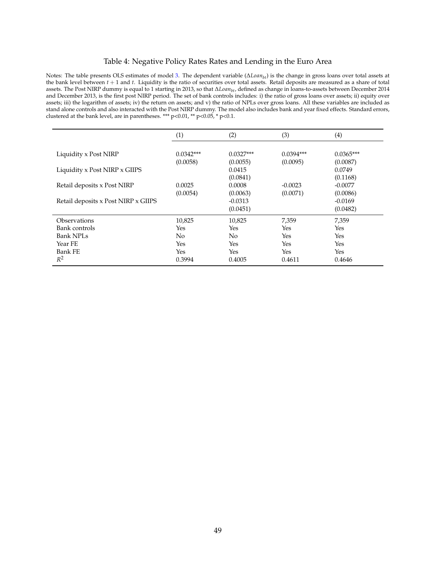## <span id="page-50-0"></span>Table 4: Negative Policy Rates Rates and Lending in the Euro Area

Notes: The table presents OLS estimates of model [3.](#page--1-0) The dependent variable (∆*Loanbt*) is the change in gross loans over total assets at the bank level between *t* + 1 and *t*. Liquidity is the ratio of securities over total assets. Retail deposits are measured as a share of total assets. The Post NIRP dummy is equal to 1 starting in 2013, so that ∆*Loanbt*, defined as change in loans-to-assets between December 2014 and December 2013, is the first post NIRP period. The set of bank controls includes: i) the ratio of gross loans over assets; ii) equity over assets; iii) the logarithm of assets; iv) the return on assets; and v) the ratio of NPLs over gross loans. All these variables are included as stand alone controls and also interacted with the Post NIRP dummy. The model also includes bank and year fixed effects. Standard errors, clustered at the bank level, are in parentheses. \*\*\* p<0.01, \*\* p<0.05, \* p<0.1.

|                                     | (1)         | (2)            | (3)         | (4)         |
|-------------------------------------|-------------|----------------|-------------|-------------|
| Liquidity x Post NIRP               | $0.0342***$ | $0.0327***$    | $0.0394***$ | $0.0365***$ |
|                                     | (0.0058)    | (0.0055)       | (0.0095)    | (0.0087)    |
| Liquidity x Post NIRP x GIIPS       |             | 0.0415         |             | 0.0749      |
|                                     |             | (0.0841)       |             | (0.1168)    |
| Retail deposits x Post NIRP         | 0.0025      | 0.0008         | $-0.0023$   | $-0.0077$   |
|                                     | (0.0054)    | (0.0063)       | (0.0071)    | (0.0086)    |
| Retail deposits x Post NIRP x GIIPS |             | $-0.0313$      |             | $-0.0169$   |
|                                     |             | (0.0451)       |             | (0.0482)    |
| Observations                        | 10,825      | 10,825         | 7,359       | 7,359       |
| Bank controls                       | Yes         | Yes            | Yes         | Yes         |
| Bank NPL <sub>S</sub>               | No          | N <sub>0</sub> | Yes         | Yes         |
| Year FE                             | Yes         | Yes            | Yes         | Yes         |
| <b>Bank FE</b>                      | Yes         | Yes            | Yes         | Yes         |
| $R^2$                               | 0.3994      | 0.4005         | 0.4611      | 0.4646      |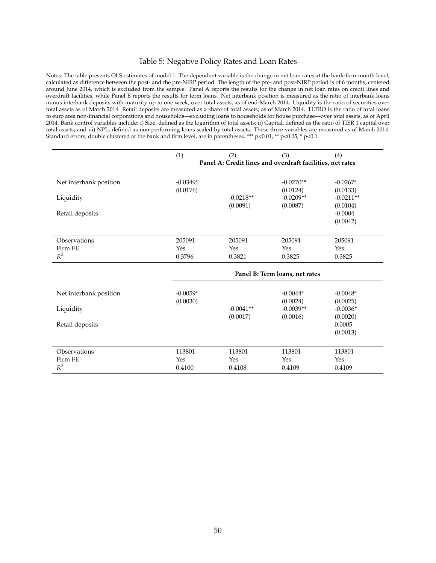## <span id="page-51-0"></span>Table 5: Negative Policy Rates and Loan Rates

Notes: The table presents OLS estimates of model [1.](#page--1-0) The dependent variable is the change in net loan rates at the bank-firm-month level, calculated as difference between the post- and the pre-NIRP period. The length of the pre- and post-NIRP period is of 6 months, centered around June 2014, which is excluded from the sample. Panel A reports the results for the change in net loan rates on credit lines and overdraft facilities, while Panel B reports the results for term loans. Net interbank position is measured as the ratio of interbank loans minus interbank deposits with maturity up to one week, over total assets, as of end-March 2014. Liquidity is the ratio of securities over total assets as of March 2014. Retail deposits are measured as a share of total assets, as of March 2014. TLTRO is the ratio of total loans to euro area non-financial corporations and households—excluding loans to households for house purchase—over total assets, as of April 2014. Bank control variables include: i) Size, defined as the logarithm of total assets; ii) Capital, defined as the ratio of TIER 1 capital over total assets; and iii) NPL, defined as non-performing loans scaled by total assets. These three variables are measured as of March 2014. Standard errors, double clustered at the bank and firm level, are in parentheses. \*\*\* p<0.01, \*\* p<0.05, \* p<0.1.

|                        | (1)        | (2)                                                       | (3)                     | (4)                     |  |  |
|------------------------|------------|-----------------------------------------------------------|-------------------------|-------------------------|--|--|
|                        |            | Panel A: Credit lines and overdraft facilities, net rates |                         |                         |  |  |
| Net interbank position | $-0.0349*$ |                                                           | $-0.0270**$             | $-0.0267*$              |  |  |
| Liquidity              | (0.0176)   | $-0.0218**$                                               | (0.0124)<br>$-0.0209**$ | (0.0133)<br>$-0.0211**$ |  |  |
| Retail deposits        |            | (0.0091)                                                  | (0.0087)                | (0.0104)<br>$-0.0004$   |  |  |
|                        |            |                                                           |                         | (0.0042)                |  |  |
| Observations           | 205091     | 205091                                                    | 205091                  | 205091                  |  |  |
| Firm FE                | Yes        | Yes                                                       | Yes                     | Yes                     |  |  |
| $R^2$                  | 0.3796     | 0.3821                                                    | 0.3825                  | 0.3825                  |  |  |
|                        |            | Panel B: Term loans, net rates                            |                         |                         |  |  |
| Net interbank position | $-0.0059*$ |                                                           | $-0.0044*$              | $-0.0048*$              |  |  |
| Liquidity              | (0.0030)   | $-0.0041**$                                               | (0.0024)<br>$-0.0039**$ | (0.0025)<br>$-0.0036*$  |  |  |
|                        |            | (0.0017)                                                  | (0.0016)                | (0.0020)                |  |  |
| Retail deposits        |            |                                                           |                         | 0.0005                  |  |  |
|                        |            |                                                           |                         | (0.0013)                |  |  |
| Observations           | 113801     | 113801                                                    | 113801                  | 113801                  |  |  |
| Firm FE                | Yes        | Yes                                                       | Yes                     | Yes                     |  |  |
| $R^2$                  | 0.4100     | 0.4108                                                    | 0.4109                  | 0.4109                  |  |  |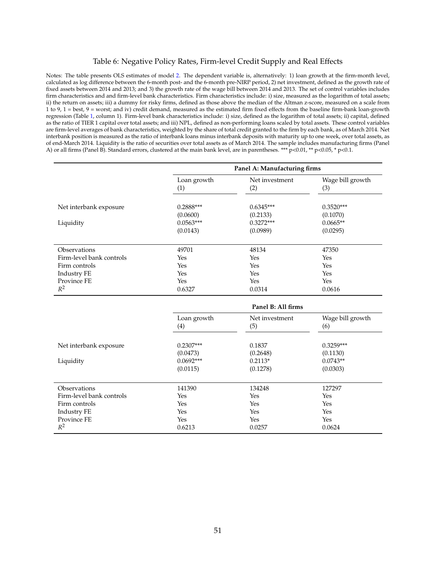## <span id="page-52-0"></span>Table 6: Negative Policy Rates, Firm-level Credit Supply and Real Effects

Notes: The table presents OLS estimates of model [2.](#page--1-0) The dependent variable is, alternatively: 1) loan growth at the firm-month level, calculated as log difference between the 6-month post- and the 6-month pre-NIRP period, 2) net investment, defined as the growth rate of fixed assets between 2014 and 2013; and 3) the growth rate of the wage bill between 2014 and 2013. The set of control variables includes firm characteristics and and firm-level bank characteristics. Firm characteristics include: i) size, measured as the logarithm of total assets; ii) the return on assets; iii) a dummy for risky firms, defined as those above the median of the Altman z-score, measured on a scale from 1 to 9, 1 = best, 9 = worst; and iv) credit demand, measured as the estimated firm fixed effects from the baseline firm-bank loan-growth regression (Table [1,](#page-47-0) column 1). Firm-level bank characteristics include: i) size, defined as the logarithm of total assets; ii) capital, defined as the ratio of TIER 1 capital over total assets; and iii) NPL, defined as non-performing loans scaled by total assets. These control variables are firm-level averages of bank characteristics, weighted by the share of total credit granted to the firm by each bank, as of March 2014. Net interbank position is measured as the ratio of interbank loans minus interbank deposits with maturity up to one week, over total assets, as of end-March 2014. Liquidity is the ratio of securities over total assets as of March 2014. The sample includes manufacturing firms (Panel A) or all firms (Panel B). Standard errors, clustered at the main bank level, are in parentheses. \*\*\* p<0.01, \*\* p<0.05, \* p<0.1.

|                          | Panel A: Manufacturing firms |                       |                         |  |  |
|--------------------------|------------------------------|-----------------------|-------------------------|--|--|
|                          | Loan growth<br>(1)           | Net investment<br>(2) | Wage bill growth<br>(3) |  |  |
| Net interbank exposure   | $0.2888***$                  | $0.6345***$           | $0.3520***$             |  |  |
|                          | (0.0600)                     | (0.2133)              | (0.1070)                |  |  |
| Liquidity                | $0.0563***$                  | $0.3272***$           | $0.0665**$              |  |  |
|                          | (0.0143)                     | (0.0989)              | (0.0295)                |  |  |
| Observations             | 49701                        | 48134                 | 47350                   |  |  |
| Firm-level bank controls | Yes                          | Yes                   | Yes                     |  |  |
| Firm controls            | Yes                          | Yes                   | Yes                     |  |  |
| <b>Industry FE</b>       | Yes                          | Yes                   | Yes                     |  |  |
| Province FE              | Yes                          | Yes                   | Yes                     |  |  |
| $R^2$                    | 0.6327                       | 0.0314                | 0.0616                  |  |  |

|                          | I anti D. An innis |                       |                         |  |
|--------------------------|--------------------|-----------------------|-------------------------|--|
|                          | Loan growth<br>(4) | Net investment<br>(5) | Wage bill growth<br>(6) |  |
| Net interbank exposure   | $0.2307***$        | 0.1837                | $0.3259***$             |  |
|                          | (0.0473)           | (0.2648)              | (0.1130)                |  |
| Liquidity                | $0.0692***$        | $0.2113*$             | $0.0743**$              |  |
|                          | (0.0115)           | (0.1278)              | (0.0303)                |  |
| <b>Observations</b>      | 141390             | 134248                | 127297                  |  |
| Firm-level bank controls | Yes                | Yes                   | Yes                     |  |
| Firm controls            | Yes                | Yes                   | Yes                     |  |
| Industry FE              | Yes                | Yes                   | Yes                     |  |
| Province FE              | Yes                | Yes                   | Yes                     |  |
| $R^2$                    | 0.6213             | 0.0257                | 0.0624                  |  |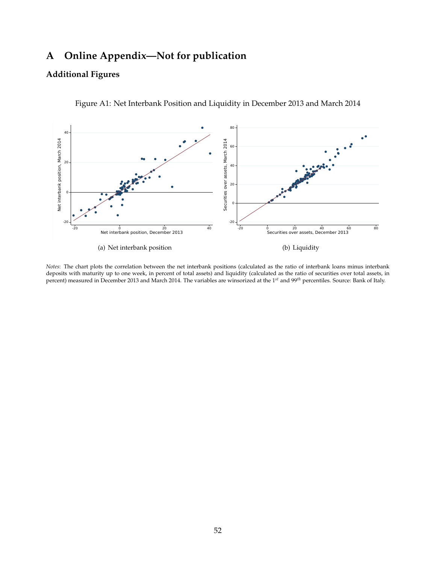# **A Online Appendix—Not for publication**

# **Additional Figures**



Figure A1: Net Interbank Position and Liquidity in December 2013 and March 2014

*Notes*: The chart plots the correlation between the net interbank positions (calculated as the ratio of interbank loans minus interbank deposits with maturity up to one week, in percent of total assets) and liquidity (calculated as the ratio of securities over total assets, in percent) measured in December 2013 and March 2014. The variables are winsorized at the 1*st* and 99*th* percentiles. Source: Bank of Italy.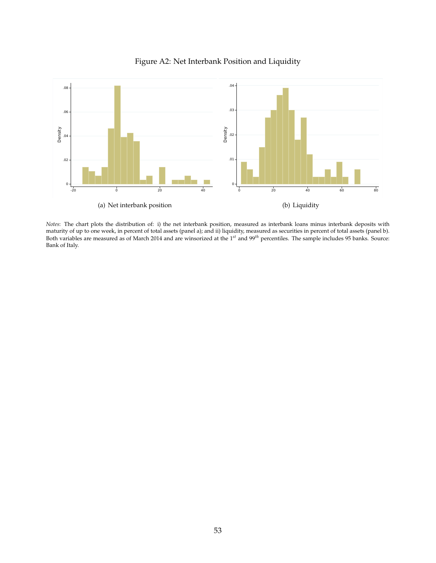

# Figure A2: Net Interbank Position and Liquidity

*Notes*: The chart plots the distribution of: i) the net interbank position, measured as interbank loans minus interbank deposits with maturity of up to one week, in percent of total assets (panel a); and ii) liquidity, measured as securities in percent of total assets (panel b). Both variables are measured as of March 2014 and are winsorized at the 1*st* and 99*th* percentiles. The sample includes 95 banks. Source: Bank of Italy.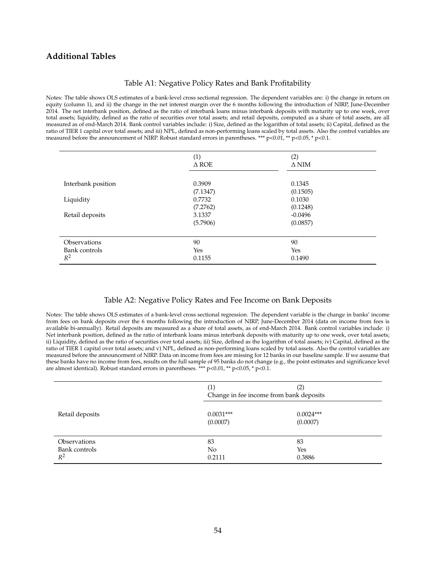## **Additional Tables**

## Table A1: Negative Policy Rates and Bank Profitability

Notes: The table shows OLS estimates of a bank-level cross sectional regression. The dependent variables are: i) the change in return on equity (column 1), and ii) the change in the net interest margin over the 6 months following the introduction of NIRP, June-December 2014. The net interbank position, defined as the ratio of interbank loans minus interbank deposits with maturity up to one week, over total assets; liquidity, defined as the ratio of securities over total assets; and retail deposits, computed as a share of total assets, are all measured as of end-March 2014. Bank control variables include: i) Size, defined as the logarithm of total assets; ii) Capital, defined as the ratio of TIER 1 capital over total assets; and iii) NPL, defined as non-performing loans scaled by total assets. Also the control variables are measured before the announcement of NIRP. Robust standard errors in parentheses. \*\*\* p<0.01, \*\* p<0.05, \* p<0.1.

|                                        | (1)<br>$\triangle$ ROE | (2)<br>$\Delta$ NIM   |
|----------------------------------------|------------------------|-----------------------|
| Interbank position                     | 0.3909<br>(7.1347)     | 0.1345<br>(0.1505)    |
| Liquidity                              | 0.7732<br>(7.2762)     | 0.1030<br>(0.1248)    |
| Retail deposits                        | 3.1337<br>(5.7906)     | $-0.0496$<br>(0.0857) |
| Observations<br>Bank controls<br>$R^2$ | 90<br>Yes<br>0.1155    | 90<br>Yes<br>0.1490   |

## Table A2: Negative Policy Rates and Fee Income on Bank Deposits

Notes: The table shows OLS estimates of a bank-level cross sectional regression. The dependent variable is the change in banks' income from fees on bank deposits over the 6 months following the introduction of NIRP, June-December 2014 (data on income from fees is available bi-annually). Retail deposits are measured as a share of total assets, as of end-March 2014. Bank control variables include: i) Net interbank position, defined as the ratio of interbank loans minus interbank deposits with maturity up to one week, over total assets; ii) Liquidity, defined as the ratio of securities over total assets; iii) Size, defined as the logarithm of total assets; iv) Capital, defined as the ratio of TIER 1 capital over total assets; and v) NPL, defined as non-performing loans scaled by total assets. Also the control variables are measured before the announcement of NIRP. Data on income from fees are missing for 12 banks in our baseline sample. If we assume that these banks have no income from fees, results on the full sample of 95 banks do not change (e.g., the point estimates and significance level are almost identical). Robust standard errors in parentheses. \*\*\* p<0.01, \*\* p<0.05, \* p<0.1.

|                                        | (1)                            | $\left( 2\right)$<br>Change in fee income from bank deposits |  |
|----------------------------------------|--------------------------------|--------------------------------------------------------------|--|
| Retail deposits                        | $0.0031***$<br>(0.0007)        | $0.0024***$<br>(0.0007)                                      |  |
| Observations<br>Bank controls<br>$R^2$ | 83<br>N <sub>o</sub><br>0.2111 | 83<br>Yes<br>0.3886                                          |  |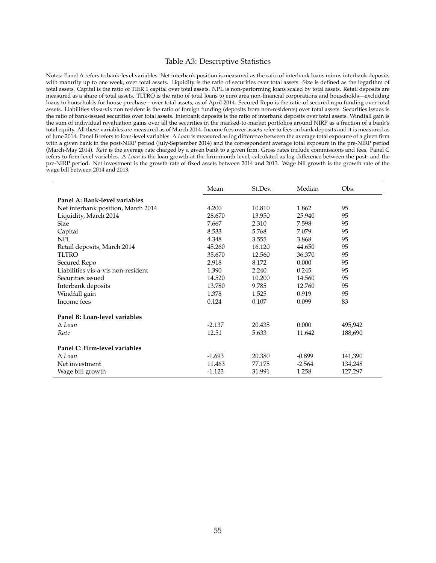#### Table A3: Descriptive Statistics

Notes: Panel A refers to bank-level variables. Net interbank position is measured as the ratio of interbank loans minus interbank deposits with maturity up to one week, over total assets. Liquidity is the ratio of securities over total assets. Size is defined as the logarithm of total assets. Capital is the ratio of TIER 1 capital over total assets. NPL is non-performing loans scaled by total assets. Retail deposits are measured as a share of total assets. TLTRO is the ratio of total loans to euro area non-financial corporations and households—excluding loans to households for house purchase—over total assets, as of April 2014. Secured Repo is the ratio of secured repo funding over total assets. Liabilities vis-a-vis non resident is the ratio of foreign funding (deposits from non-residents) over total assets. Securities issues is the ratio of bank-issued securities over total assets. Interbank deposits is the ratio of interbank deposits over total assets. Windfall gain is the sum of individual revaluation gains over all the securities in the marked-to-market portfolios around NIRP as a fraction of a bank's total equity. All these variables are measured as of March 2014. Income fees over assets refer to fees on bank deposits and it is measured as of June 2014. Panel B refers to loan-level variables. ∆ *Loan* is measured as log difference between the average total exposure of a given firm with a given bank in the post-NIRP period (July-September 2014) and the correspondent average total exposure in the pre-NIRP period (March-May 2014). *Rate* is the average rate charged by a given bank to a given firm. Gross rates include commissions and fees. Panel C refers to firm-level variables. ∆ *Loan* is the loan growth at the firm-month level, calculated as log difference between the post- and the pre-NIRP period. Net investment is the growth rate of fixed assets between 2014 and 2013. Wage bill growth is the growth rate of the wage bill between 2014 and 2013.

|                                    | Mean     | St.Dev. | Median   | Obs.    |
|------------------------------------|----------|---------|----------|---------|
| Panel A: Bank-level variables      |          |         |          |         |
| Net interbank position, March 2014 | 4.200    | 10.810  | 1.862    | 95      |
| Liquidity, March 2014              | 28.670   | 13.950  | 25.940   | 95      |
| <b>Size</b>                        | 7.667    | 2.310   | 7.598    | 95      |
| Capital                            | 8.533    | 5.768   | 7.079    | 95      |
| <b>NPL</b>                         | 4.348    | 3.555   | 3.868    | 95      |
| Retail deposits, March 2014        | 45.260   | 16.120  | 44.650   | 95      |
| <b>TLTRO</b>                       | 35.670   | 12.560  | 36.370   | 95      |
| Secured Repo                       | 2.918    | 8.172   | 0.000    | 95      |
| Liabilities vis-a-vis non-resident | 1.390    | 2.240   | 0.245    | 95      |
| Securities issued                  | 14.520   | 10.200  | 14.560   | 95      |
| Interbank deposits                 | 13.780   | 9.785   | 12.760   | 95      |
| Windfall gain                      | 1.378    | 1.525   | 0.919    | 95      |
| Income fees                        | 0.124    | 0.107   | 0.099    | 83      |
| Panel B: Loan-level variables      |          |         |          |         |
| $\Lambda$ Loan                     | $-2.137$ | 20.435  | 0.000    | 495,942 |
| Rate                               | 12.51    | 5.633   | 11.642   | 188,690 |
| Panel C: Firm-level variables      |          |         |          |         |
| $\Lambda$ Loan                     | $-1.693$ | 20.380  | $-0.899$ | 141,390 |
| Net investment                     | 11.463   | 77.175  | $-2.564$ | 134,248 |
| Wage bill growth                   | $-1.123$ | 31.991  | 1.258    | 127,297 |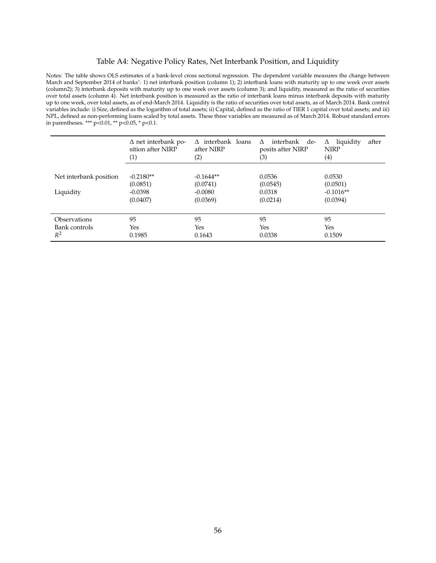## Table A4: Negative Policy Rates, Net Interbank Position, and Liquidity

Notes: The table shows OLS estimates of a bank-level cross sectional regression. The dependent variable measures the change between March and September 2014 of banks': 1) net interbank position (column 1); 2) interbank loans with maturity up to one week over assets (column2); 3) interbank deposits with maturity up to one week over assets (column 3); and liquidity, measured as the ratio of securities over total assets (column 4). Net interbank position is measured as the ratio of interbank loans minus interbank deposits with maturity up to one week, over total assets, as of end-March 2014. Liquidity is the ratio of securities over total assets, as of March 2014. Bank control variables include: i) Size, defined as the logarithm of total assets; ii) Capital, defined as the ratio of TIER 1 capital over total assets; and iii) NPL, defined as non-performing loans scaled by total assets. These three variables are measured as of March 2014. Robust standard errors in parentheses. \*\*\*  $p<0.01$ , \*\*  $p<0.05$ , \*  $p<0.1$ .

|                        | $\Delta$ net interbank po-<br>sition after NIRP<br>(1) | interbank loans<br>Λ<br>after NIRP<br>(2) | interbank de-<br>$\Lambda$<br>posits after NIRP<br>(3) | after<br>liquidity<br>Δ<br><b>NIRP</b><br>(4) |
|------------------------|--------------------------------------------------------|-------------------------------------------|--------------------------------------------------------|-----------------------------------------------|
| Net interbank position | $-0.2180**$                                            | $-0.1644**$                               | 0.0536                                                 | 0.0530                                        |
|                        | (0.0851)                                               | (0.0741)                                  | (0.0545)                                               | (0.0501)                                      |
| Liquidity              | $-0.0398$                                              | $-0.0080$                                 | 0.0318                                                 | $-0.1016**$                                   |
|                        | (0.0407)                                               | (0.0369)                                  | (0.0214)                                               | (0.0394)                                      |
| Observations           | 95                                                     | 95                                        | 95                                                     | 95                                            |
| Bank controls          | Yes                                                    | Yes                                       | Yes                                                    | Yes                                           |
| $R^2$                  | 0.1985                                                 | 0.1643                                    | 0.0338                                                 | 0.1509                                        |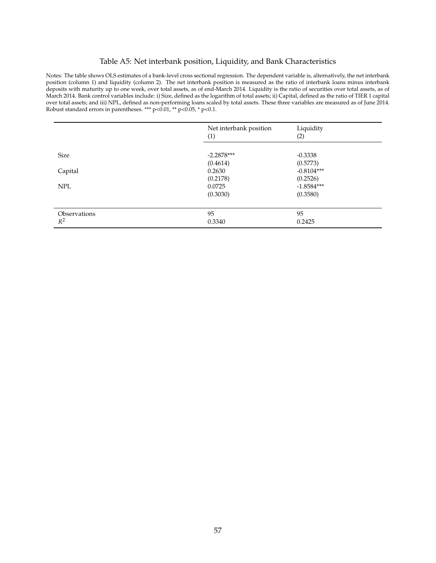# Table A5: Net interbank position, Liquidity, and Bank Characteristics

Notes: The table shows OLS estimates of a bank-level cross sectional regression. The dependent variable is, alternatively, the net interbank position (column 1) and liquidity (column 2). The net interbank position is measured as the ratio of interbank loans minus interbank deposits with maturity up to one week, over total assets, as of end-March 2014. Liquidity is the ratio of securities over total assets, as of March 2014. Bank control variables include: i) Size, defined as the logarithm of total assets; ii) Capital, defined as the ratio of TIER 1 capital over total assets; and iii) NPL, defined as non-performing loans scaled by total assets. These three variables are measured as of June 2014. Robust standard errors in parentheses. \*\*\*  $p<0.01$ , \*\*  $p<0.05$ , \*  $p<0.1$ .

|              | Net interbank position<br>(1) | Liquidity<br>(2) |
|--------------|-------------------------------|------------------|
| <b>Size</b>  | $-2.2878***$                  | $-0.3338$        |
|              | (0.4614)                      | (0.5773)         |
| Capital      | 0.2630                        | $-0.8104***$     |
|              | (0.2178)                      | (0.2526)         |
| <b>NPL</b>   | 0.0725                        | $-1.8584***$     |
|              | (0.3030)                      | (0.3580)         |
| Observations | 95                            | 95               |
| $R^2$        | 0.3340                        | 0.2425           |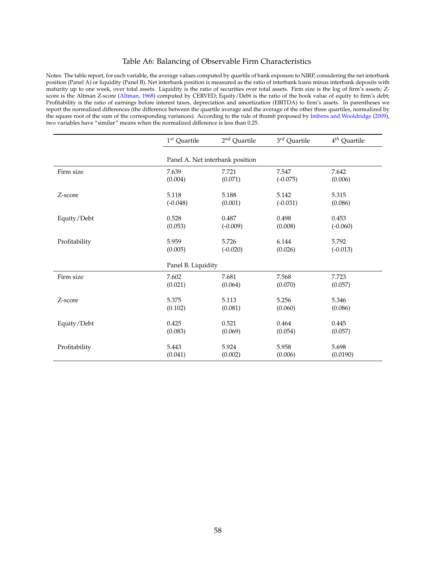## Table A6: Balancing of Observable Firm Characteristics

Notes: The table report, for each variable, the average values computed by quartile of bank exposure to NIRP, considering the net interbank position (Panel A) or liquidity (Panel B). Net interbank position is measured as the ratio of interbank loans minus interbank deposits with maturity up to one week, over total assets. Liquidity is the ratio of securities over total assets. Firm size is the log of firm's assets; Zscore is the Altman Z-score [\(Altman,](#page-38-15) [1968\)](#page-38-15) computed by CERVED; Equity/Debt is the ratio of the book value of equity to firm's debt; Profitability is the ratio of earnings before interest taxes, depreciation and amortization (EBITDA) to firm's assets. In parentheses we report the normalized differences (the difference between the quartile average and the average of the other three quartiles, normalized by the square root of the sum of the corresponding variances). According to the rule of thumb proposed by [Imbens and Wooldridge](#page-40-14) [\(2009\)](#page-40-14), two variables have "similar" means when the normalized difference is less than 0.25.

|               | $1^{st}$ Quartile               | $2^{nd}$ Quartile | $3^{rd}$ Quartile | $4^{th}$ Quartile |
|---------------|---------------------------------|-------------------|-------------------|-------------------|
|               | Panel A. Net interbank position |                   |                   |                   |
| Firm size     | 7.639                           | 7.721             | 7.547             | 7.642             |
|               | (0.004)                         | (0.071)           | $(-0.075)$        | (0.006)           |
| Z-score       | 5.118                           | 5.188             | 5.142             | 5.315             |
|               | $(-0.048)$                      | (0.001)           | $(-0.031)$        | (0.086)           |
| Equity/Debt   | 0.528                           | 0.487             | 0.498             | 0.453             |
|               | (0.053)                         | $(-0.009)$        | (0.008)           | $(-0.060)$        |
| Profitability | 5.959                           | 5.726             | 6.144             | 5.792             |
|               | (0.005)                         | $(-0.020)$        | (0.026)           | $(-0.013)$        |
|               | Panel B. Liquidity              |                   |                   |                   |
| Firm size     | 7.602                           | 7.681             | 7.568             | 7.723             |
|               | (0.021)                         | (0.064)           | (0.070)           | (0.057)           |
| Z-score       | 5.375                           | 5.113             | 5.256             | 5.346             |
|               | (0.102)                         | (0.081)           | (0.060)           | (0.086)           |
| Equity/Debt   | 0.425                           | 0.521             | 0.464             | 0.445             |
|               | (0.083)                         | (0.069)           | (0.054)           | (0.057)           |
| Profitability | 5.443                           | 5.924             | 5.958             | 5.698             |
|               | (0.041)                         | (0.002)           | (0.006)           | (0.0190)          |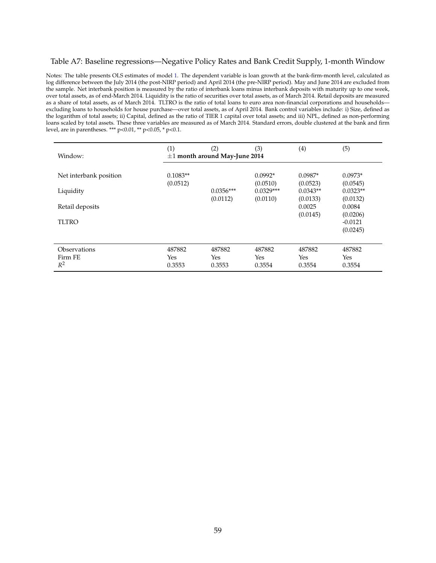## <span id="page-60-0"></span>Table A7: Baseline regressions—Negative Policy Rates and Bank Credit Supply, 1-month Window

Notes: The table presents OLS estimates of model [1.](#page--1-0) The dependent variable is loan growth at the bank-firm-month level, calculated as log difference between the July 2014 (the post-NIRP period) and April 2014 (the pre-NIRP period). May and June 2014 are excluded from the sample. Net interbank position is measured by the ratio of interbank loans minus interbank deposits with maturity up to one week, over total assets, as of end-March 2014. Liquidity is the ratio of securities over total assets, as of March 2014. Retail deposits are measured as a share of total assets, as of March 2014. TLTRO is the ratio of total loans to euro area non-financial corporations and households excluding loans to households for house purchase—over total assets, as of April 2014. Bank control variables include: i) Size, defined as the logarithm of total assets; ii) Capital, defined as the ratio of TIER 1 capital over total assets; and iii) NPL, defined as non-performing loans scaled by total assets. These three variables are measured as of March 2014. Standard errors, double clustered at the bank and firm level, are in parentheses. \*\*\* p<0.01, \*\* p<0.05, \* p<0.1.

| Window:                          | (1)                     | (2)<br>$\pm 1$ month around May-June 2014 | (3)                     | (4)                     | (5)                               |
|----------------------------------|-------------------------|-------------------------------------------|-------------------------|-------------------------|-----------------------------------|
| Net interbank position           | $0.1083**$<br>(0.0512)  |                                           | $0.0992*$<br>(0.0510)   | $0.0987*$<br>(0.0523)   | $0.0973*$<br>(0.0545)             |
| Liquidity                        |                         | $0.0356***$                               | $0.0329***$             | $0.0343**$              | $0.0323**$                        |
| Retail deposits                  |                         | (0.0112)                                  | (0.0110)                | (0.0133)<br>0.0025      | (0.0132)<br>0.0084                |
| <b>TLTRO</b>                     |                         |                                           |                         | (0.0145)                | (0.0206)<br>$-0.0121$<br>(0.0245) |
|                                  |                         |                                           |                         |                         |                                   |
| Observations<br>Firm FE<br>$R^2$ | 487882<br>Yes<br>0.3553 | 487882<br>Yes<br>0.3553                   | 487882<br>Yes<br>0.3554 | 487882<br>Yes<br>0.3554 | 487882<br>Yes<br>0.3554           |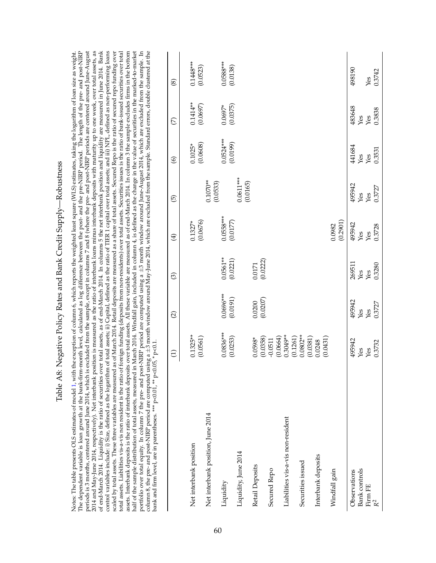| (0.0177)<br>Yes<br>Yes<br>$0.0561**$<br>(0.0221)<br>(0.0222)<br>269511<br>0.0171<br>Yes<br>Yes<br>$0.0696***$<br>(0.0191)<br>(0.0207)<br>495942<br>0.0200<br>Yes<br>Yes<br>$0.0836***$<br>$0.1325**$<br>$0.0802**$<br>$0.3049**$<br>(0.0561)<br>(0.1261)<br>(0.0253)<br>(0.0664)<br>(0.0358)<br>(0.0381)<br>(0.0431)<br>$0.0598*$<br>$-0.0511$<br>495942<br>0.0248<br>Yes<br>Yes<br>Net interbank position, June 2014<br>Liabilities vis-a-vis non-resident<br>Net interbank position<br>Liquidity, June 2014<br>Interbank deposits<br>Securities issued<br>Retail Deposits<br><b>Bank</b> controls<br>Secured Repo<br>Windfall gain<br>Observations<br>Liquidity<br>Firm FE | $\odot$<br>$\widehat{\Omega}$ | $\bigoplus$           | $\widehat{\Theta}$ | $\circledcirc$        | E                      | $\circledast$           |
|------------------------------------------------------------------------------------------------------------------------------------------------------------------------------------------------------------------------------------------------------------------------------------------------------------------------------------------------------------------------------------------------------------------------------------------------------------------------------------------------------------------------------------------------------------------------------------------------------------------------------------------------------------------------------|-------------------------------|-----------------------|--------------------|-----------------------|------------------------|-------------------------|
|                                                                                                                                                                                                                                                                                                                                                                                                                                                                                                                                                                                                                                                                              |                               | (0.0676)<br>$0.1327*$ |                    | (0.0608)<br>$0.1025*$ | $0.1414**$<br>(0.0697) | $0.1448***$<br>(0.0523) |
|                                                                                                                                                                                                                                                                                                                                                                                                                                                                                                                                                                                                                                                                              |                               |                       | $0.1070**$         |                       |                        |                         |
|                                                                                                                                                                                                                                                                                                                                                                                                                                                                                                                                                                                                                                                                              |                               | $0.0558***$           | (0.0533)           | $0.0524***$           | $0.0697*$              | $0.0588***$             |
|                                                                                                                                                                                                                                                                                                                                                                                                                                                                                                                                                                                                                                                                              |                               |                       | 0.0611***          | (0.0199)              | (0.0375)               | (0.0138)                |
|                                                                                                                                                                                                                                                                                                                                                                                                                                                                                                                                                                                                                                                                              |                               |                       | (0.0165)           |                       |                        |                         |
|                                                                                                                                                                                                                                                                                                                                                                                                                                                                                                                                                                                                                                                                              |                               |                       |                    |                       |                        |                         |
|                                                                                                                                                                                                                                                                                                                                                                                                                                                                                                                                                                                                                                                                              |                               |                       |                    |                       |                        |                         |
|                                                                                                                                                                                                                                                                                                                                                                                                                                                                                                                                                                                                                                                                              |                               |                       |                    |                       |                        |                         |
|                                                                                                                                                                                                                                                                                                                                                                                                                                                                                                                                                                                                                                                                              |                               |                       |                    |                       |                        |                         |
|                                                                                                                                                                                                                                                                                                                                                                                                                                                                                                                                                                                                                                                                              |                               | (0.2901)<br>0.0982    |                    |                       |                        |                         |
|                                                                                                                                                                                                                                                                                                                                                                                                                                                                                                                                                                                                                                                                              |                               | 495942                | 495942             | 441684                | 483648                 | 498190                  |
|                                                                                                                                                                                                                                                                                                                                                                                                                                                                                                                                                                                                                                                                              |                               |                       | Yes                | Yes                   | Yes                    |                         |
|                                                                                                                                                                                                                                                                                                                                                                                                                                                                                                                                                                                                                                                                              |                               |                       | Yes                | Yes                   | Yes                    | Yes                     |
| 0.3280<br>0.3727<br>0.3732<br>$\mathbb{R}^2$                                                                                                                                                                                                                                                                                                                                                                                                                                                                                                                                                                                                                                 |                               | 0.3728                | 0.3727             | 0.3531                | 0.3838                 | 0.3742                  |

Table A8: Negative Policy Rates and Bank Credit Supply-Robustness Table A8: Negative Policy Rates and Bank Credit Supply—Robustness Notes: The table presents OLS estimates of model [1,](#page--1-0) with the exception of column 6, which reports the weighted least square (WLS) estimates, taking the logarithm of loan size as weight. The dependent variable is loan growth at the bank-firm-month level, calculated as log difference between the post- and the pre-NIRP period. The length of the pre- and post-NIRP periods is 3 months, centered around June 2014, which is excluded from the sample, except in columns 7 and 8 (where the pre- and post-NIRP periods are centered around June-August 2014 and May-June 2014, respectively). Net interbank position is measured as the ratio of interbank loans minus interbank deposits with maturity up to one week, over total assets, as of end-March 2014. Liquidity is the ratio of securities over total assets, as of end-March 2014. In columns 5 the net interbank position and liquidity are measured in June 2014. Bank control variables include: i) Size, defined as the logarithm of total assets; ii) Capital, defined as the ratio of TIER 1 capital over total assets; and iii) NPL, defined as non-performing loans

<span id="page-61-0"></span>Notes: The table presents OLS estimates of model 1, with the exception of column 6, which reports the weighted least square (WLS) estimates, taking the logarithm of loan size as weight.<br>The dependent variable is loan growt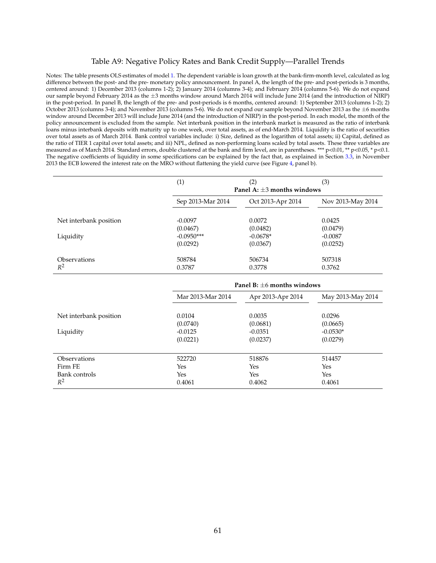## <span id="page-62-0"></span>Table A9: Negative Policy Rates and Bank Credit Supply—Parallel Trends

Notes: The table presents OLS estimates of model [1.](#page--1-0) The dependent variable is loan growth at the bank-firm-month level, calculated as log difference between the post- and the pre- monetary policy announcement. In panel A, the length of the pre- and post-periods is 3 months, centered around: 1) December 2013 (columns 1-2); 2) January 2014 (columns 3-4); and February 2014 (columns 5-6). We do not expand our sample beyond February 2014 as the  $\pm 3$  months window around March 2014 will include June 2014 (and the introduction of NIRP) in the post-period. In panel B, the length of the pre- and post-periods is 6 months, centered around: 1) September 2013 (columns 1-2); 2) October 2013 (columns 3-4); and November 2013 (columns 5-6). We do not expand our sample beyond November 2013 as the  $\pm 6$  months window around December 2013 will include June 2014 (and the introduction of NIRP) in the post-period. In each model, the month of the policy announcement is excluded from the sample. Net interbank position in the interbank market is measured as the ratio of interbank loans minus interbank deposits with maturity up to one week, over total assets, as of end-March 2014. Liquidity is the ratio of securities over total assets as of March 2014. Bank control variables include: i) Size, defined as the logarithm of total assets; ii) Capital, defined as the ratio of TIER 1 capital over total assets; and iii) NPL, defined as non-performing loans scaled by total assets. These three variables are measured as of March 2014. Standard errors, double clustered at the bank and firm level, are in parentheses. \*\*\* p<0.01, \*\* p<0.05, \* p<0.1. The negative coefficients of liquidity in some specifications can be explained by the fact that, as explained in Section [3.3,](#page-22-0) in November 2013 the ECB lowered the interest rate on the MRO without flattening the yield curve (see Figure [4,](#page-45-0) panel b).

|                        | (1)               | (2)<br>Panel A: $\pm$ 3 months windows | (3)               |
|------------------------|-------------------|----------------------------------------|-------------------|
|                        | Sep 2013-Mar 2014 | Oct 2013-Apr 2014                      | Nov 2013-May 2014 |
| Net interbank position | $-0.0097$         | 0.0072                                 | 0.0425            |
|                        | (0.0467)          | (0.0482)                               | (0.0479)          |
| Liquidity              | $-0.0950***$      | $-0.0678*$                             | $-0.0087$         |
|                        | (0.0292)          | (0.0367)                               | (0.0252)          |
| Observations           | 508784            | 506734                                 | 507318            |
| $R^2$                  | 0.3787            | 0.3778                                 | 0.3762            |

|                                     | Panel B: $+6$ months windows    |                                 |                                  |  |
|-------------------------------------|---------------------------------|---------------------------------|----------------------------------|--|
|                                     | Mar 2013-Mar 2014               | Apr 2013-Apr 2014               | May 2013-May 2014                |  |
| Net interbank position<br>Liquidity | 0.0104<br>(0.0740)<br>$-0.0125$ | 0.0035<br>(0.0681)<br>$-0.0351$ | 0.0296<br>(0.0665)<br>$-0.0530*$ |  |
|                                     | (0.0221)                        | (0.0237)                        | (0.0279)                         |  |
| <b>Observations</b>                 | 522720                          | 518876                          | 514457                           |  |
| Firm FE                             | Yes                             | Yes                             | Yes                              |  |
| Bank controls                       | Yes                             | Yes                             | Yes                              |  |
| $R^2$                               | 0.4061                          | 0.4062                          | 0.4061                           |  |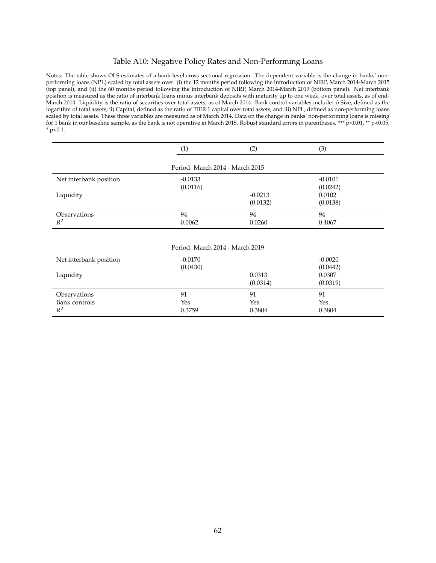## <span id="page-63-0"></span>Table A10: Negative Policy Rates and Non-Performing Loans

Notes: The table shows OLS estimates of a bank-level cross sectional regression. The dependent variable is the change in banks' nonperforming loans (NPL) scaled by total assets over: (i) the 12 months period following the introduction of NIRP, March 2014-March 2015 (top panel), and (ii) the 60 months period following the introduction of NIRP, March 2014-March 2019 (bottom panel). Net interbank position is measured as the ratio of interbank loans minus interbank deposits with maturity up to one week, over total assets, as of end-March 2014. Liquidity is the ratio of securities over total assets, as of March 2014. Bank control variables include: i) Size, defined as the logarithm of total assets; ii) Capital, defined as the ratio of TIER 1 capital over total assets; and iii) NPL, defined as non-performing loans scaled by total assets. These three variables are measured as of March 2014. Data on the change in banks' non-performing loans is missing for 1 bank in our baseline sample, as the bank is not operative in March 2015. Robust standard errors in parentheses. \*\*\*  $p<0.01$ , \*\*  $p<0.05$ ,  $*$  p<0.1.

|                        | (1)                             | (2)       | (3)       |
|------------------------|---------------------------------|-----------|-----------|
|                        | Period: March 2014 - March 2015 |           |           |
| Net interbank position | $-0.0133$                       |           | $-0.0101$ |
|                        | (0.0116)                        |           | (0.0242)  |
| Liquidity              |                                 | $-0.0213$ | 0.0102    |
|                        |                                 | (0.0132)  | (0.0138)  |
| <b>Observations</b>    | 94                              | 94        | 94        |
| $R^2$                  | 0.0062                          | 0.0260    | 0.4067    |

| Net interbank position                 | $-0.0170$<br>(0.0430) |                     | $-0.0020$<br>(0.0442) |
|----------------------------------------|-----------------------|---------------------|-----------------------|
| Liquidity                              |                       | 0.0313<br>(0.0314)  | 0.0307<br>(0.0319)    |
| Observations<br>Bank controls<br>$R^2$ | 91<br>Yes<br>0.3759   | 91<br>Yes<br>0.3804 | 91<br>Yes<br>0.3804   |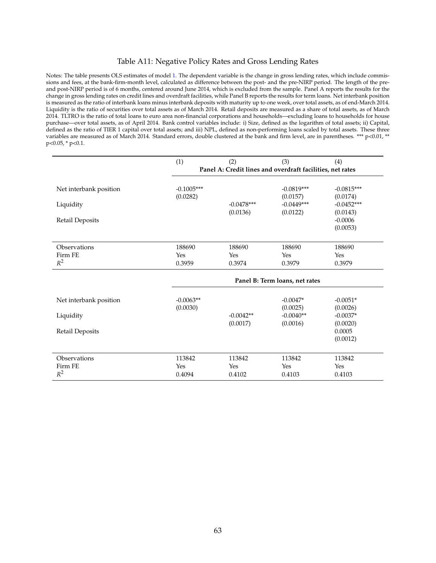## <span id="page-64-0"></span>Table A11: Negative Policy Rates and Gross Lending Rates

Notes: The table presents OLS estimates of model [1.](#page--1-0) The dependent variable is the change in gross lending rates, which include commissions and fees, at the bank-firm-month level, calculated as difference between the post- and the pre-NIRP period. The length of the preand post-NIRP period is of 6 months, centered around June 2014, which is excluded from the sample. Panel A reports the results for the change in gross lending rates on credit lines and overdraft facilities, while Panel B reports the results for term loans. Net interbank position is measured as the ratio of interbank loans minus interbank deposits with maturity up to one week, over total assets, as of end-March 2014. Liquidity is the ratio of securities over total assets as of March 2014. Retail deposits are measured as a share of total assets, as of March 2014. TLTRO is the ratio of total loans to euro area non-financial corporations and households—excluding loans to households for house purchase—over total assets, as of April 2014. Bank control variables include: i) Size, defined as the logarithm of total assets; ii) Capital, defined as the ratio of TIER 1 capital over total assets; and iii) NPL, defined as non-performing loans scaled by total assets. These three variables are measured as of March 2014. Standard errors, double clustered at the bank and firm level, are in parentheses. \*\*\* p<0.01, \*\* p<0.05, \* p<0.1.

|                                                               | (1)                            | (2)                                                       | (3)                                                  | (4)                                                                           |
|---------------------------------------------------------------|--------------------------------|-----------------------------------------------------------|------------------------------------------------------|-------------------------------------------------------------------------------|
|                                                               |                                | Panel A: Credit lines and overdraft facilities, net rates |                                                      |                                                                               |
| Net interbank position<br>Liquidity<br>Retail Deposits        | $-0.1005***$<br>(0.0282)       | $-0.0478***$<br>(0.0136)                                  | $-0.0819***$<br>(0.0157)<br>$-0.0449***$<br>(0.0122) | $-0.0815***$<br>(0.0174)<br>$-0.0452***$<br>(0.0143)<br>$-0.0006$<br>(0.0053) |
| Observations<br>Firm FE<br>$R^2$                              | 188690<br><b>Yes</b><br>0.3959 | 188690<br>Yes<br>0.3974                                   | 188690<br>Yes<br>0.3979                              | 188690<br>Yes<br>0.3979                                                       |
|                                                               |                                |                                                           | Panel B: Term loans, net rates                       |                                                                               |
| Net interbank position<br>Liquidity<br><b>Retail Deposits</b> | $-0.0063**$<br>(0.0030)        | $-0.0042**$<br>(0.0017)                                   | $-0.0047*$<br>(0.0025)<br>$-0.0040**$<br>(0.0016)    | $-0.0051*$<br>(0.0026)<br>$-0.0037*$<br>(0.0020)<br>0.0005<br>(0.0012)        |
| Observations                                                  | 113842                         | 113842                                                    | 113842                                               | 113842                                                                        |

Firm FE Yes Yes Yes Yes

2 0.4094 0.4102 0.4103 0.4103 0.4103

 $R^2$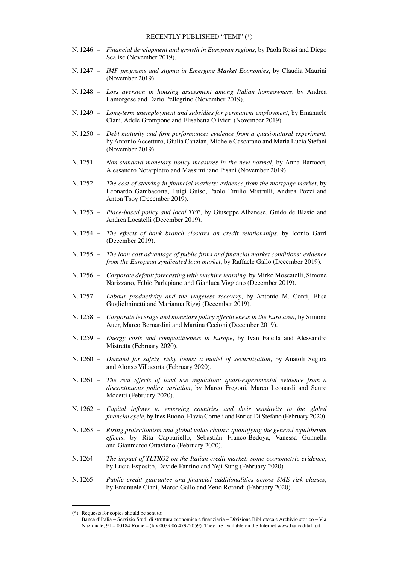#### RECENTLY PUBLISHED "TEMI" (\*)

- N. 1246 *Financial development and growth in European regions*, by Paola Rossi and Diego Scalise (November 2019).
- N. 1247 *IMF programs and stigma in Emerging Market Economies*, by Claudia Maurini (November 2019).
- N. 1248 *Loss aversion in housing assessment among Italian homeowners*, by Andrea Lamorgese and Dario Pellegrino (November 2019).
- N. 1249 *Long-term unemployment and subsidies for permanent employment*, by Emanuele Ciani, Adele Grompone and Elisabetta Olivieri (November 2019).
- N. 1250 *Debt maturity and firm performance: evidence from a quasi-natural experiment*, by Antonio Accetturo, Giulia Canzian, Michele Cascarano and Maria Lucia Stefani (November 2019).
- N. 1251 *Non-standard monetary policy measures in the new normal*, by Anna Bartocci, Alessandro Notarpietro and Massimiliano Pisani (November 2019).
- N. 1252 *The cost of steering in financial markets: evidence from the mortgage market*, by Leonardo Gambacorta, Luigi Guiso, Paolo Emilio Mistrulli, Andrea Pozzi and Anton Tsoy (December 2019).
- N. 1253 *Place-based policy and local TFP*, by Giuseppe Albanese, Guido de Blasio and Andrea Locatelli (December 2019).
- N. 1254 *The effects of bank branch closures on credit relationships*, by Iconio Garrì (December 2019).
- N. 1255 *The loan cost advantage of public firms and financial market conditions: evidence from the European syndicated loan market*, by Raffaele Gallo (December 2019).
- N. 1256 *Corporate default forecasting with machine learning*, by Mirko Moscatelli, Simone Narizzano, Fabio Parlapiano and Gianluca Viggiano (December 2019).
- N. 1257 *Labour productivity and the wageless recovery*, by Antonio M. Conti, Elisa Guglielminetti and Marianna Riggi (December 2019).
- N. 1258 *Corporate leverage and monetary policy effectiveness in the Euro area*, by Simone Auer, Marco Bernardini and Martina Cecioni (December 2019).
- N. 1259 *Energy costs and competitiveness in Europe*, by Ivan Faiella and Alessandro Mistretta (February 2020).
- N. 1260 *Demand for safety, risky loans: a model of securitization*, by Anatoli Segura and Alonso Villacorta (February 2020).
- N. 1261 *The real effects of land use regulation: quasi-experimental evidence from a discontinuous policy variation*, by Marco Fregoni, Marco Leonardi and Sauro Mocetti (February 2020).
- N. 1262 *Capital inflows to emerging countries and their sensitivity to the global financial cycle*, by Ines Buono, Flavia Corneli and Enrica Di Stefano (February 2020).
- N. 1263 *Rising protectionism and global value chains: quantifying the general equilibrium effects*, by Rita Cappariello, Sebastián Franco-Bedoya, Vanessa Gunnella and Gianmarco Ottaviano (February 2020).
- N. 1264 *The impact of TLTRO2 on the Italian credit market: some econometric evidence*, by Lucia Esposito, Davide Fantino and Yeji Sung (February 2020).
- N. 1265 *Public credit guarantee and financial additionalities across SME risk classes*, by Emanuele Ciani, Marco Gallo and Zeno Rotondi (February 2020).

<sup>(\*)</sup> Requests for copies should be sent to:

Banca d'Italia – Servizio Studi di struttura economica e finanziaria – Divisione Biblioteca e Archivio storico – Via Nazionale, 91 – 00184 Rome – (fax 0039 06 47922059). They are available on the Internet www.bancaditalia.it.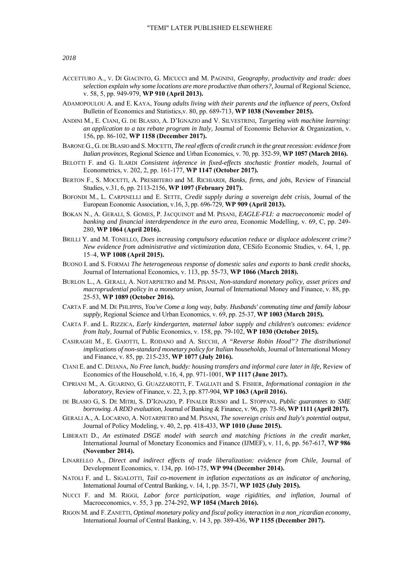*2018* 

- ACCETTURO A., V. DI GIACINTO, G. MICUCCI and M. PAGNINI, *Geography, productivity and trade: does selection explain why some locations are more productive than others?,* Journal of Regional Science, v. 58, 5, pp. 949-979, **WP 910 (April 2013).**
- ADAMOPOULOU A. and E. KAYA, *Young adults living with their parents and the influence of peers,* Oxford Bulletin of Economics and Statistics,v. 80, pp. 689-713, **WP 1038 (November 2015).**
- ANDINI M., E. CIANI, G. DE BLASIO, A. D'IGNAZIO and V. SILVESTRINI, *Targeting with machine learning: an application to a tax rebate program in Italy,* Journal of Economic Behavior & Organization, v. 156, pp. 86-102, **WP 1158 (December 2017).**
- BARONE G.,G. DE BLASIO and S.MOCETTI, *The real effects of credit crunch in the great recession: evidence from Italian provinces,* Regional Science and Urban Economics, v. 70, pp. 352-59, **WP 1057 (March 2016).**
- BELOTTI F. and G. ILARDI *Consistent inference in fixed-effects stochastic frontier models,* Journal of Econometrics, v. 202, 2, pp. 161-177, **WP 1147 (October 2017).**
- BERTON F., S. MOCETTI, A. PRESBITERO and M. RICHIARDI, *Banks, firms, and jobs,* Review of Financial Studies, v.31, 6, pp. 2113-2156, **WP 1097 (February 2017).**
- BOFONDI M., L. CARPINELLI and E. SETTE, *Credit supply during a sovereign debt crisis,* Journal of the European Economic Association, v.16, 3, pp. 696-729, **WP 909 (April 2013).**
- BOKAN N., A. GERALI, S. GOMES, P. JACQUINOT and M. PISANI, *EAGLE-FLI: a macroeconomic model of banking and financial interdependence in the euro area,* Economic Modelling, v. 69, C, pp. 249- 280, **WP 1064 (April 2016).**
- BRILLI Y. and M. TONELLO, *Does increasing compulsory education reduce or displace adolescent crime? New evidence from administrative and victimization data,* CESifo Economic Studies, v. 64, 1, pp. 15–4, **WP 1008 (April 2015).**
- BUONO I. and S. FORMAI *The heterogeneous response of domestic sales and exports to bank credit shocks,* Journal of International Economics, v. 113, pp. 55-73, **WP 1066 (March 2018).**
- BURLON L., A. GERALI, A. NOTARPIETRO and M. PISANI, *Non-standard monetary policy, asset prices and macroprudential policy in a monetary union,* Journal of International Money and Finance, v. 88, pp. 25-53, **WP 1089 (October 2016).**
- CARTA F. and M. DE PHLIPPIS, *You've Come a long way, baby. Husbands' commuting time and family labour supply,* Regional Science and Urban Economics, v. 69, pp. 25-37, **WP 1003 (March 2015).**
- CARTA F. and L. RIZZICA, *Early kindergarten, maternal labor supply and children's outcomes: evidence from Italy,* Journal of Public Economics, v. 158, pp. 79-102, **WP 1030 (October 2015).**
- CASIRAGHI M., E. GAIOTTI, L. RODANO and A. SECCHI, *A "Reverse Robin Hood"? The distributional implications of non-standard monetary policy for Italian households,* Journal of International Money and Finance, v. 85, pp. 215-235, **WP 1077 (July 2016).**
- CIANI E. and C. DEIANA, *No Free lunch, buddy: housing transfers and informal care later in life,* Review of Economics of the Household, v.16, 4, pp. 971-1001, **WP 1117 (June 2017).**
- CIPRIANI M., A. GUARINO, G. GUAZZAROTTI, F. TAGLIATI and S. FISHER, *Informational contagion in the laboratory,* Review of Finance, v. 22, 3, pp. 877-904, **WP 1063 (April 2016).**
- DE BLASIO G, S. DE MITRI, S. D'IGNAZIO, P. FINALDI RUSSO and L. STOPPANI, *Public guarantees to SME borrowing. A RDD evaluation,* Journal of Banking & Finance, v. 96, pp. 73-86, **WP 1111 (April 2017).**
- GERALI A., A. LOCARNO, A. NOTARPIETRO and M. PISANI, *The sovereign crisis and Italy's potential output,* Journal of Policy Modeling, v. 40, 2, pp. 418-433, **WP 1010 (June 2015).**
- LIBERATI D., *An estimated DSGE model with search and matching frictions in the credit market,* International Journal of Monetary Economics and Finance (IJMEF), v. 11, 6, pp. 567-617, **WP 986 (November 2014).**
- LINARELLO A., *Direct and indirect effects of trade liberalization: evidence from Chile,* Journal of Development Economics, v. 134, pp. 160-175, **WP 994 (December 2014).**
- NATOLI F. and L. SIGALOTTI, *Tail co-movement in inflation expectations as an indicator of anchoring,* International Journal of Central Banking, v. 14, 1, pp. 35-71, **WP 1025 (July 2015).**
- NUCCI F. and M. RIGGI, *Labor force participation, wage rigidities, and inflation,* Journal of Macroeconomics, v. 55, 3 pp. 274-292, **WP 1054 (March 2016).**
- RIGON M. and F. ZANETTI, *Optimal monetary policy and fiscal policy interaction in a non\_ricardian economy,* International Journal of Central Banking, v. 14 3, pp. 389-436, **WP 1155 (December 2017).**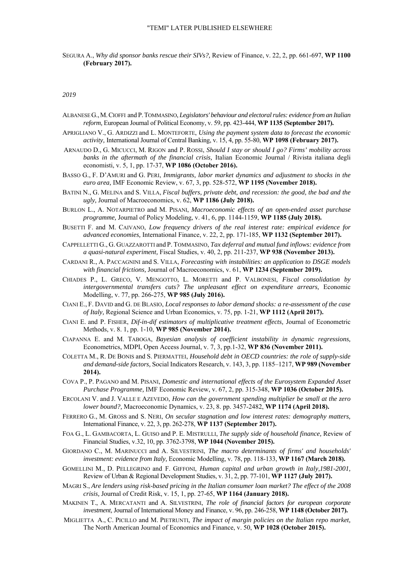SEGURA A., *Why did sponsor banks rescue their SIVs?,* Review of Finance, v. 22, 2, pp. 661-697, **WP 1100 (February 2017).** 

*2019* 

- ALBANESE G.,M.CIOFFI and P.TOMMASINO, *Legislators' behaviour and electoral rules: evidence from an Italian reform,* European Journal of Political Economy, v. 59, pp. 423-444, **WP 1135 (September 2017).**
- APRIGLIANO V., G. ARDIZZI and L. MONTEFORTE, *Using the payment system data to forecast the economic activity,* International Journal of Central Banking, v. 15, 4, pp. 55-80, **WP 1098 (February 2017).**
- ARNAUDO D., G. MICUCCI, M. RIGON and P. ROSSI, *Should I stay or should I go? Firms' mobility across banks in the aftermath of the financial crisis,* Italian Economic Journal / Rivista italiana degli economisti, v. 5, 1, pp. 17-37, **WP 1086 (October 2016).**
- BASSO G., F. D'AMURI and G. PERI, *Immigrants, labor market dynamics and adjustment to shocks in the euro area,* IMF Economic Review, v. 67, 3, pp. 528-572, **WP 1195 (November 2018).**
- BATINI N., G. MELINA and S. VILLA, *Fiscal buffers, private debt, and recession: the good, the bad and the ugly,* Journal of Macroeconomics, v. 62, **WP 1186 (July 2018).**
- BURLON L., A. NOTARPIETRO and M. PISANI, *Macroeconomic effects of an open-ended asset purchase programme,* Journal of Policy Modeling, v. 41, 6, pp. 1144-1159, **WP 1185 (July 2018).**
- BUSETTI F. and M. CAIVANO, *Low frequency drivers of the real interest rate: empirical evidence for advanced economies,* International Finance, v. 22, 2, pp. 171-185, **WP 1132 (September 2017).**
- CAPPELLETTI G., G. GUAZZAROTTI and P. TOMMASINO, *Tax deferral and mutual fund inflows: evidence from a quasi-natural experiment,* Fiscal Studies, v. 40, 2, pp. 211-237, **WP 938 (November 2013).**
- CARDANI R., A. PACCAGNINI and S. VILLA, *Forecasting with instabilities: an application to DSGE models with financial frictions,* Journal of Macroeconomics, v. 61, **WP 1234 (September 2019).**
- CHIADES P., L. GRECO, V. MENGOTTO, L. MORETTI and P. VALBONESI, *Fiscal consolidation by intergovernmental transfers cuts? The unpleasant effect on expenditure arrears,* Economic Modelling, v. 77, pp. 266-275, **WP 985 (July 2016).**
- CIANI E., F. DAVID and G. DE BLASIO, *Local responses to labor demand shocks: a re-assessment of the case of Italy,* Regional Science and Urban Economics, v. 75, pp. 1-21, **WP 1112 (April 2017).**
- CIANI E. and P. FISHER, *Dif-in-dif estimators of multiplicative treatment effects,* Journal of Econometric Methods, v. 8. 1, pp. 1-10, **WP 985 (November 2014).**
- CIAPANNA E. and M. TABOGA, *Bayesian analysis of coefficient instability in dynamic regressions,* Econometrics, MDPI, Open Access Journal, v. 7, 3, pp.1-32, **WP 836 (November 2011).**
- COLETTA M., R. DE BONIS and S. PIERMATTEI, *Household debt in OECD countries: the role of supply-side and demand-side factors,* Social Indicators Research, v. 143, 3, pp. 1185–1217, **WP 989 (November 2014).**
- COVA P., P. PAGANO and M. PISANI, *Domestic and international effects of the Eurosystem Expanded Asset Purchase Programme,* IMF Economic Review, v. 67, 2, pp. 315-348, **WP 1036 (October 2015).**
- ERCOLANI V. and J. VALLE E AZEVEDO, *How can the government spending multiplier be small at the zero lower bound?,* Macroeconomic Dynamics, v. 23, 8. pp. 3457-2482, **WP 1174 (April 2018).**
- FERRERO G., M. GROSS and S. NERI, *On secular stagnation and low interest rates: demography matters,* International Finance, v. 22, 3, pp. 262-278, **WP 1137 (September 2017).**
- FOA G., L. GAMBACORTA, L. GUISO and P. E. MISTRULLI, *The supply side of household finance,* Review of Financial Studies, v.32, 10, pp. 3762-3798, **WP 1044 (November 2015).**
- GIORDANO C., M. MARINUCCI and A. SILVESTRINI, *The macro determinants of firms' and households' investment: evidence from Italy,* Economic Modelling, v. 78, pp. 118-133, **WP 1167 (March 2018).**
- GOMELLINI M., D. PELLEGRINO and F. GIFFONI, *Human capital and urban growth in Italy,1981-2001,* Review of Urban & Regional Development Studies, v. 31, 2, pp. 77-101, **WP 1127 (July 2017).**
- MAGRI S., *Are lenders using risk-based pricing in the Italian consumer loan market? The effect of the 2008 crisis,* Journal of Credit Risk, v. 15, 1, pp. 27-65, **WP 1164 (January 2018).**
- MAKINEN T., A. MERCATANTI and A. SILVESTRINI, *The role of financial factors for european corporate investment,* Journal of International Money and Finance, v. 96, pp. 246-258, **WP 1148 (October 2017).**
- MIGLIETTA A., C. PICILLO and M. PIETRUNTI, *The impact of margin policies on the Italian repo market,* The North American Journal of Economics and Finance, v. 50, **WP 1028 (October 2015).**